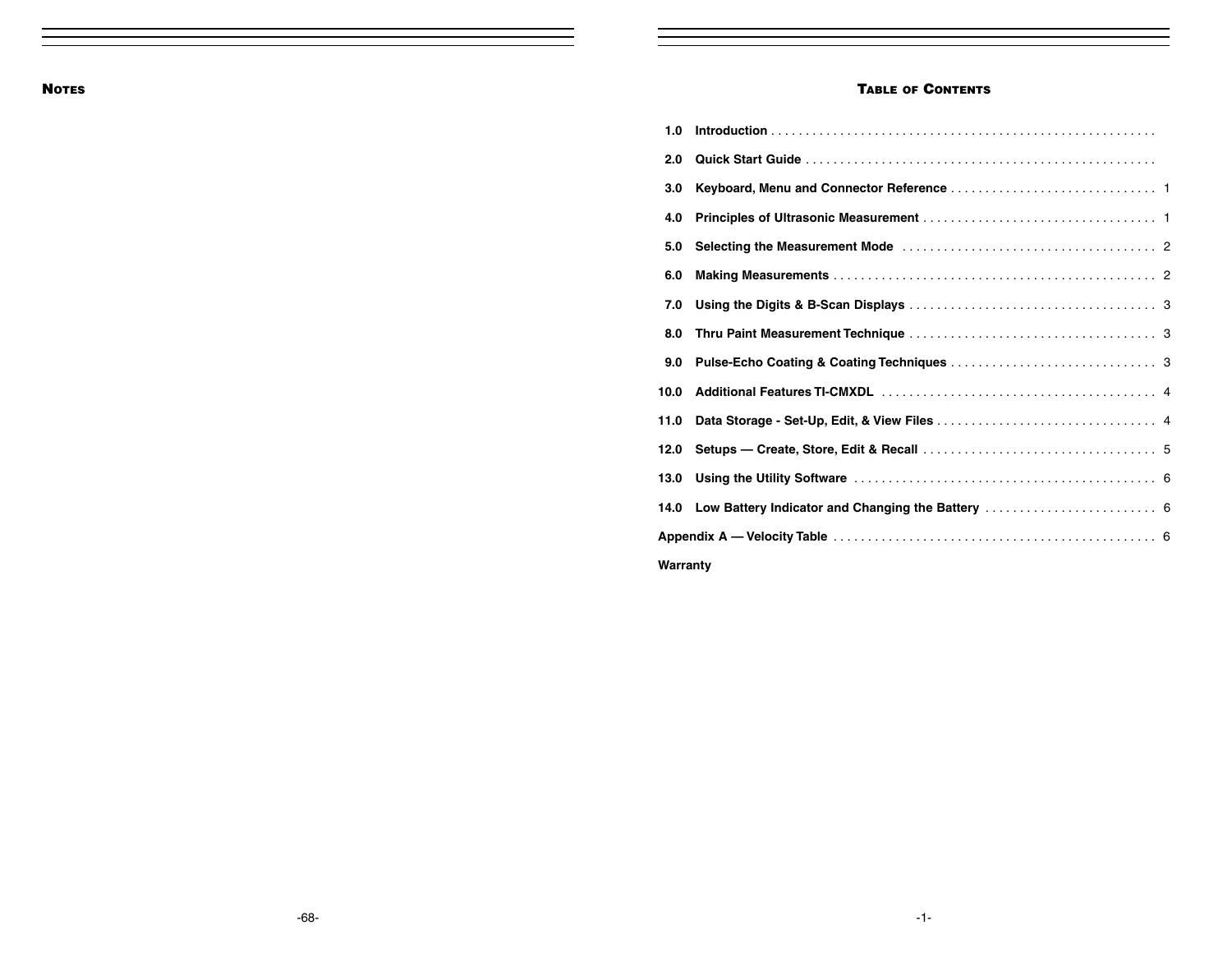#### **TABLE OF CONTENTS**

| 1.0      |  |
|----------|--|
| 2.0      |  |
| 3.0      |  |
| 4.0      |  |
| 5.0      |  |
| 6.0      |  |
| 7.0      |  |
| 8.0      |  |
| 9.0      |  |
| 10.0     |  |
| 11.0     |  |
| 12.0     |  |
| 13.0     |  |
|          |  |
|          |  |
| Warranty |  |

-68-

-1-

**NOTES**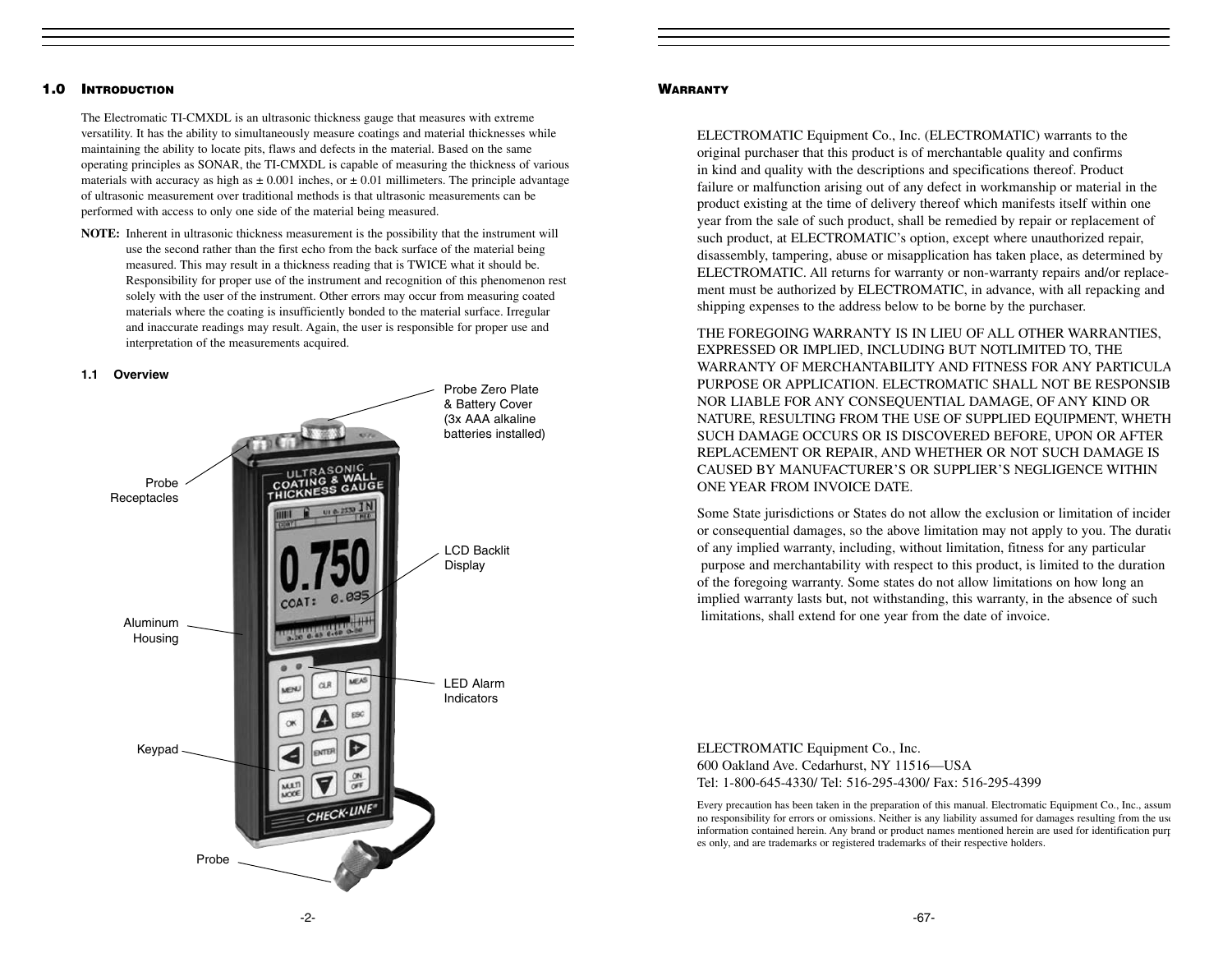# **1.0 INTRODUCTION**

The Electromatic TI-CMXDL is an ultrasonic thickness gauge that measures with extreme versatility. It has the ability to simultaneously measure coatings and material thicknesses while maintaining the ability to locate pits, flaws and defects in the material. Based on the same operating principles as SONAR, the TI-CMXDL is capable of measuring the thickness of various materials with accuracy as high as  $\pm 0.001$  inches, or  $\pm 0.01$  millimeters. The principle advantage of ultrasonic measurement over traditional methods is that ultrasonic measurements can be performed with access to only one side of the material being measured.

**NOTE:** Inherent in ultrasonic thickness measurement is the possibility that the instrument will use the second rather than the first echo from the back surface of the material being measured. This may result in a thickness reading that is TWICE what it should be. Responsibility for proper use of the instrument and recognition of this phenomenon rest solely with the user of the instrument. Other errors may occur from measuring coated materials where the coating is insufficiently bonded to the material surface. Irregular and inaccurate readings may result. Again, the user is responsible for proper use and interpretation of the measurements acquired.

#### **1.1 Overview**



#### **WARRANTY**

ELECTROMATIC Equipment Co., Inc. (ELECTROMATIC) warrants to the original purchaser that this product is of merchantable quality and confirms in kind and quality with the descriptions and specifications thereof. Product failure or malfunction arising out of any defect in workmanship or material in the product existing at the time of delivery thereof which manifests itself within one year from the sale of such product, shall be remedied by repair or replacement of such product, at ELECTROMATIC's option, except where unauthorized repair, disassembly, tampering, abuse or misapplication has taken place, as determined by ELECTROMATIC. All returns for warranty or non-warranty repairs and/or replacement must be authorized by ELECTROMATIC, in advance, with all repacking and shipping expenses to the address below to be borne by the purchaser.

THE FOREGOING WARRANTY IS IN LIEU OF ALL OTHER WARRANTIES, EXPRESSED OR IMPLIED, INCLUDING BUT NOTLIMITED TO, THE WARRANTY OF MERCHANTABILITY AND FITNESS FOR ANY PARTICULAPURPOSE OR APPLICATION. ELECTROMATIC SHALL NOT BE RESPONSIBNOR LIABLE FOR ANY CONSEQUENTIAL DAMAGE, OF ANY KIND OR NATURE, RESULTING FROM THE USE OF SUPPLIED EQUIPMENT, WHETH SUCH DAMAGE OCCURS OR IS DISCOVERED BEFORE, UPON OR AFTER REPLACEMENT OR REPAIR, AND WHETHER OR NOT SUCH DAMAGE IS CAUSED BY MANUFACTURER'S OR SUPPLIER'S NEGLIGENCE WITHIN ONE YEAR FROM INVOICE DATE.

Some State jurisdictions or States do not allow the exclusion or limitation of inciden or consequential damages, so the above limitation may not apply to you. The duratio of any implied warranty, including, without limitation, fitness for any particular purpose and merchantability with respect to this product, is limited to the duration of the foregoing warranty. Some states do not allow limitations on how long an implied warranty lasts but, not withstanding, this warranty, in the absence of such limitations, shall extend for one year from the date of invoice.

ELECTROMATIC Equipment Co., Inc. 600 Oakland Ave. Cedarhurst, NY 11516—USA Tel: 1-800-645-4330/ Tel: 516-295-4300/ Fax: 516-295-4399

Every precaution has been taken in the preparation of this manual. Electromatic Equipment Co., Inc., assum no responsibility for errors or omissions. Neither is any liability assumed for damages resulting from the use information contained herein. Any brand or product names mentioned herein are used for identification purp es only, and are trademarks or registered trademarks of their respective holders.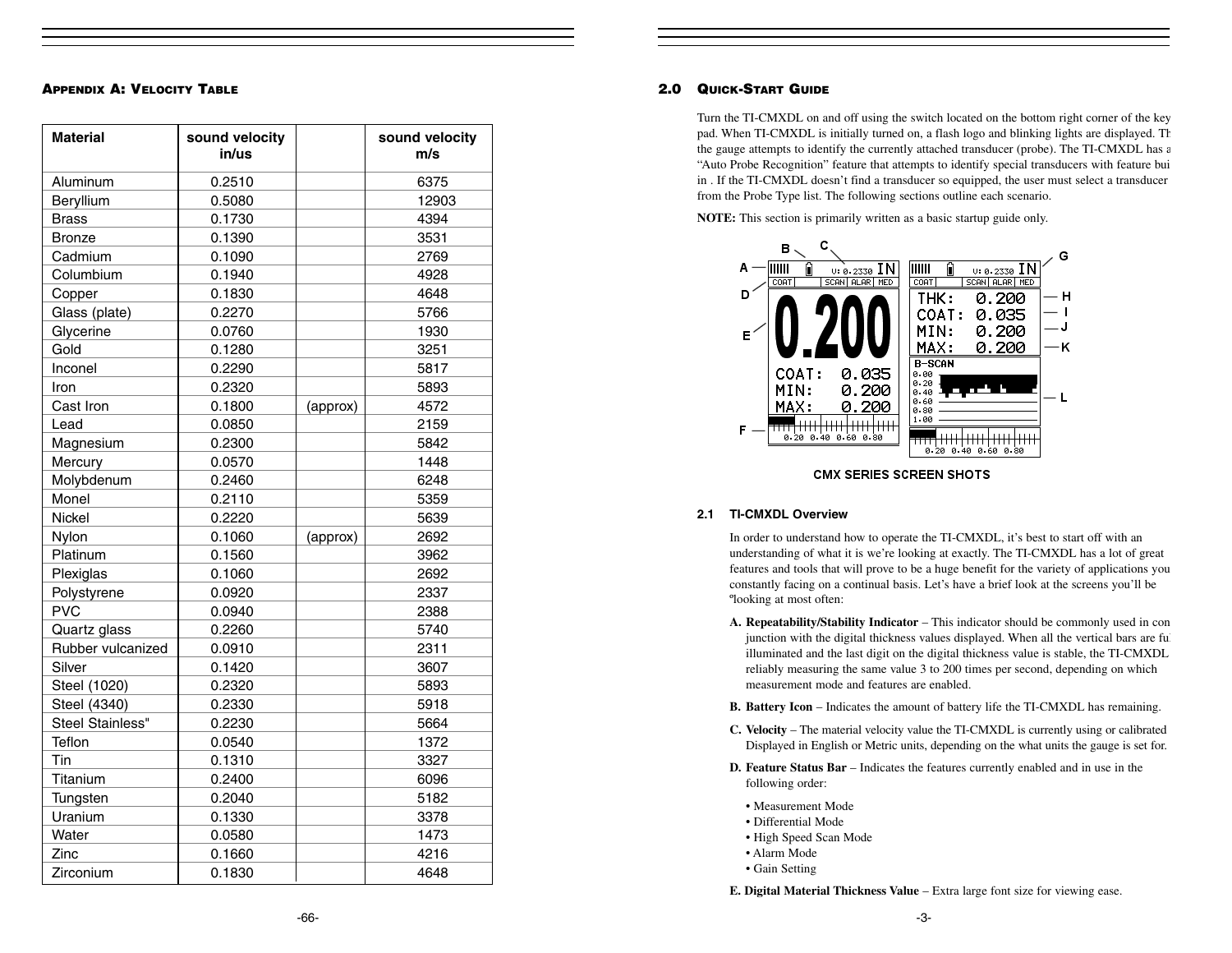#### **APPENDIX A: VELOCITY TABLE**

| <b>Material</b>   | sound velocity<br>in/us |          | sound velocity<br>m/s |
|-------------------|-------------------------|----------|-----------------------|
| Aluminum          | 0.2510                  |          | 6375                  |
| Beryllium         | 0.5080                  |          | 12903                 |
| <b>Brass</b>      | 0.1730                  |          | 4394                  |
| <b>Bronze</b>     | 0.1390                  |          | 3531                  |
| Cadmium           | 0.1090                  |          | 2769                  |
| Columbium         | 0.1940                  |          | 4928                  |
| Copper            | 0.1830                  |          | 4648                  |
| Glass (plate)     | 0.2270                  |          | 5766                  |
| Glycerine         | 0.0760                  |          | 1930                  |
| Gold              | 0.1280                  |          | 3251                  |
| Inconel           | 0.2290                  |          | 5817                  |
| Iron              | 0.2320                  |          | 5893                  |
| Cast Iron         | 0.1800                  | (approx) | 4572                  |
| Lead              | 0.0850                  |          | 2159                  |
| Magnesium         | 0.2300                  |          | 5842                  |
| Mercury           | 0.0570                  |          | 1448                  |
| Molybdenum        | 0.2460                  |          | 6248                  |
| Monel             | 0.2110                  |          | 5359                  |
| <b>Nickel</b>     | 0.2220                  |          | 5639                  |
| Nylon             | 0.1060                  | (approx) | 2692                  |
| Platinum          | 0.1560                  |          | 3962                  |
| Plexiglas         | 0.1060                  |          | 2692                  |
| Polystyrene       | 0.0920                  |          | 2337                  |
| <b>PVC</b>        | 0.0940                  |          | 2388                  |
| Quartz glass      | 0.2260                  |          | 5740                  |
| Rubber vulcanized | 0.0910                  |          | 2311                  |
| Silver            | 0.1420                  |          | 3607                  |
| Steel (1020)      | 0.2320                  |          | 5893                  |
| Steel (4340)      | 0.2330                  |          | 5918                  |
| Steel Stainless"  | 0.2230                  |          | 5664                  |
| Teflon            | 0.0540                  |          | 1372                  |
| Tin               | 0.1310                  |          | 3327                  |
| Titanium          | 0.2400                  |          | 6096                  |
| Tungsten          | 0.2040                  |          | 5182                  |
| Uranium           | 0.1330                  |          | 3378                  |
| Water             | 0.0580                  |          | 1473                  |
| Zinc              | 0.1660                  |          | 4216                  |
| Zirconium         | 0.1830                  |          | 4648                  |

#### **2.0 QUICK-START GUIDE**

Turn the TI-CMXDL on and off using the switch located on the bottom right corner of the key pad. When TI-CMXDL is initially turned on, a flash logo and blinking lights are displayed. Th the gauge attempts to identify the currently attached transducer (probe). The TI-CMXDL has a "Auto Probe Recognition" feature that attempts to identify special transducers with feature bui in . If the TI-CMXDL doesn't find a transducer so equipped, the user must select a transducer from the Probe Type list. The following sections outline each scenario.

**NOTE:** This section is primarily written as a basic startup guide only.



**CMX SERIES SCREEN SHOTS** 

#### **2.1 TI-CMXDL Overview**

In order to understand how to operate the TI-CMXDL, it's best to start off with an understanding of what it is we're looking at exactly. The TI-CMXDL has a lot of great features and tools that will prove to be a huge benefit for the variety of applications you constantly facing on a continual basis. Let's have a brief look at the screens you'll be ºlooking at most often:

- **A. Repeatability/Stability Indicator**  This indicator should be commonly used in con junction with the digital thickness values displayed. When all the vertical bars are full illuminated and the last digit on the digital thickness value is stable, the TI-CMXDL reliably measuring the same value 3 to 200 times per second, depending on which measurement mode and features are enabled.
- **B. Battery Icon** Indicates the amount of battery life the TI-CMXDL has remaining.
- **C. Velocity** The material velocity value the TI-CMXDL is currently using or calibrated Displayed in English or Metric units, depending on the what units the gauge is set for.
- **D. Feature Status Bar** Indicates the features currently enabled and in use in the following order:
- Measurement Mode
- Differential Mode
- High Speed Scan Mode
- Alarm Mode
- Gain Setting

**E. Digital Material Thickness Value** – Extra large font size for viewing ease.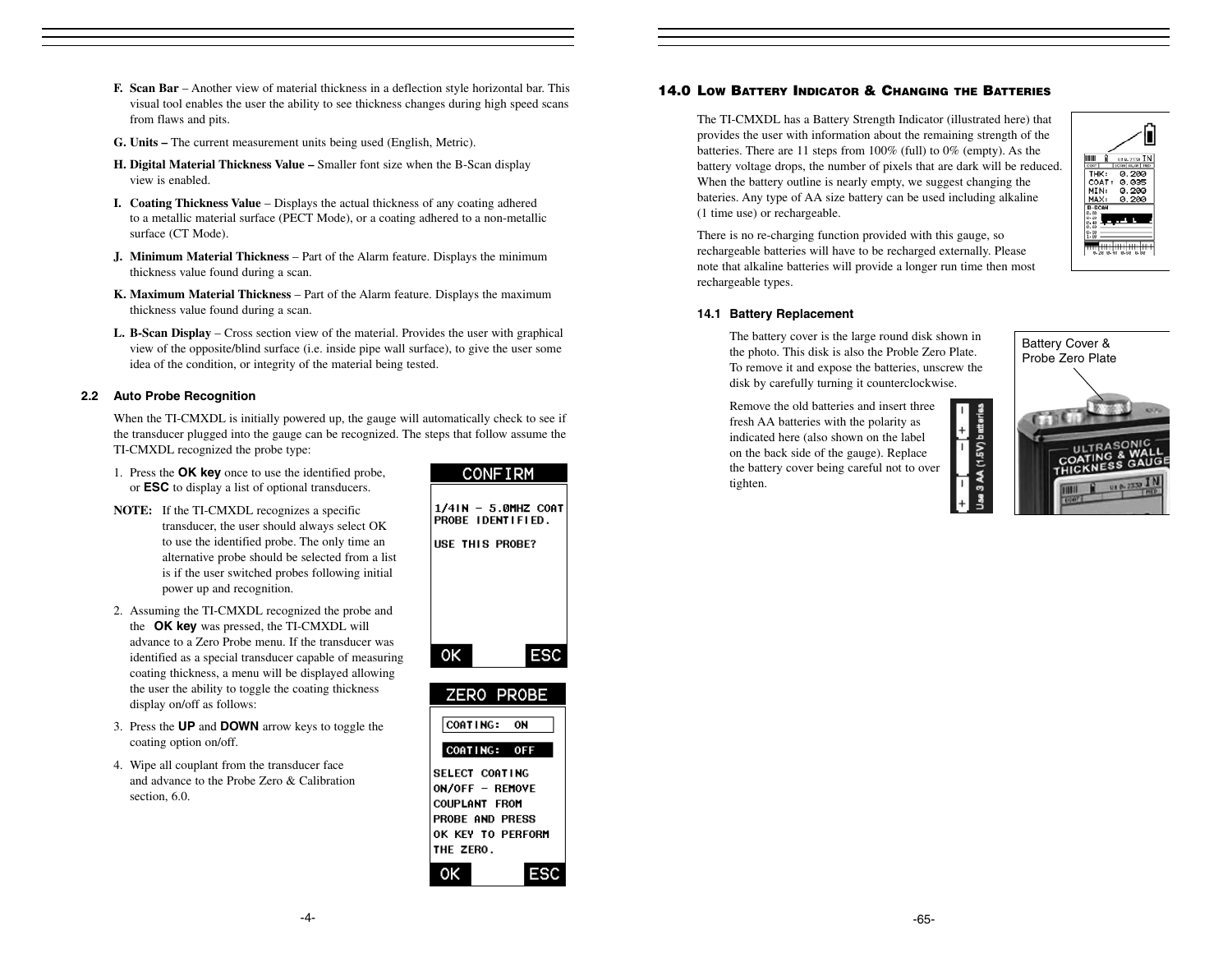- **F. Scan Bar**  Another view of material thickness in a deflection style horizontal bar. This visual tool enables the user the ability to see thickness changes during high speed scans from flaws and pits.
- **G. Units –** The current measurement units being used (English, Metric).
- **H. Digital Material Thickness Value** Smaller font size when the B-Scan display view is enabled.
- **I. Coating Thickness Value** Displays the actual thickness of any coating adhered to a metallic material surface (PECT Mode), or a coating adhered to a non-metallic surface (CT Mode).
- **J. Minimum Material Thickness**  Part of the Alarm feature. Displays the minimum thickness value found during a scan.
- **K. Maximum Material Thickness**  Part of the Alarm feature. Displays the maximum thickness value found during a scan.
- **L. B-Scan Display** Cross section view of the material. Provides the user with graphical view of the opposite/blind surface (i.e. inside pipe wall surface), to give the user some idea of the condition, or integrity of the material being tested.

# **2.2 Auto Probe Recognition**

When the TI-CMXDL is initially powered up, the gauge will automatically check to see if the transducer plugged into the gauge can be recognized. The steps that follow assume the TI-CMXDL recognized the probe type:

- 1. Press the **OK key** once to use the identified probe, or **ESC** to display a list of optional transducers.
- **NOTE:** If the TI-CMXDL recognizes a specific transducer, the user should always select OK to use the identified probe. The only time an alternative probe should be selected from a list is if the user switched probes following initial power up and recognition.
- 2. Assuming the TI-CMXDL recognized the probe and the **OK key** was pressed, the TI-CMXDL will advance to a Zero Probe menu. If the transducer was identified as a special transducer capable of measuring coating thickness, a menu will be displayed allowing the user the ability to toggle the coating thickness display on/off as follows:
- 3. Press the **UP** and **DOWN** arrow keys to toggle the coating option on/off.
- 4. Wipe all couplant from the transducer face and advance to the Probe Zero & Calibration section, 6.0.



# **14.0 LOW BATTERY INDICATOR & CHANGING THE BATTERIES**

The TI-CMXDL has a Battery Strength Indicator (illustrated here) that provides the user with information about the remaining strength of the batteries. There are 11 steps from 100% (full) to 0% (empty). As the battery voltage drops, the number of pixels that are dark will be reduced. When the battery outline is nearly empty, we suggest changing the bateries. Any type of AA size battery can be used including alkaline (1 time use) or rechargeable.



There is no re-charging function provided with this gauge, so rechargeable batteries will have to be recharged externally. Please note that alkaline batteries will provide a longer run time then most rechargeable types.

# **14.1 Battery Replacement**

The battery cover is the large round disk shown in the photo. This disk is also the Proble Zero Plate. To remove it and expose the batteries, unscrew the disk by carefully turning it counterclockwise.

Remove the old batteries and insert threefresh AA batteries with the polarity as indicated here (also shown on the label on the back side of the gauge). Replace the battery cover being careful not to over tighten.



AA (1.5V) batteries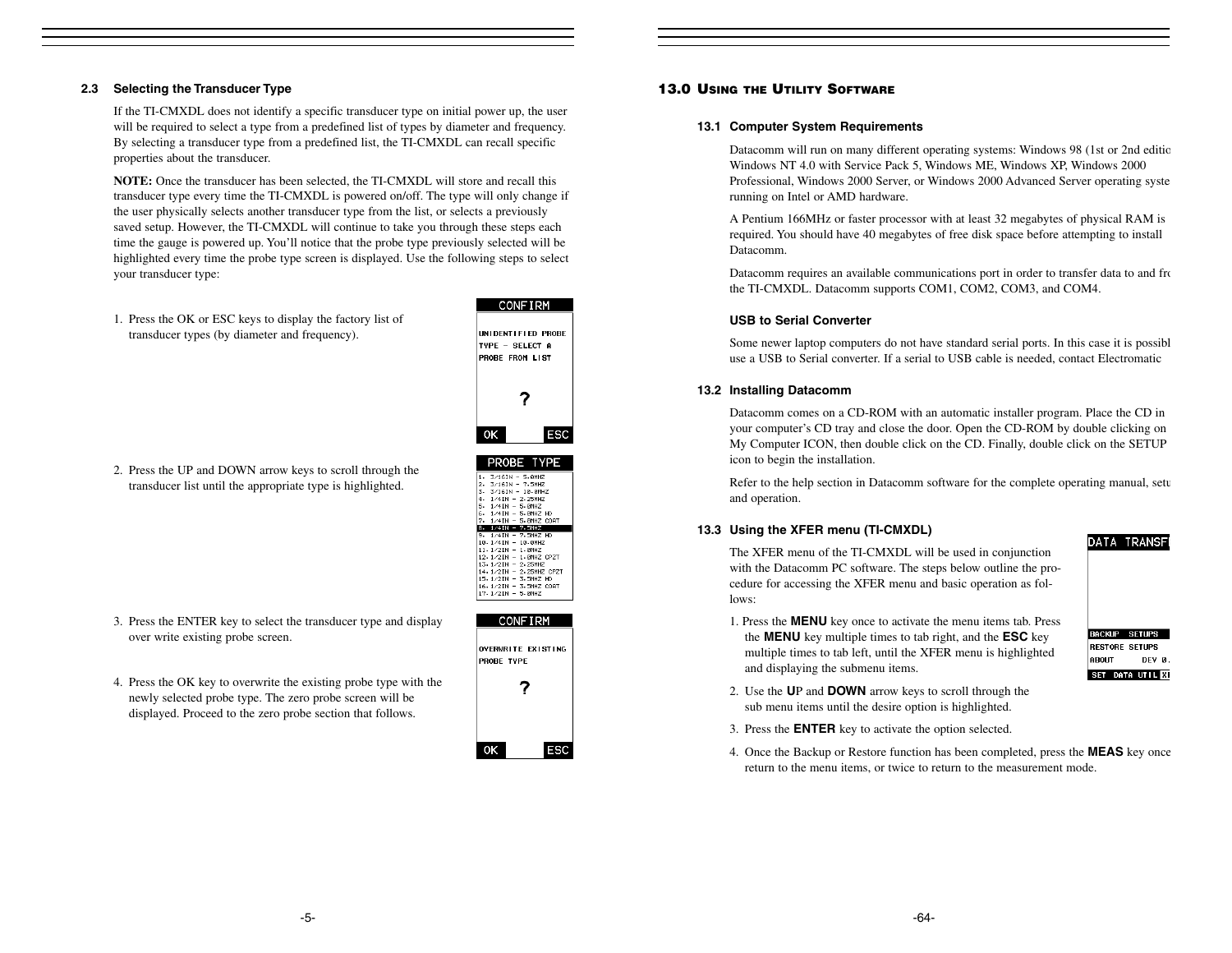## **2.3 Selecting the Transducer Type**

If the TI-CMXDL does not identify a specific transducer type on initial power up, the user will be required to select a type from a predefined list of types by diameter and frequency. By selecting a transducer type from a predefined list, the TI-CMXDL can recall specific properties about the transducer.

**NOTE:** Once the transducer has been selected, the TI-CMXDL will store and recall this transducer type every time the TI-CMXDL is powered on/off. The type will only change if the user physically selects another transducer type from the list, or selects a previously saved setup. However, the TI-CMXDL will continue to take you through these steps each time the gauge is powered up. You'll notice that the probe type previously selected will be highlighted every time the probe type screen is displayed. Use the following steps to select your transducer type:

1. Press the OK or ESC keys to display the factory list of transducer types (by diameter and frequency).



PROBE TYPE

1. 3/16TH - 5.0MHZ<br>2. 3/16TH - 7.5MHZ<br>3. 3/16TH - 10.0MHZ<br>4. 1/4TH - 2.25MHZ<br>5. 1/4TH - 5.0MHZ<br>7. 1/4TH - 5.0MHZ HD<br>7. 1/4TH - 5.0MHZ HD  $8.1/41N - 7.5MHZ$ 9.  $1/41N - 7.5MHZ HD$ <br>18.  $1/41N - 10.0MHZ$ 

18 - 1741 - 18 80412<br>
11 - 1721 - 1.8042<br>
12 - 1721 - 1.8042<br>
13 - 1721 - 2.25042<br>
14 - 1721 - 2.25042<br>
15 - 1721 - 3.5042<br>
16 - 1721 - 3.5042<br>
16 - 1721 - 3.5042<br>
16 - 1721 - 3.5042<br>
1720 - $17.1/21N - 5.0MHZ$ 

2. Press the UP and DOWN arrow keys to scroll through the transducer list until the appropriate type is highlighted.

- 3. Press the ENTER key to select the transducer type and display over write existing probe screen.
- 4. Press the OK key to overwrite the existing probe type with the newly selected probe type. The zero probe screen will be displayed. Proceed to the zero probe section that follows.

|                   | <b>CONFIRM</b>     |  |
|-------------------|--------------------|--|
| <b>PRORF TYPF</b> | OVERWRITE EXISTING |  |
|                   |                    |  |
|                   |                    |  |
|                   |                    |  |
|                   | Ŷ                  |  |

#### **13.0 USING THE UTILITY SOFTWARE**

## **13.1 Computer System Requirements**

Datacomm will run on many different operating systems: Windows 98 (1st or 2nd editio Windows NT 4.0 with Service Pack 5, Windows ME, Windows XP, Windows 2000 Professional, Windows 2000 Server, or Windows 2000 Advanced Server operating syste running on Intel or AMD hardware.

A Pentium 166MHz or faster processor with at least 32 megabytes of physical RAM is required. You should have 40 megabytes of free disk space before attempting to install Datacomm.

Datacomm requires an available communications port in order to transfer data to and from the TI-CMXDL. Datacomm supports COM1, COM2, COM3, and COM4.

#### **USB to Serial Converter**

Some newer laptop computers do not have standard serial ports. In this case it is possibl use a USB to Serial converter. If a serial to USB cable is needed, contact Electromatic

# **13.2 Installing Datacomm**

Datacomm comes on a CD-ROM with an automatic installer program. Place the CD in your computer's CD tray and close the door. Open the CD-ROM by double clicking on My Computer ICON, then double click on the CD. Finally, double click on the SETUP icon to begin the installation.

Refer to the help section in Datacomm software for the complete operating manual, setu and operation.

#### **13.3 Using the XFER menu (TI-CMXDL)**

The XFER menu of the TI-CMXDL will be used in conjunction with the Datacomm PC software. The steps below outline the procedure for accessing the XFER menu and basic operation as follows:

1. Press the **MENU** key once to activate the menu items tab. Press the **MENU** key multiple times to tab right, and the **ESC** key multiple times to tab left, until the XFER menu is highlighted and displaying the submenu items.



**DATA TRANSF** 

- 2. Use the **U**P and **DOWN** arrow keys to scroll through the sub menu items until the desire option is highlighted.
- 3. Press the **ENTER** key to activate the option selected.
- 4. Once the Backup or Restore function has been completed, press the **MEAS** key once return to the menu items, or twice to return to the measurement mode.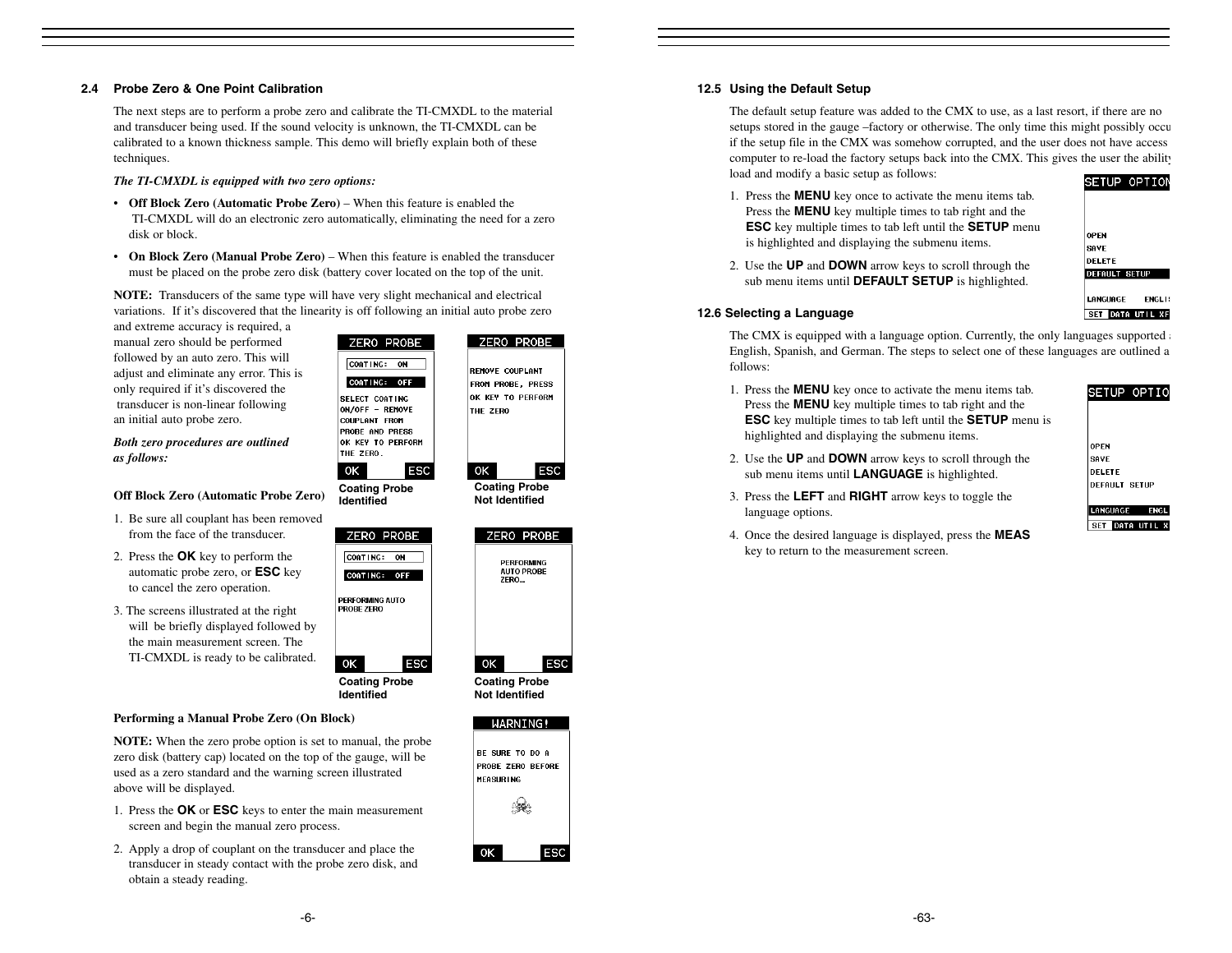#### **2.4 Probe Zero & One Point Calibration**

The next steps are to perform a probe zero and calibrate the TI-CMXDL to the material and transducer being used. If the sound velocity is unknown, the TI-CMXDL can be calibrated to a known thickness sample. This demo will briefly explain both of these techniques.

*The TI-CMXDL is equipped with two zero options:*

- **Off Block Zero (Automatic Probe Zero)** When this feature is enabled the TI-CMXDL will do an electronic zero automatically, eliminating the need for a zero disk or block.
- **On Block Zero (Manual Probe Zero)**  When this feature is enabled the transducer must be placed on the probe zero disk (battery cover located on the top of the unit.

**NOTE:** Transducers of the same type will have very slight mechanical and electrical variations. If it's discovered that the linearity is off following an initial auto probe zero

and extreme accuracy is required, a manual zero should be performed followed by an auto zero. This will adjust and eliminate any error. This is only required if it's discovered the transducer is non-linear following an initial auto probe zero.

*Both zero procedures are outlined as follows:*

#### **Off Block Zero (Automatic Probe Zero)**

- 1. Be sure all couplant has been removed from the face of the transducer.
- 2. Press the **OK** key to perform the automatic probe zero, or **ESC** key to cancel the zero operation.
- 3. The screens illustrated at the right will be briefly displayed followed by the main measurement screen. The TI-CMXDL is ready to be calibrated.

above will be displayed.

obtain a steady reading.

**Performing a Manual Probe Zero (On Block)**

screen and begin the manual zero process.

**NOTE:** When the zero probe option is set to manual, the probe zero disk (battery cap) located on the top of the gauge, will be used as a zero standard and the warning screen illustrated

1. Press the **OK** or **ESC** keys to enter the main measurement

2. Apply a drop of couplant on the transducer and place the transducer in steady contact with the probe zero disk, and



ZERO PROBE

**Coating Probe Identified**

**ESC** 

ΟK

CORTING: OFF PERFORMING AUTO **ROBE ZERO** 

|    |      | ZERO PROBE                             |     |
|----|------|----------------------------------------|-----|
|    | ZERO | <b>PERFORMING</b><br><b>AUTO PROBE</b> |     |
|    |      |                                        |     |
| ОΚ |      |                                        | ESC |

**Coating Probe Not Identified**

**ESC** 

ZERO PROBE

**REMOVE COUPLANT** 

FROM PROBE, PRESS

OK KEY TO PERFORM

THE ZERO

 $\circ$ 

**Coating Probe Not Identified**







## **12.5 Using the Default Setup**

The default setup feature was added to the CMX to use, as a last resort, if there are no setups stored in the gauge –factory or otherwise. The only time this might possibly occu if the setup file in the CMX was somehow corrupted, and the user does not have access computer to re-load the factory setups back into the CMX. This gives the user the ability load and modify a basic setup as follows: SETUP OPTION

1. Press the **MENU** key once to activate the menu items tab. Press the **MENU** key multiple times to tab right and the **ESC** key multiple times to tab left until the **SETUP** menu is highlighted and displaying the submenu items.

2. Use the **UP** and **DOWN** arrow keys to scroll through the sub menu items until **DEFAULT SETUP** is highlighted.

| <b>OPEN</b>               |
|---------------------------|
| <b>SAVE</b>               |
| <b>DELETE</b>             |
| <b>DEFAULT SETUP</b>      |
|                           |
| LANGUAGE<br><b>ENGLI!</b> |
| DATA UTIL XF<br>SET       |
|                           |

#### **12.6 Selecting a Language**

The CMX is equipped with a language option. Currently, the only languages supported a English, Spanish, and German. The steps to select one of these languages are outlined a follows:

1. Press the **MENU** key once to activate the menu items tab. Press the **MENU** key multiple times to tab right and the **ESC** key multiple times to tab left until the **SETUP** menu is highlighted and displaying the submenu items.

SETUP OPTIO

- **OPEN** 2. Use the **UP** and **DOWN** arrow keys to scroll through the sub menu items until **LANGUAGE** is highlighted.
- 3. Press the **LEFT** and **RIGHT** arrow keys to toggle the
- 4. Once the desired language is displayed, press the **MEAS** key to return to the measurement screen.

| <b>ISAVE</b>         |  |
|----------------------|--|
| DELETE               |  |
| <b>DEFAULT SETUF</b> |  |
|                      |  |

|  | <b>ANGUAGE</b> |                   |
|--|----------------|-------------------|
|  |                | DATA UTIL :<br>xı |

- language options.
- 

|  | LANGUAGE |     |
|--|----------|-----|
|  | SET      | DAT |
|  |          |     |

-6-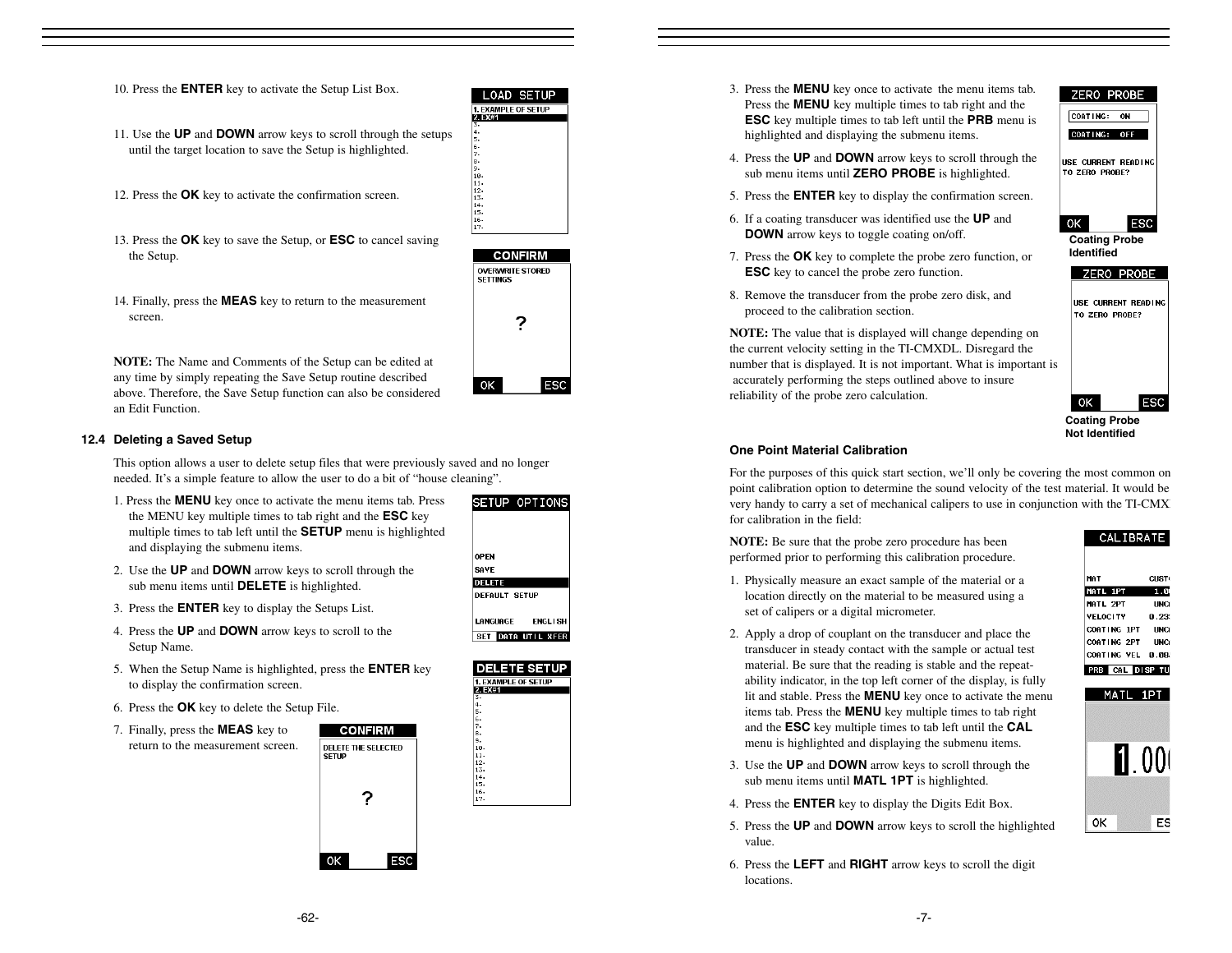- 11. Use the **UP** and **DOWN** arrow keys to scroll through the setups until the target location to save the Setup is highlighted.
- 12. Press the **OK** key to activate the confirmation screen.
- 13. Press the **OK** key to save the Setup, or **ESC** to cancel saving the Setup.





14. Finally, press the **MEAS** key to return to the measurement screen.

**NOTE:** The Name and Comments of the Setup can be edited at any time by simply repeating the Save Setup routine described above. Therefore, the Save Setup function can also be considered an Edit Function.

#### **12.4 Deleting a Saved Setup**

This option allows a user to delete setup files that were previously saved and no longer needed. It's a simple feature to allow the user to do a bit of "house cleaning".

- 1. Press the **MENU** key once to activate the menu items tab. Press the MENU key multiple times to tab right and the **ESC** key multiple times to tab left until the **SETUP** menu is highlighted and displaying the submenu items.
- 2. Use the **UP** and **DOWN** arrow keys to scroll through the sub menu items until **DELETE** is highlighted.
- 3. Press the **ENTER** key to display the Setups List.
- 4. Press the **UP** and **DOWN** arrow keys to scroll to the Setup Name.
- 5. When the Setup Name is highlighted, press the **ENTER** key to display the confirmation screen.
- 6. Press the **OK** key to delete the Setup File.
- 7. Finally, press the **MEAS** key to return to the measurement screen.



| SEIUP OPIIONS              |
|----------------------------|
|                            |
|                            |
|                            |
| <b>JPEN</b>                |
|                            |
| <b>SAVE</b>                |
| DELETE                     |
| <b>DEFAULT SETUP</b>       |
|                            |
|                            |
| <b>ENGLISH</b><br>LANGUAGE |
| SET DATA UTIL XFER         |
|                            |



3. Press the **MENU** key once to activate the menu items tab. Press the **MENU** key multiple times to tab right and the **ESC** key multiple times to tab left until the **PRB** menu is highlighted and displaying the submenu items.

4. Press the **UP** and **DOWN** arrow keys to scroll through the sub menu items until **ZERO PROBE** is highlighted. 5. Press the **ENTER** key to display the confirmation screen. 6. If a coating transducer was identified use the **UP** and **DOWN** arrow keys to toggle coating on/off.



- 7. Press the **OK** key to complete the probe zero function, or **ESC** key to cancel the probe zero function.
- 8. Remove the transducer from the probe zero disk, and proceed to the calibration section.

**NOTE:** The value that is displayed will change depending on the current velocity setting in the TI-CMXDL. Disregard the number that is displayed. It is not important. What is important is accurately performing the steps outlined above to insure reliability of the probe zero calculation.

0K ESC **Coating Probe** 

USE CURRENT READING TO ZERO PROBE?

**Not Identified**

# **One Point Material Calibration**

For the purposes of this quick start section, we'll only be covering the most common on point calibration option to determine the sound velocity of the test material. It would be very handy to carry a set of mechanical calipers to use in conjunction with the TI-CMXD for calibration in the field:

**NOTE:** Be sure that the probe zero procedure has been performed prior to performing this calibration procedure.

- 1. Physically measure an exact sample of the material or a location directly on the material to be measured using a set of calipers or a digital micrometer.
- 2. Apply a drop of couplant on the transducer and place the transducer in steady contact with the sample or actual test material. Be sure that the reading is stable and the repeatability indicator, in the top left corner of the display, is fully lit and stable. Press the **MENU** key once to activate the menu items tab. Press the **MENU** key multiple times to tab right and the **ESC** key multiple times to tab left until the **CAL** menu is highlighted and displaying the submenu items.
- 3. Use the **UP** and **DOWN** arrow keys to scroll through the sub menu items until **MATL 1PT** is highlighted.
- 4. Press the **ENTER** key to display the Digits Edit Box.
- 5. Press the **UP** and **DOWN** arrow keys to scroll the highlighted value.
- 6. Press the **LEFT** and **RIGHT** arrow keys to scroll the digit locations.

| MAT              | CUST <sub>(</sub> |
|------------------|-------------------|
| MATL 1PT         | 1.01              |
| MATL 2PT         | <b>UNC</b>        |
| <b>VELOCITY</b>  | P. 23.            |
| COATING 1PT      | <b>UNC</b>        |
| COATING 2PT UNC  |                   |
| COATING VEL 0.08 |                   |
| PRB CAL DISP TU  |                   |
|                  |                   |
| MATL 1PT         |                   |
|                  |                   |
|                  |                   |
|                  |                   |
|                  |                   |
|                  |                   |
|                  | 00l               |

CALIBRATE

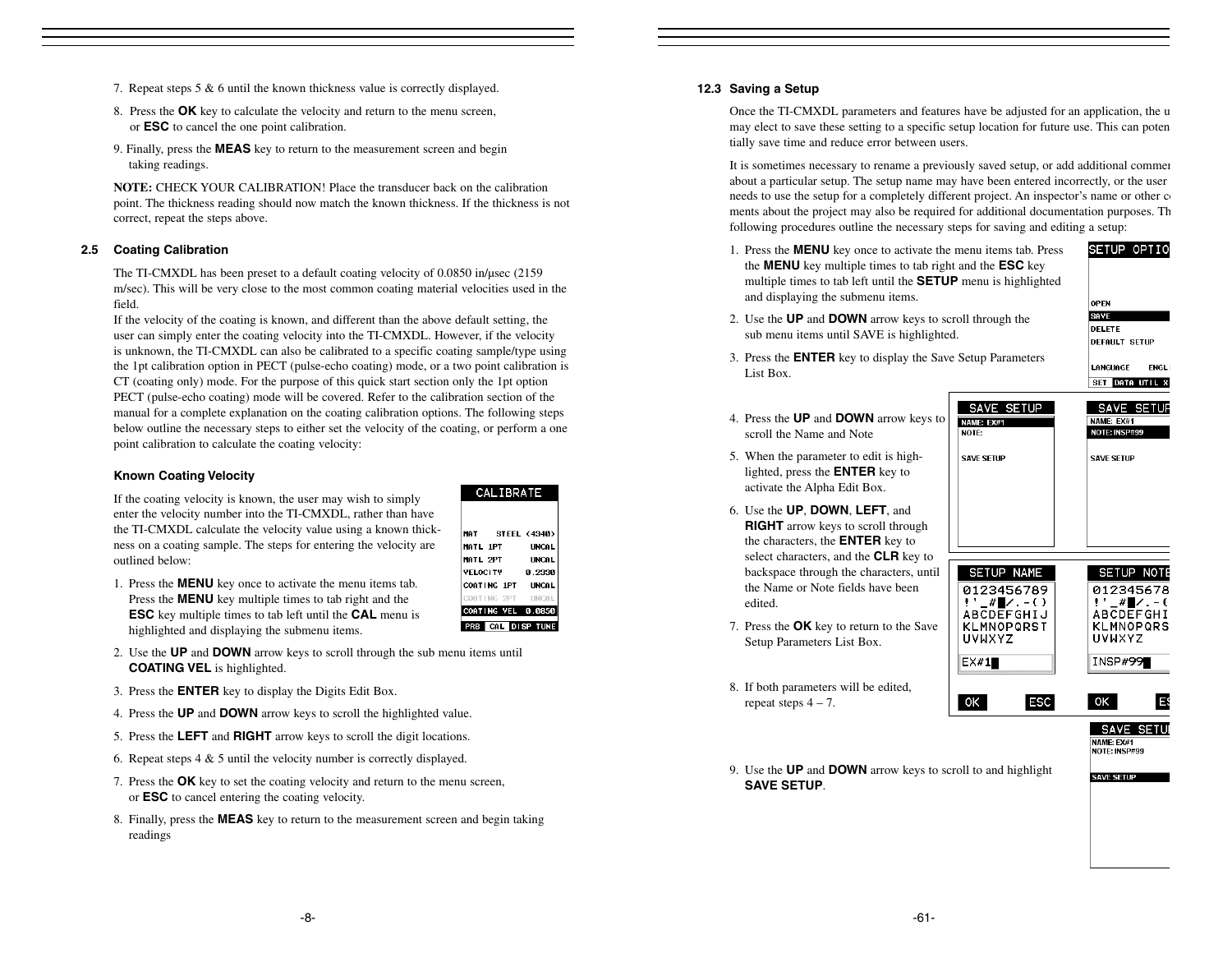- 7. Repeat steps 5 & 6 until the known thickness value is correctly displayed.
- 8. Press the **OK** key to calculate the velocity and return to the menu screen, or **ESC** to cancel the one point calibration.
- 9. Finally, press the **MEAS** key to return to the measurement screen and begin taking readings.

**NOTE:** CHECK YOUR CALIBRATION! Place the transducer back on the calibrationpoint. The thickness reading should now match the known thickness. If the thickness is not correct, repeat the steps above.

#### **2.5 Coating Calibration**

The TI-CMXDL has been preset to a default coating velocity of 0.0850 in/µsec (2159 m/sec). This will be very close to the most common coating material velocities used in the field.

If the velocity of the coating is known, and different than the above default setting, the user can simply enter the coating velocity into the TI-CMXDL. However, if the velocity is unknown, the TI-CMXDL can also be calibrated to a specific coating sample/type using the 1pt calibration option in PECT (pulse-echo coating) mode, or a two point calibration is CT (coating only) mode. For the purpose of this quick start section only the 1pt option PECT (pulse-echo coating) mode will be covered. Refer to the calibration section of the manual for a complete explanation on the coating calibration options. The following steps below outline the necessary steps to either set the velocity of the coating, or perform a one point calibration to calculate the coating velocity:

#### **Known Coating Velocity**

If the coating velocity is known, the user may wish to simply enter the velocity number into the TI-CMXDL, rather than have the TI-CMXDL calculate the velocity value using a known thickness on a coating sample. The steps for entering the velocity are outlined below:

MATL 1PT MATL 2PT **VELOCITY** 1. Press the **MENU** key once to activate the menu items tab. COATING 1PT OATING 2PT Press the **MENU** key multiple times to tab right and the COATING VEL 0.0850 **ESC** key multiple times to tab left until the **CAL** menu is PRB CAL DISP TUNE highlighted and displaying the submenu items.

CALIBRATE

STEEL (4340)

**UNCAL** 

**UNCAL** 

0.2330

**INCAL** 

**HNCA** 

MAT

- 2. Use the **UP** and **DOWN** arrow keys to scroll through the sub menu items until **COATING VEL** is highlighted.
- 3. Press the **ENTER** key to display the Digits Edit Box.
- 4. Press the **UP** and **DOWN** arrow keys to scroll the highlighted value.
- 5. Press the **LEFT** and **RIGHT** arrow keys to scroll the digit locations.
- 6. Repeat steps 4 & 5 until the velocity number is correctly displayed.
- 7. Press the **OK** key to set the coating velocity and return to the menu screen, or **ESC** to cancel entering the coating velocity.
- 8. Finally, press the **MEAS** key to return to the measurement screen and begin taking readings

#### **12.3 Saving a Setup**

Once the TI-CMXDL parameters and features have be adjusted for an application, the u may elect to save these setting to a specific setup location for future use. This can poten tially save time and reduce error between users.

It is sometimes necessary to rename a previously saved setup, or add additional commen about a particular setup. The setup name may have been entered incorrectly, or the user needs to use the setup for a completely different project. An inspector's name or other containments about the project may also be required for additional documentation purposes. Th following procedures outline the necessary steps for saving and editing a setup:

NAME: EX#1

**SAVE SETUP** 

OK

- 1. Press the **MENU** key once to activate the menu items tab. Press the **MENU** key multiple times to tab right and the **ESC** key multiple times to tab left until the **SETUP** menu is highlighted and displaying the submenu items.
- 2. Use the **UP** and **DOWN** arrow keys to scroll through the sub menu items until SAVE is highlighted.

OPEN SAVE DELETE **DEFAULT SETUP** 

**ENGLI** 

E

LANGUAGE

SETUP OPTIO

- 3. Press the **ENTER** key to display the Save Setup Parameters List Box.
	- SET DATA UTIL XI SAVE SETUP SAVE SETUP NAME: EX#1 NOTE: INSP#99 **SAVE SETUP**

0K

SAVE SETUR NAME: EX#1<br>NOTE: INSP#99 **SAVE SETUP** 

- 4. Press the **UP** and **DOWN** arrow keys to scroll the Name and Note
- 5. When the parameter to edit is highlighted, press the **ENTER** key to activate the Alpha Edit Box.
- 6. Use the **UP**, **DOWN**, **LEFT**, and **RIGHT** arrow keys to scroll through the characters, the **ENTER** key to select characters, and the **CLR** key to backspace through the characters, until the Name or Note fields have been edited.
- 7. Press the **OK** key to return to the Save Setup Parameters List Box.
- 8. If both parameters will be edited, repeat steps  $4 - 7$ .



**ESC** 

9. Use the **UP** and **DOWN** arrow keys to scroll to and highlight **SAVE SETUP**.

-8-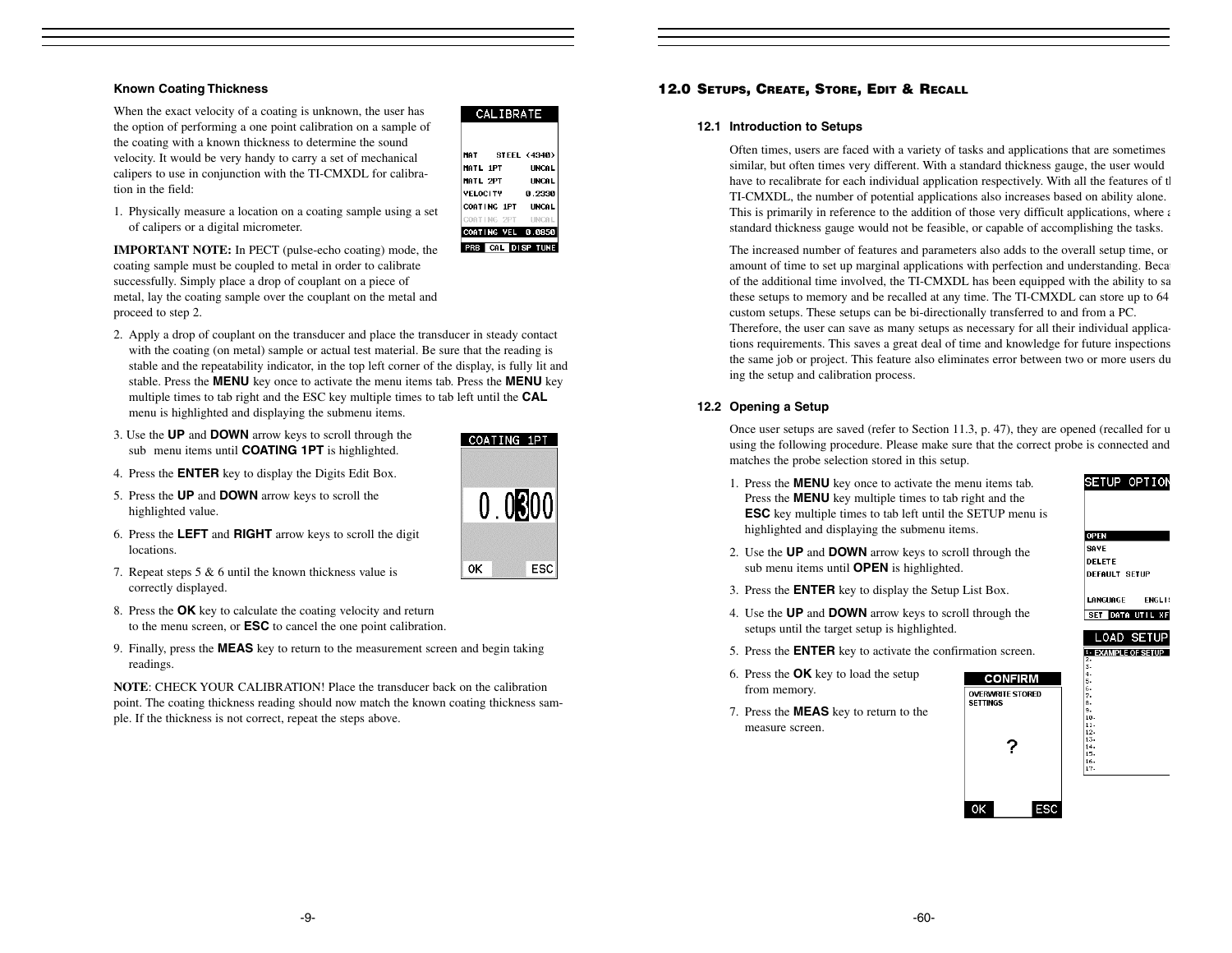# **Known Coating Thickness**

When the exact velocity of a coating is unknown, the user has the option of performing a one point calibration on a sample of the coating with a known thickness to determine the sound velocity. It would be very handy to carry a set of mechanical calipers to use in conjunction with the TI-CMXDL for calibration in the field:



1. Physically measure a location on a coating sample using a set of calipers or a digital micrometer.

**IMPORTANT NOTE:** In PECT (pulse-echo coating) mode, the coating sample must be coupled to metal in order to calibrate successfully. Simply place a drop of couplant on a piece of metal, lay the coating sample over the couplant on the metal and proceed to step 2.

- 2. Apply a drop of couplant on the transducer and place the transducer in steady contact with the coating (on metal) sample or actual test material. Be sure that the reading is stable and the repeatability indicator, in the top left corner of the display, is fully lit and stable. Press the **MENU** key once to activate the menu items tab. Press the **MENU** key multiple times to tab right and the ESC key multiple times to tab left until the **CAL** menu is highlighted and displaying the submenu items.
- 3. Use the **UP** and **DOWN** arrow keys to scroll through the sub menu items until **COATING 1PT** is highlighted.
- 4. Press the **ENTER** key to display the Digits Edit Box.
- 5. Press the **UP** and **DOWN** arrow keys to scroll the highlighted value.
- 6. Press the **LEFT** and **RIGHT** arrow keys to scroll the digit locations.
- 7. Repeat steps 5 & 6 until the known thickness value is correctly displayed.
- 8. Press the **OK** key to calculate the coating velocity and return to the menu screen, or **ESC** to cancel the one point calibration.
- 9. Finally, press the **MEAS** key to return to the measurement screen and begin taking readings.

**NOTE**: CHECK YOUR CALIBRATION! Place the transducer back on the calibrationpoint. The coating thickness reading should now match the known coating thickness sample. If the thickness is not correct, repeat the steps above.

# **12.0 SETUPS, CREATE, STORE, EDIT & RECALL**

#### **12.1 Introduction to Setups**

Often times, users are faced with a variety of tasks and applications that are sometimes similar, but often times very different. With a standard thickness gauge, the user would have to recalibrate for each individual application respectively. With all the features of the TI-CMXDL, the number of potential applications also increases based on ability alone. This is primarily in reference to the addition of those very difficult applications, where a standard thickness gauge would not be feasible, or capable of accomplishing the tasks.

The increased number of features and parameters also adds to the overall setup time, or amount of time to set up marginal applications with perfection and understanding. Beca of the additional time involved, the TI-CMXDL has been equipped with the ability to sa these setups to memory and be recalled at any time. The TI-CMXDL can store up to 64 custom setups. These setups can be bi-directionally transferred to and from a PC.

Therefore, the user can save as many setups as necessary for all their individual applications requirements. This saves a great deal of time and knowledge for future inspections the same job or project. This feature also eliminates error between two or more users du ing the setup and calibration process.

#### **12.2 Opening a Setup**

Once user setups are saved (refer to Section 11.3, p. 47), they are opened (recalled for u using the following procedure. Please make sure that the correct probe is connected and matches the probe selection stored in this setup.

- 1. Press the **MENU** key once to activate the menu items tab. Press the **MENU** key multiple times to tab right and the **ESC** key multiple times to tab left until the SETUP menu is highlighted and displaying the submenu items.
- 2. Use the **UP** and **DOWN** arrow keys to scroll through the sub menu items until **OPEN** is highlighted.
- 3. Press the **ENTER** key to display the Setup List Box.
- 4. Use the **UP** and **DOWN** arrow keys to scroll through the setups until the target setup is highlighted.
- 5. Press the **ENTER** key to activate the confirmation screen.
- 6. Press the **OK** key to load the setup from memory.
- 7. Press the **MEAS** key to return to the measure screen.



SETUP OPTION

**OPEN** SAVE **DELETE** 

**DEFAULT SETUP** LANGUAGE

SET DATA UTIL XF

**ENGL19** 

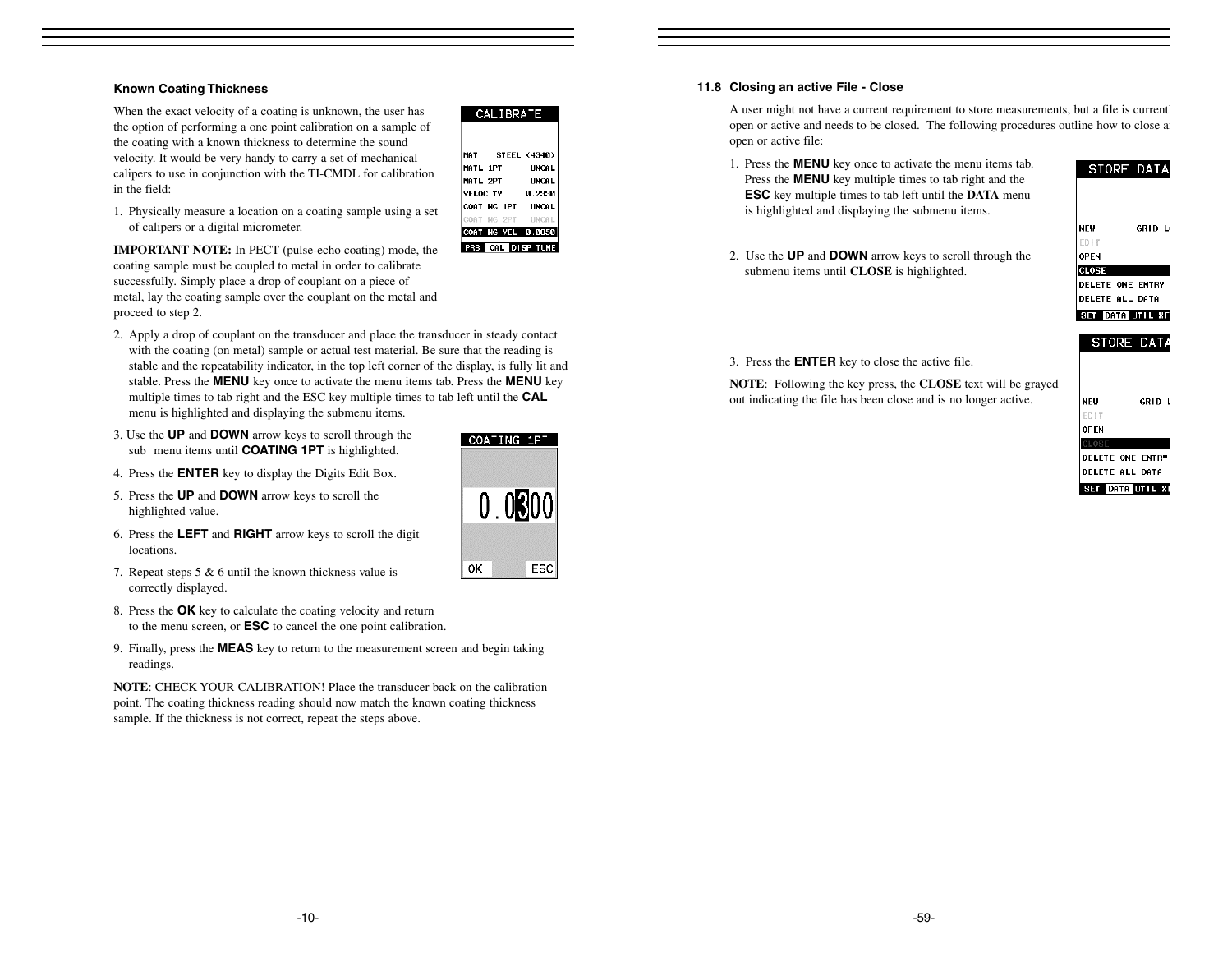## **Known Coating Thickness**

When the exact velocity of a coating is unknown, the user has the option of performing a one point calibration on a sample of the coating with a known thickness to determine the sound velocity. It would be very handy to carry a set of mechanical calipers to use in conjunction with the TI-CMDL for calibration in the field:

1. Physically measure a location on a coating sample using a set of calipers or a digital micrometer.

**IMPORTANT NOTE:** In PECT (pulse-echo coating) mode, the coating sample must be coupled to metal in order to calibrate successfully. Simply place a drop of couplant on a piece of metal, lay the coating sample over the couplant on the metal and proceed to step 2.

- 2. Apply a drop of couplant on the transducer and place the transducer in steady contact with the coating (on metal) sample or actual test material. Be sure that the reading is stable and the repeatability indicator, in the top left corner of the display, is fully lit and stable. Press the **MENU** key once to activate the menu items tab. Press the **MENU** key multiple times to tab right and the ESC key multiple times to tab left until the **CAL** menu is highlighted and displaying the submenu items.
- 3. Use the **UP** and **DOWN** arrow keys to scroll through the sub menu items until **COATING 1PT** is highlighted.
- 4. Press the **ENTER** key to display the Digits Edit Box.
- 5. Press the **UP** and **DOWN** arrow keys to scroll the highlighted value.
- 6. Press the **LEFT** and **RIGHT** arrow keys to scroll the digit locations.
- 7. Repeat steps 5 & 6 until the known thickness value is correctly displayed.
- 8. Press the **OK** key to calculate the coating velocity and return to the menu screen, or **ESC** to cancel the one point calibration.
- 9. Finally, press the **MEAS** key to return to the measurement screen and begin taking readings.

**NOTE**: CHECK YOUR CALIBRATION! Place the transducer back on the calibrationpoint. The coating thickness reading should now match the known coating thickness sample. If the thickness is not correct, repeat the steps above.



CALIBRATE

COATING 1PT UNCAL COATING 2PT

COATING VEL 0.0850

**PRB** CAL DISP TUNE

STEEL (4340)

**UNCAL** 

**UNCAL** 

0.2330

UNCA

MAT

MATL 1PT

MATL 2PT

**VELOCITY** 

#### **11.8 Closing an active File - Close**

A user might not have a current requirement to store measurements, but a file is currentl open or active and needs to be closed. The following procedures outline how to close an open or active file:

- 1. Press the **MENU** key once to activate the menu items tab. Press the **MENU** key multiple times to tab right and the **ESC** key multiple times to tab left until the **DATA** menu is highlighted and displaying the submenu items.
- **NFW** GRID LO **FDIT OPEN**

STORE DATA

2. Use the **UP** and **DOWN** arrow keys to scroll through the submenu items until **CLOSE** is highlighted.



# SET DATA UTIL XF STORE DATA

3. Press the **ENTER** key to close the active file.

**NOTE**: Following the key press, the **CLOSE** text will be grayed out indicating the file has been close and is no longer active.

| NEW                     | GRID L |
|-------------------------|--------|
| <b>FDIT</b>             |        |
| <b>OPEN</b>             |        |
| CLOSE                   |        |
| <b>DELETE ONE ENTRY</b> |        |
| DELETE ALL DATA         |        |
| SET DATA UTIL XI        |        |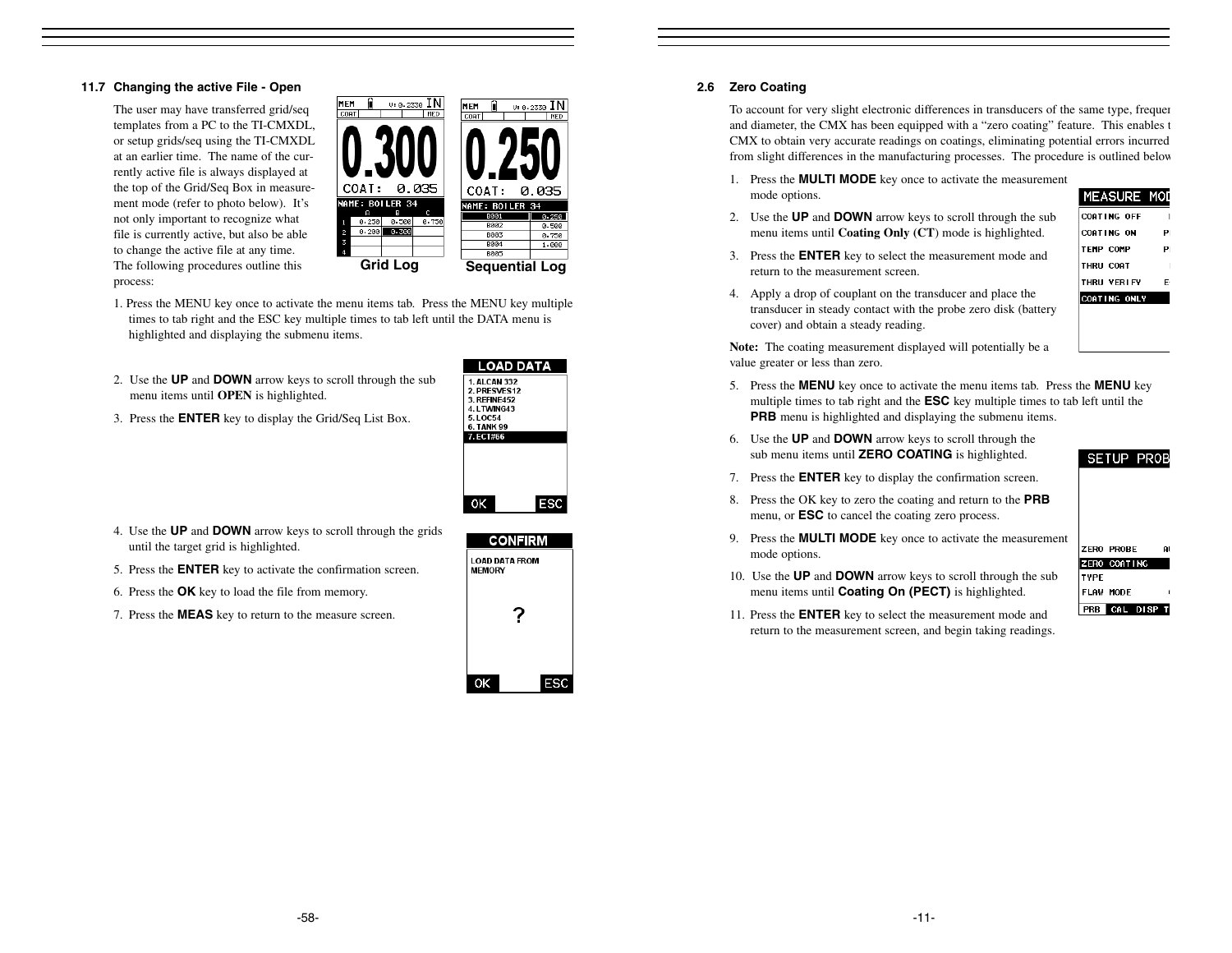#### **11.7 Changing the active File - Open**

The user may have transferred grid/seq templates from a PC to the TI-CMXDL, or setup grids/seq using the TI-CMXDL at an earlier time. The name of the currently active file is always displayed at the top of the Grid/Seq Box in measurement mode (refer to photo below). It's not only important to recognize what file is currently active, but also be able to change the active file at any time. The following procedures outline this process:



- 1. Press the MENU key once to activate the menu items tab. Press the MENU key multiple times to tab right and the ESC key multiple times to tab left until the DATA menu is highlighted and displaying the submenu items.
- 2. Use the **UP** and **DOWN** arrow keys to scroll through the sub menu items until **OPEN** is highlighted.

| LOAD DATA            |     |
|----------------------|-----|
| <b>1. AI CAN 332</b> |     |
| 2. PRESVES12         |     |
| <b>3. RFFINF452</b>  |     |
| 4. LTWING43          |     |
| 5.10054              |     |
| <b>6. TANK 99</b>    |     |
| 7. ECT#66            |     |
|                      |     |
|                      |     |
|                      |     |
|                      |     |
|                      |     |
|                      |     |
| ОΚ                   | ESC |
|                      |     |

3. Press the **ENTER** key to display the Grid/Seq List Box.

- 4. Use the **UP** and **DOWN** arrow keys to scroll through the grids until the target grid is highlighted.
- 5. Press the **ENTER** key to activate the confirmation screen.
- 6. Press the **OK** key to load the file from memory.
- 7. Press the **MEAS** key to return to the measure screen.



#### **2.6 Zero Coating**

To account for very slight electronic differences in transducers of the same type, frequen and diameter, the CMX has been equipped with a "zero coating" feature. This enables t CMX to obtain very accurate readings on coatings, eliminating potential errors incurred from slight differences in the manufacturing processes. The procedure is outlined below

- 1. Press the **MULTI MODE** key once to activate the measurement mode options.
- 2. Use the **UP** and **DOWN** arrow keys to scroll through the sub menu items until **Coating Only (CT**) mode is highlighted.
- 3. Press the **ENTER** key to select the measurement mode and return to the measurement screen.

#### CORTING ON  $P<sub>1</sub>$ **TEMP COMP** PI **THRU COAT THRU VERLFY** E-COATING ONLY

MEASURE MOD

COATING OFF

4. Apply a drop of couplant on the transducer and place the transducer in steady contact with the probe zero disk (battery cover) and obtain a steady reading.

**Note:** The coating measurement displayed will potentially be a value greater or less than zero.

- 5. Press the **MENU** key once to activate the menu items tab. Press the **MENU** key multiple times to tab right and the **ESC** key multiple times to tab left until the **PRB** menu is highlighted and displaying the submenu items.
- 6. Use the **UP** and **DOWN** arrow keys to scroll through the sub menu items until **ZERO COATING** is highlighted.

#### **SETUP PROB**

- 7. Press the **ENTER** key to display the confirmation screen.
- 8. Press the OK key to zero the coating and return to the **PRB** menu, or **ESC** to cancel the coating zero process.
- 9. Press the **MULTI MODE** key once to activate the measurement mode options.

|      | ZERO PROBE   |  |
|------|--------------|--|
|      | ZERO COATING |  |
| TYPE |              |  |
|      | FLAW MODE    |  |
|      |              |  |

- 10. Use the **UP** and **DOWN** arrow keys to scroll through the sub menu items until **Coating On (PECT)** is highlighted.
- 11. Press the **ENTER** key to select the measurement mode and return to the measurement screen, and begin taking readings.
-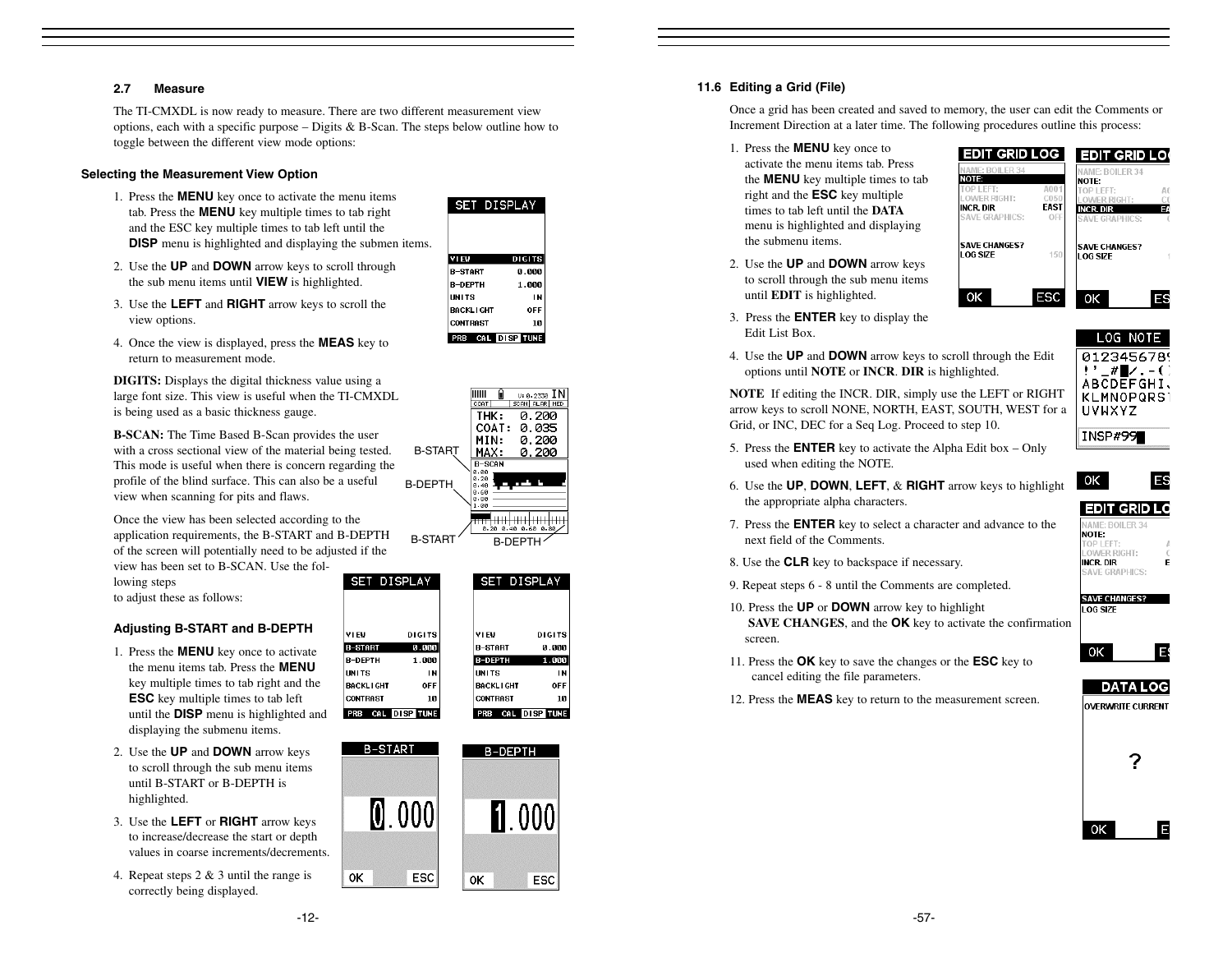## **2.7 Measure**

The TI-CMXDL is now ready to measure. There are two different measurement view options, each with a specific purpose – Digits & B-Scan. The steps below outline how to toggle between the different view mode options:

#### **Selecting the Measurement View Option**

- 1. Press the **MENU** key once to activate the menu items tab. Press the **MENU** key multiple times to tab right and the ESC key multiple times to tab left until the **DISP** menu is highlighted and displaying the submen items.
- 2. Use the **UP** and **DOWN** arrow keys to scroll through the sub menu items until **VIEW** is highlighted.
- 3. Use the **LEFT** and **RIGHT** arrow keys to scroll the view options.
- 4. Once the view is displayed, press the **MEAS** key to return to measurement mode.

**DIGITS:** Displays the digital thickness value using a large font size. This view is useful when the TI-CMXDL is being used as a basic thickness gauge.

**B-SCAN:** The Time Based B-Scan provides the user with a cross sectional view of the material being tested. This mode is useful when there is concern regarding the profile of the blind surface. This can also be a useful view when scanning for pits and flaws.

Once the view has been selected according to the application requirements, the B-START and B-DEPTH of the screen will potentially need to be adjusted if the

view has been set to B-SCAN. Use the following steps

to adjust these as follows:

# **Adjusting B-START and B-DEPTH**

- 1. Press the **MENU** key once to activate the menu items tab. Press the **MENU**key multiple times to tab right and the **ESC** key multiple times to tab left until the **DISP** menu is highlighted and displaying the submenu items.
- 2. Use the **UP** and **DOWN** arrow keys to scroll through the sub menu items until B-START or B-DEPTH ishighlighted.
- 3. Use the **LEFT** or **RIGHT** arrow keys to increase/decrease the start or depth values in coarse increments/decrements.
- 4. Repeat steps 2 & 3 until the range is correctly being displayed.

| <b>SET DISPLAY</b> |               |
|--------------------|---------------|
|                    |               |
|                    |               |
| VIEW               | <b>DIGITS</b> |
| R-START            | 0.000         |
| <b>R-DFPTH</b>     | 1.000         |
| <b>IINITS</b>      | IN            |
| <b>BACKLIGHT</b>   | OFF           |
| <b>CONTRAST</b>    | 10            |
| PRB CAL DISP TUNE  |               |



#### SET DISPLAY SET DISPLAY **DIGITS** VI EV. **DIGITS**  $0.000$ **B-START**  $0.000$ 1.000 B-DEPTH 1.000 IN **UNITS** OFF **BACKLIGHT** 10 **CONTRAST** 10 PRB CAL DISP TUNE PRB CAL DISP TUNE



#### **11.6 Editing a Grid (File)**

Once a grid has been created and saved to memory, the user can edit the Comments or Increment Direction at a later time. The following procedures outline this process:

- 1. Press the **MENU** key once to activate the menu items tab. Press the **MENU** key multiple times to tab right and the **ESC** key multiple times to tab left until the **DATA**menu is highlighted and displaying the submenu items.
- 2. Use the **UP** and **DOWN** arrow keys to scroll through the sub menu items until **EDIT** is highlighted.



- 3. Press the **ENTER** key to display the Edit List Box.
- 4. Use the **UP** and **DOWN** arrow keys to scroll through the Edit options until **NOTE** or **INCR**. **DIR** is highlighted.

**NOTE** If editing the INCR. DIR, simply use the LEFT or RIGHT arrow keys to scroll NONE, NORTH, EAST, SOUTH, WEST for a Grid, or INC, DEC for a Seq Log. Proceed to step 10.



LOG NOTE

5. Press the **ENTER** key to activate the Alpha Edit box – Only used when editing the NOTE.



- 6. Use the **UP**, **DOWN**, **LEFT**, & **RIGHT** arrow keys to highlight the appropriate alpha characters.
- 7. Press the **ENTER** key to select a character and advance to the next field of the Comments.
- 8. Use the **CLR** key to backspace if necessary.
- 9. Repeat steps 6 8 until the Comments are completed.
- 10. Press the **UP** or **DOWN** arrow key to highlight **SAVE CHANGES**, and the **OK** key to activate the confirmation screen.
- 11. Press the **OK** key to save the changes or the **ESC** key to cancel editing the file parameters.
- 12. Press the **MEAS** key to return to the measurement screen.



**SAVE CHANGES?** LOG SIZE

> Е 0K

# **DATA LOG**

**OVERWRITE CURRENT** 



B

0K

0K

VI EV

**B-START** 

B-DEPTH

**BACKLIGHT** 

**CONTRAST** 

**UNITS** 

-12-

IN **OFF**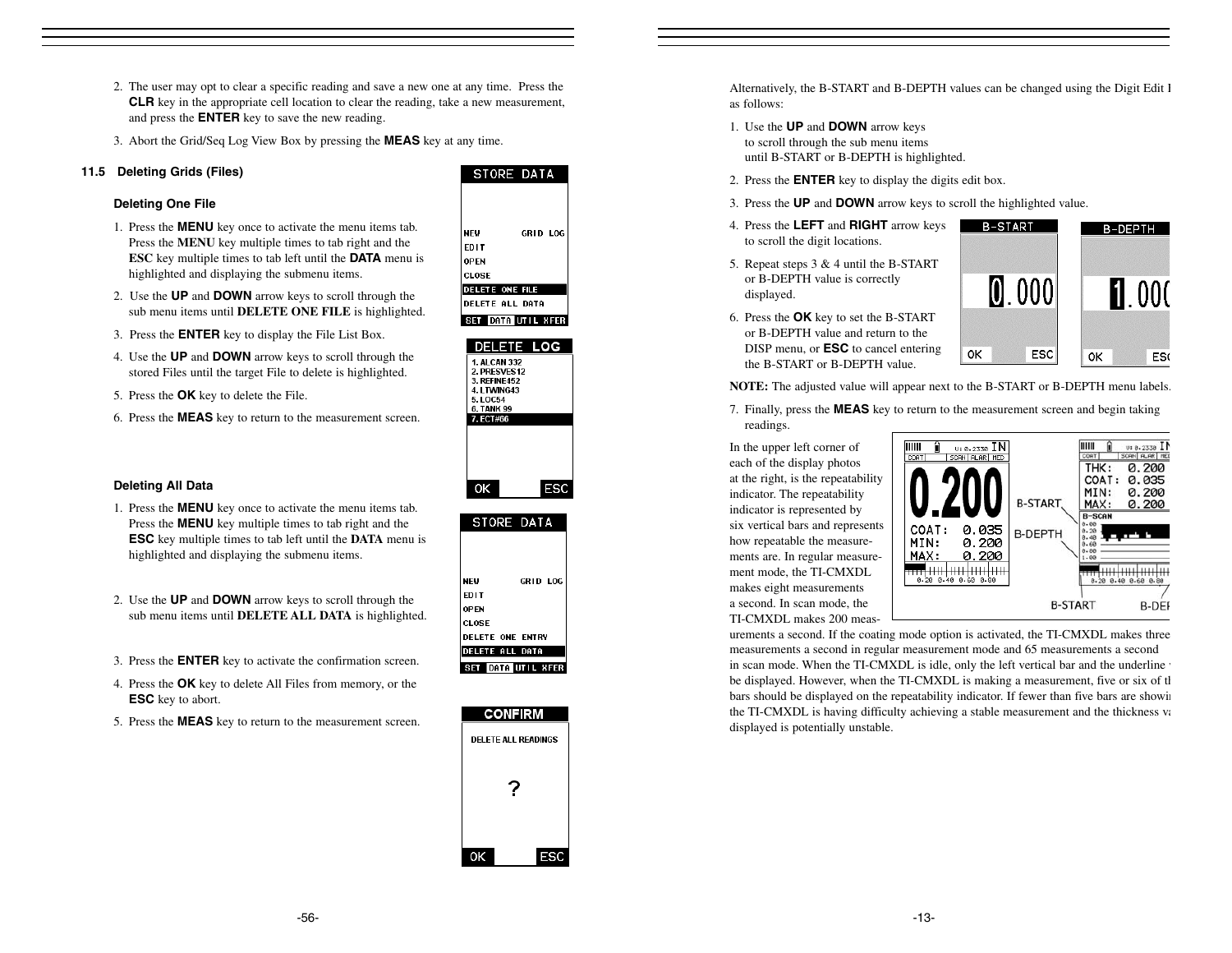- 2. The user may opt to clear a specific reading and save a new one at any time. Press the **CLR** key in the appropriate cell location to clear the reading, take a new measurement, and press the **ENTER** key to save the new reading.
- 3. Abort the Grid/Seq Log View Box by pressing the **MEAS** key at any time.

# **11.5 Deleting Grids (Files)**

# **Deleting One File**

- 1. Press the **MENU** key once to activate the menu items tab. Press the **MENU** key multiple times to tab right and the **ESC** key multiple times to tab left until the **DATA** menu is highlighted and displaying the submenu items.
- 2. Use the **UP** and **DOWN** arrow keys to scroll through the sub menu items until **DELETE ONE FILE** is highlighted.
- 3. Press the **ENTER** key to display the File List Box.
- 4. Use the **UP** and **DOWN** arrow keys to scroll through the stored Files until the target File to delete is highlighted.
- 5. Press the **OK** key to delete the File.
- 6. Press the **MEAS** key to return to the measurement screen.

# **NEW** GRID LOG **EDIT OPEN** CLOSE **DELETE ONE FILE DELETE ALL DATA** SET DATA UTIL XFER DELETE LOG

STORE DATA







Alternatively, the B-START and B-DEPTH values can be changed using the Digit Edit I as follows:

- 1. Use the **UP** and **DOWN** arrow keys to scroll through the sub menu items until B-START or B-DEPTH is highlighted.
- 2. Press the **ENTER** key to display the digits edit box.
- 3. Press the **UP** and **DOWN** arrow keys to scroll the highlighted value.
- 4. Press the **LEFT** and **RIGHT** arrow keys to scroll the digit locations.
- 5. Repeat steps 3 & 4 until the B-START or B-DEPTH value is correctly displayed.



**NOTE:** The adjusted value will appear next to the B-START or B-DEPTH menu labels.

ОK

7. Finally, press the **MEAS** key to return to the measurement screen and begin taking readings.

In the upper left corner of each of the display photos at the right, is the repeatability indicator. The repeatability indicator is represented by six vertical bars and represents how repeatable the measurements are. In regular measurement mode, the TI-CMXDL makes eight measurements a second. In scan mode, the TI-CMXDL makes 200 meas-



B-START

 $[0.000]$ 

ESC

0K

B-DEPTH

 $\Pi$  000

ES<sub>(</sub>

urements a second. If the coating mode option is activated, the TI-CMXDL makes three measurements a second in regular measurement mode and 65 measurements a second in scan mode. When the TI-CMXDL is idle, only the left vertical bar and the underline be displayed. However, when the TI-CMXDL is making a measurement, five or six of th bars should be displayed on the repeatability indicator. If fewer than five bars are showin the TI-CMXDL is having difficulty achieving a stable measurement and the thickness va displayed is potentially unstable.

**ESC** key multiple times to tab left until the **DATA** menu is highlighted and displaying the submenu items.

**Deleting All Data**

2. Use the **UP** and **DOWN** arrow keys to scroll through the sub menu items until **DELETE ALL DATA** is highlighted.

1. Press the **MENU** key once to activate the menu items tab. Press the **MENU** key multiple times to tab right and the

- 3. Press the **ENTER** key to activate the confirmation screen.
- 4. Press the **OK** key to delete All Files from memory, or the **ESC** key to abort.
- 5. Press the **MEAS** key to return to the measurement screen.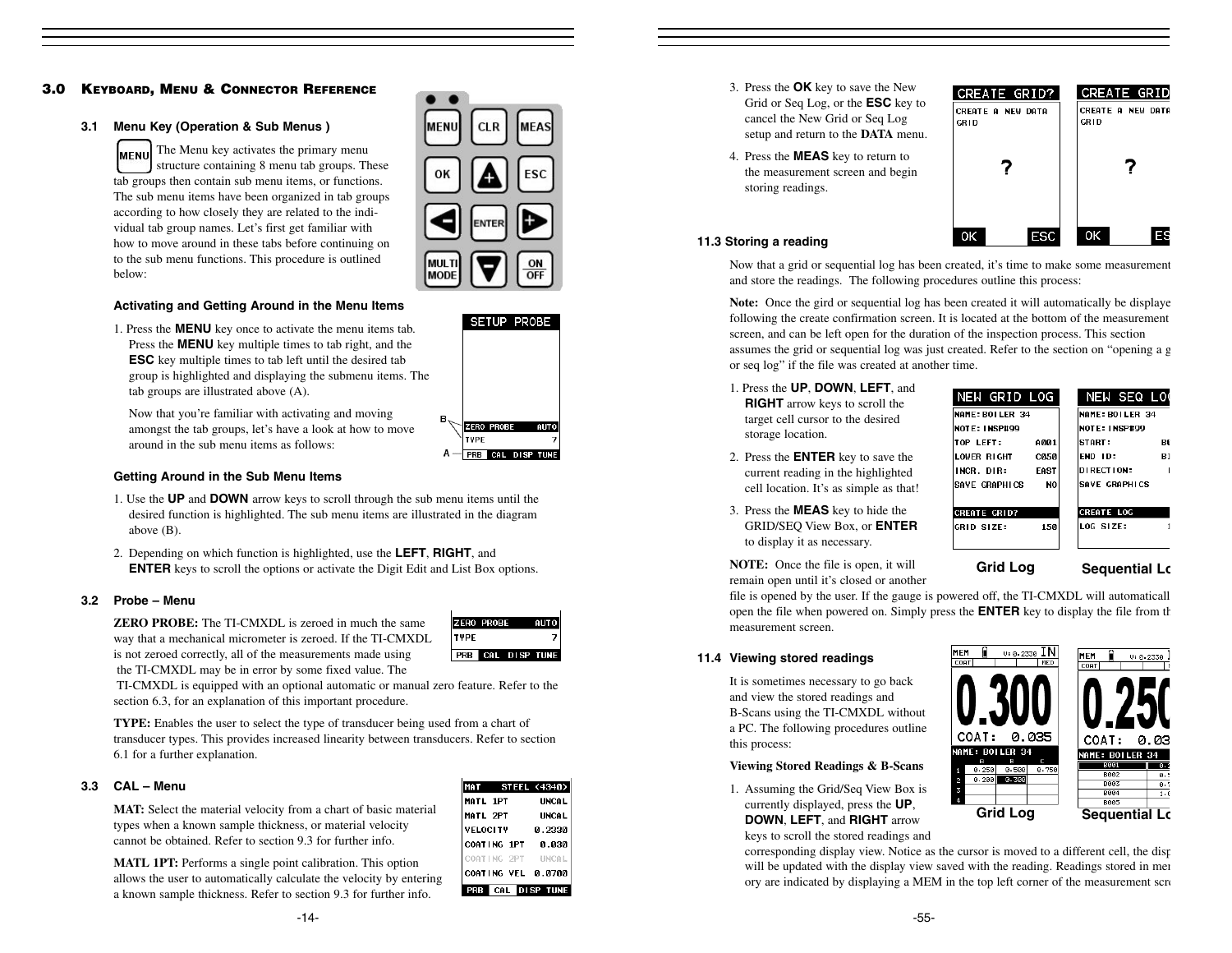# **3.0 KEYBOARD, MENU & CONNECTOR REFERENCE**

#### **3.1 Menu Key (Operation & Sub Menus )**

The Menu key activates the primary menu **IMENU** structure containing 8 menu tab groups. These tab groups then contain sub menu items, or functions. The sub menu items have been organized in tab groups according to how closely they are related to the individual tab group names. Let's first get familiar with how to move around in these tabs before continuing on to the sub menu functions. This procedure is outlined below:



SETUP PROBE

**AUTO** 

**ZERO PROBE** 

A - PRB CAL DISP TUNE

# **Activating and Getting Around in the Menu Items**

1. Press the **MENU** key once to activate the menu items tab. Press the **MENU** key multiple times to tab right, and the **ESC** key multiple times to tab left until the desired tab group is highlighted and displaying the submenu items. The tab groups are illustrated above (A).

Now that you're familiar with activating and moving amongst the tab groups, let's have a look at how to move around in the sub menu items as follows:

#### **Getting Around in the Sub Menu Items**

- 1. Use the **UP** and **DOWN** arrow keys to scroll through the sub menu items until the desired function is highlighted. The sub menu items are illustrated in the diagram above (B).
- 2. Depending on which function is highlighted, use the **LEFT**, **RIGHT**, and **ENTER** keys to scroll the options or activate the Digit Edit and List Box options.

#### **3.2 Probe – Menu**

**ZERO PROBE:** The TI-CMXDL is zeroed in much the sameway that a mechanical micrometer is zeroed. If the TI-CMXDL is not zeroed correctly, all of the measurements made using the TI-CMXDL may be in error by some fixed value. The



TI-CMXDL is equipped with an optional automatic or manual zero feature. Refer to the section 6.3, for an explanation of this important procedure.

**TYPE:** Enables the user to select the type of transducer being used from a chart of transducer types. This provides increased linearity between transducers. Refer to section 6.1 for a further explanation.

#### **3.3 CAL – Menu**

**MAT:** Select the material velocity from a chart of basic material types when a known sample thickness, or material velocity cannot be obtained. Refer to section 9.3 for further info.

**MATL 1PT:** Performs a single point calibration. This option allows the user to automatically calculate the velocity by entering a known sample thickness. Refer to section 9.3 for further info.

| MAT STEEL (4340) |              |  |  |
|------------------|--------------|--|--|
| MATL 1PT         | <b>UNCAL</b> |  |  |
| <b>MATL 2PT</b>  | <b>UNCAL</b> |  |  |
| <b>VFLOCITY</b>  | 0.2330       |  |  |
| COATING 1PT      | 0.030        |  |  |
| COATING 2PT      | <b>UNCAL</b> |  |  |
| COATING VEL      | 0.0700       |  |  |
| SP TI<br>l C     |              |  |  |

- 3. Press the **OK** key to save the New Grid or Seq Log, or the **ESC** key to cancel the New Grid or Seq Log setup and return to the **DATA** menu.
- 4. Press the **MEAS** key to return to the measurement screen and begin storing readings.



#### **11.3 Storing a reading**

Now that a grid or sequential log has been created, it's time to make some measurement and store the readings. The following procedures outline this process:

**Note:** Once the gird or sequential log has been created it will automatically be displaye following the create confirmation screen. It is located at the bottom of the measurement screen, and can be left open for the duration of the inspection process. This section assumes the grid or sequential log was just created. Refer to the section on "opening a g or seq log" if the file was created at another time.

1. Press the **UP**, **DOWN**, **LEFT**, and **RIGHT** arrow keys to scroll the target cell cursor to the desired storage location.

2. Press the **ENTER** key to save the current reading in the highlighted cell location. It's as simple as that!

3. Press the **MEAS** key to hide the GRID/SEQ View Box, or **ENTER** to display it as necessary.

NEW SEQ LO NEW GRID LOG NAME: BOILER 34 NAME: BOILER 34 NOTE: INSP#99 NOTE: INSP#99 TOP LEFT: A001 START: **BØ END ID:** LOWER RIGHT **B1 CA58** INCR. DIR: FAST DIRECTION: SAVE GRAPHICS SAVE GRAPHICS N<sub>0</sub> CREATE GRID? **CREATE LOC** LOG SIZE: GRID SIZE: 150

**Grid Log Sequential Lo**

**NOTE:** Once the file is open, it will

remain open until it's closed or another file is opened by the user. If the gauge is powered off, the TI-CMXDL will automaticall open the file when powered on. Simply press the **ENTER** key to display the file from th measurement screen.

#### **11.4 Viewing stored readings**

It is sometimes necessary to go back and view the stored readings and B-Scans using the TI-CMXDL without a PC. The following procedures outline this process:

#### **Viewing Stored Readings & B-Scans**

1. Assuming the Grid/Seq View Box is currently displayed, press the **UP**, **DOWN**, **LEFT**, and **RIGHT** arrow

keys to scroll the stored readings and

corresponding display view. Notice as the cursor is moved to a different cell, the disp will be updated with the display view saved with the reading. Readings stored in mem ory are indicated by displaying a MEM in the top left corner of the measurement scre



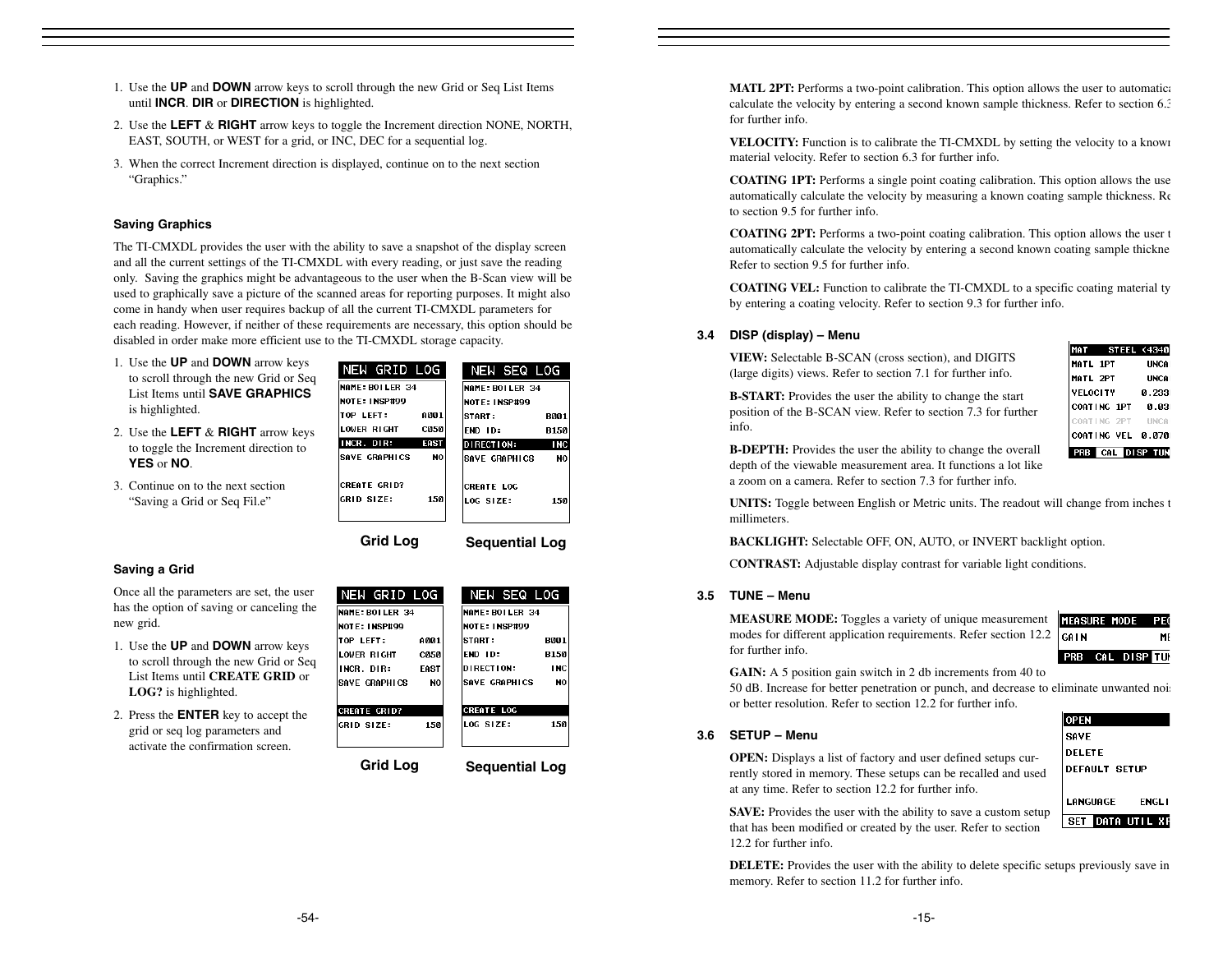- 1. Use the **UP** and **DOWN** arrow keys to scroll through the new Grid or Seq List Items until **INCR**. **DIR** or **DIRECTION** is highlighted.
- 2. Use the **LEFT** & **RIGHT** arrow keys to toggle the Increment direction NONE, NORTH, EAST, SOUTH, or WEST for a grid, or INC, DEC for a sequential log.
- 3. When the correct Increment direction is displayed, continue on to the next section "Graphics."

#### **Saving Graphics**

The TI-CMXDL provides the user with the ability to save a snapshot of the display screen and all the current settings of the TI-CMXDL with every reading, or just save the reading only. Saving the graphics might be advantageous to the user when the B-Scan view will be used to graphically save a picture of the scanned areas for reporting purposes. It might also come in handy when user requires backup of all the current TI-CMXDL parameters for each reading. However, if neither of these requirements are necessary, this option should be disabled in order make more efficient use to the TI-CMXDL storage capacity.

- 1. Use the **UP** and **DOWN** arrow keys to scroll through the new Grid or Seq List Items until **SAVE GRAPHICS**is highlighted.
- 2. Use the **LEFT** & **RIGHT** arrow keys to toggle the Increment direction to **YES** or **NO**.
- 3. Continue on to the next section "Saving a Grid or Seq Fil.e"

| NEW GRID LOG         |                  | NEW SEQ LOG       |             |
|----------------------|------------------|-------------------|-------------|
| NAME: BOILER 34      |                  | NAME: ROLLER 34   |             |
| <b>NOTE: INSP#99</b> |                  | NOTE: INSP#99     |             |
| TOP LEFT:            | A001             | ISTART :          | <b>B001</b> |
| LOWER RIGHT          | CO <sub>50</sub> | FND ID:           | <b>B150</b> |
| INCR. DIR:           | EAST             | DIRECTION:        |             |
| SAVE GRAPHICS        | N <sub>0</sub>   | ISAVE GRAPHICS    |             |
|                      |                  |                   |             |
| <b>CREATE GRID?</b>  |                  | <b>CREATE LOG</b> |             |
|                      | 1.50             | LOG SIZE:         |             |
| IGRID SIZF:          |                  |                   |             |

**Grid Log Sequential Log**

NEW GRID LOG

# **Saving a Grid**

Once all the parameters are set, the user has the option of saving or canceling the new grid.

- 1. Use the **UP** and **DOWN** arrow keys to scroll through the new Grid or Seq List Items until **CREATE GRID** or **LOG?** is highlighted.
- 2. Press the **ENTER** key to accept the grid or seq log parameters and activate the confirmation screen.

| NAME: BOILER 34       |             | NAME: BOILER 34                        |
|-----------------------|-------------|----------------------------------------|
| <b>NOTE: INSP#99</b>  |             | <b>NOTE: INSP#99</b>                   |
| <b>TOP LEFT:</b>      | A001        | <b>START :</b><br><b>B001</b>          |
| LOWER RIGHT           | <b>C050</b> | <b>END 1D:</b><br><b>B150</b>          |
| INCR. DIR:            | <b>FAST</b> | <b>DIRECTION:</b><br><b>INC</b>        |
| <b>ISAVE GRAPHICS</b> | N0          | <b>SAVE GRAPHICS</b><br>N <sub>0</sub> |
|                       |             |                                        |
| <b>CREATE GRID?</b>   |             | <b>CREATE LOG</b>                      |
| GRID SIZE:            | 150         | LOG SIZE:<br>1.50                      |
|                       |             |                                        |
|                       |             |                                        |

NEW SEQ LOG

**Grid Log Sequential Log**

**MATL 2PT:** Performs a two-point calibration. This option allows the user to automatical calculate the velocity by entering a second known sample thickness. Refer to section 6.3 for further info.

**VELOCITY:** Function is to calibrate the TI-CMXDL by setting the velocity to a known material velocity. Refer to section 6.3 for further info.

**COATING 1PT:** Performs a single point coating calibration. This option allows the use automatically calculate the velocity by measuring a known coating sample thickness. Re to section 9.5 for further info.

**COATING 2PT:** Performs a two-point coating calibration. This option allows the user t automatically calculate the velocity by entering a second known coating sample thickne Refer to section 9.5 for further info.

**COATING VEL:** Function to calibrate the TI-CMXDL to a specific coating material ty by entering a coating velocity. Refer to section 9.3 for further info.

#### **3.4 DISP (display) – Menu**

**VIEW:** Selectable B-SCAN (cross section), and DIGITS (large digits) views. Refer to section 7.1 for further info.

**B-START:** Provides the user the ability to change the start position of the B-SCAN view. Refer to section 7.3 for further info.

|                 |             | MAT STEEL (4340)    |
|-----------------|-------------|---------------------|
| <b>MATL 1PT</b> |             | <b>UNCA</b>         |
| MATL 2PT        |             | <b>UNCA</b>         |
| <b>VELOCITY</b> |             | A 2331              |
|                 | COATING 1PT | 0.031               |
|                 |             | COATING 2PT UNCAL   |
|                 |             | COATING VEL 0.070   |
|                 |             | <b>CAL DISP TUN</b> |

**B-DEPTH:** Provides the user the ability to change the overall depth of the viewable measurement area. It functions a lot like a zoom on a camera. Refer to section 7.3 for further info.

**UNITS:** Toggle between English or Metric units. The readout will change from inches t millimeters.

**BACKLIGHT:** Selectable OFF, ON, AUTO, or INVERT backlight option.

C**ONTRAST:** Adjustable display contrast for variable light conditions.

#### **3.5 TUNE – Menu**

Ŀ **MEASURE MODE:** Toggles a variety of unique measurement modes for different application requirements. Refer section 12.2 |c for further info.

|     | ieasure mode Peq |    |
|-----|------------------|----|
| ΆIΝ |                  | MF |
|     | PRB CAL DISPETUD |    |

**GAIN:** A 5 position gain switch in 2 db increments from 40 to

50 dB. Increase for better penetration or punch, and decrease to eliminate unwanted nois or better resolution. Refer to section 12.2 for further info.

#### **3.6 SETUP – Menu**

**OPEN:** Displays a list of factory and user defined setups currently stored in memory. These setups can be recalled and used at any time. Refer to section 12.2 for further info.



**SAVE:** Provides the user with the ability to save a custom setup that has been modified or created by the user. Refer to section 12.2 for further info.

**DELETE:** Provides the user with the ability to delete specific setups previously save in memory. Refer to section 11.2 for further info.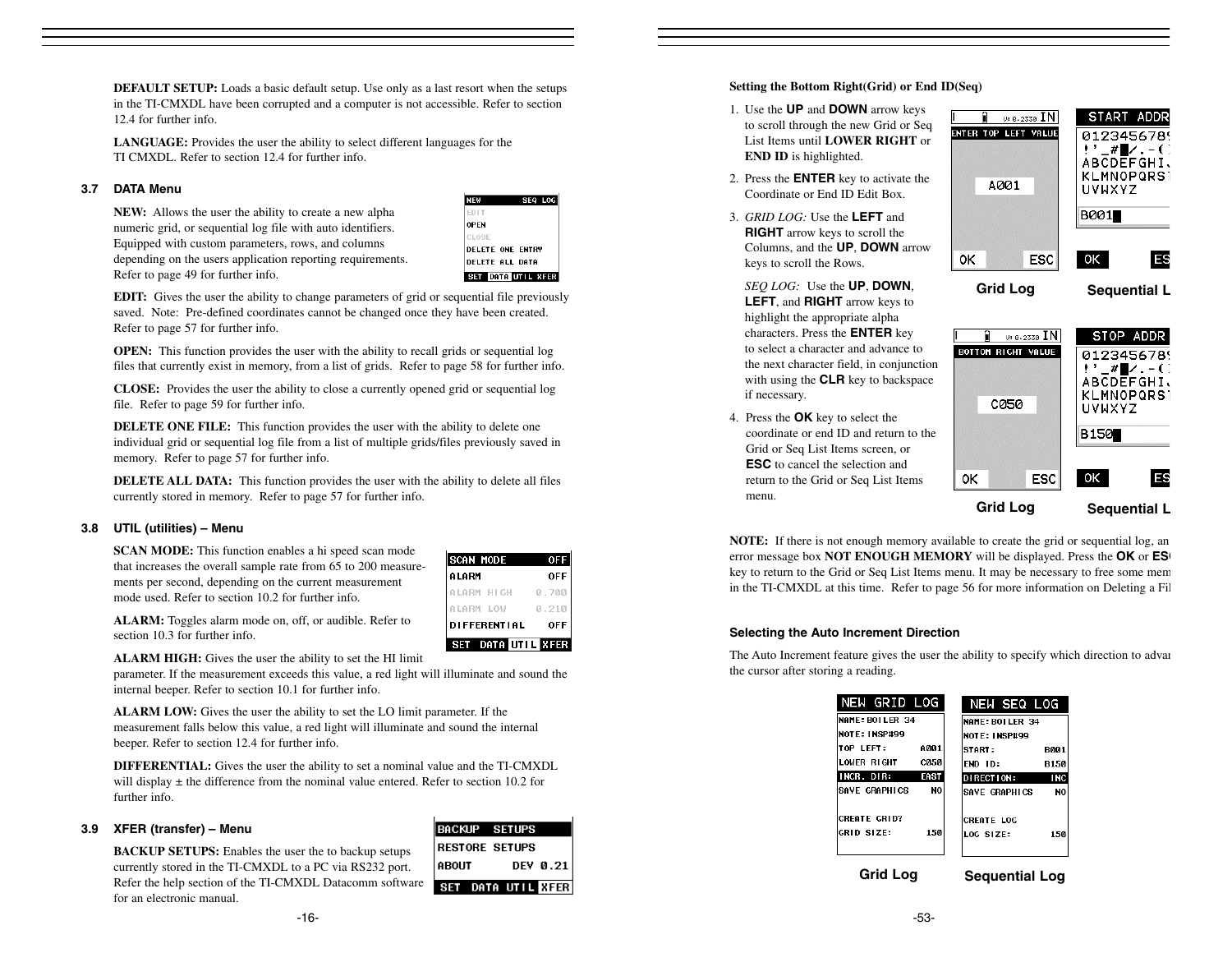**DEFAULT SETUP:** Loads a basic default setup. Use only as a last resort when the setups in the TI-CMXDL have been corrupted and a computer is not accessible. Refer to section 12.4 for further info.

**LANGUAGE:** Provides the user the ability to select different languages for the TI CMXDL. Refer to section 12.4 for further info.

#### **3.7 DATA Menu**

**NEW:** Allows the user the ability to create a new alpha numeric grid, or sequential log file with auto identifiers. Equipped with custom parameters, rows, and columns depending on the users application reporting requirements. Refer to page 49 for further info.



**EDIT:** Gives the user the ability to change parameters of grid or sequential file previously saved. Note: Pre-defined coordinates cannot be changed once they have been created. Refer to page 57 for further info.

**OPEN:** This function provides the user with the ability to recall grids or sequential log files that currently exist in memory, from a list of grids. Refer to page 58 for further info.

**CLOSE:** Provides the user the ability to close a currently opened grid or sequential log file. Refer to page 59 for further info.

**DELETE ONE FILE:** This function provides the user with the ability to delete one individual grid or sequential log file from a list of multiple grids/files previously saved in memory. Refer to page 57 for further info.

**DELETE ALL DATA:** This function provides the user with the ability to delete all files currently stored in memory. Refer to page 57 for further info.

# **3.8 UTIL (utilities) – Menu**

**SCAN MODE:** This function enables a hi speed scan mode that increases the overall sample rate from 65 to 200 measurements per second, depending on the current measurement mode used. Refer to section 10.2 for further info.

| <b>SCAN MODE</b><br>0FF |                     |            |  |
|-------------------------|---------------------|------------|--|
| ALARM                   |                     | <b>OFF</b> |  |
| ILARM HIGH              |                     | 0.700      |  |
| LARM LOW                |                     | .210<br>Й  |  |
|                         | <b>DIFFERENTIAL</b> | <b>OFF</b> |  |
|                         |                     |            |  |

**ALARM:** Toggles alarm mode on, off, or audible. Refer to section 10.3 for further info.

**ALARM HIGH:** Gives the user the ability to set the HI limit

parameter. If the measurement exceeds this value, a red light will illuminate and sound the internal beeper. Refer to section 10.1 for further info.

**ALARM LOW:** Gives the user the ability to set the LO limit parameter. If the measurement falls below this value, a red light will illuminate and sound the internal beeper. Refer to section 12.4 for further info.

**DIFFERENTIAL:** Gives the user the ability to set a nominal value and the TI-CMXDL will display  $\pm$  the difference from the nominal value entered. Refer to section 10.2 for further info.

#### **3.9 XFER (transfer) – Menu**

**BACKUP SETUPS:** Enables the user the to backup setups currently stored in the TI-CMXDL to a PC via RS232 port. Refer the help section of the TI-CMXDL Datacomm software for an electronic manual.

| ∥BACKUP SETUPS        |                    |
|-----------------------|--------------------|
| <b>RESTORE SETUPS</b> |                    |
| <b>ABOUT</b>          | DEV 0.21           |
|                       | SET DATA UTIL KFER |

**Setting the Bottom Right(Grid) or End ID(Seq)**

- 1. Use the **UP** and **DOWN** arrow keys to scroll through the new Grid or Seq List Items until **LOWER RIGHT** or **END ID** is highlighted.
- 2. Press the **ENTER** key to activate the Coordinate or End ID Edit Box.
- 3. *GRID LOG:* Use the **LEFT** and **RIGHT** arrow keys to scroll the Columns, and the **UP**, **DOWN** arrow keys to scroll the Rows.

*SEQ LOG:* Use the **UP**, **DOWN**, **LEFT**, and **RIGHT** arrow keys to highlight the appropriate alpha characters. Press the **ENTER** key to select a character and advance to the next character field, in conjunction with using the **CLR** key to backspace if necessary.

4. Press the **OK** key to select the coordinate or end ID and return to the Grid or Seq List Items screen, or **ESC** to cancel the selection and return to the Grid or Seq List Items menu.





**NOTE:** If there is not enough memory available to create the grid or sequential log, an error message box **NOT ENOUGH MEMORY** will be displayed. Press the **OK** or **ES**<sup>*l*</sup> key to return to the Grid or Seq List Items menu. It may be necessary to free some mem in the TI-CMXDL at this time. Refer to page 56 for more information on Deleting a Fil

## **Selecting the Auto Increment Direction**

The Auto Increment feature gives the user the ability to specify which direction to advan the cursor after storing a reading.

|                 | NEW SEQ LOG           |
|-----------------|-----------------------|
| NAME: BOILER 34 | NAME: BOILER 34       |
|                 | NOTE: INSP#99         |
| A001            | ISTART :              |
| <b>C050</b>     | FND ID:               |
| <b>EAST</b>     | DIRECTION:            |
| N <sub>0</sub>  | SAVE GRAPHICS         |
|                 | <b>CREATE LOG</b>     |
| 150             | LOG SIZE:             |
|                 | <b>Sequential Log</b> |
|                 | <b>Grid Log</b>       |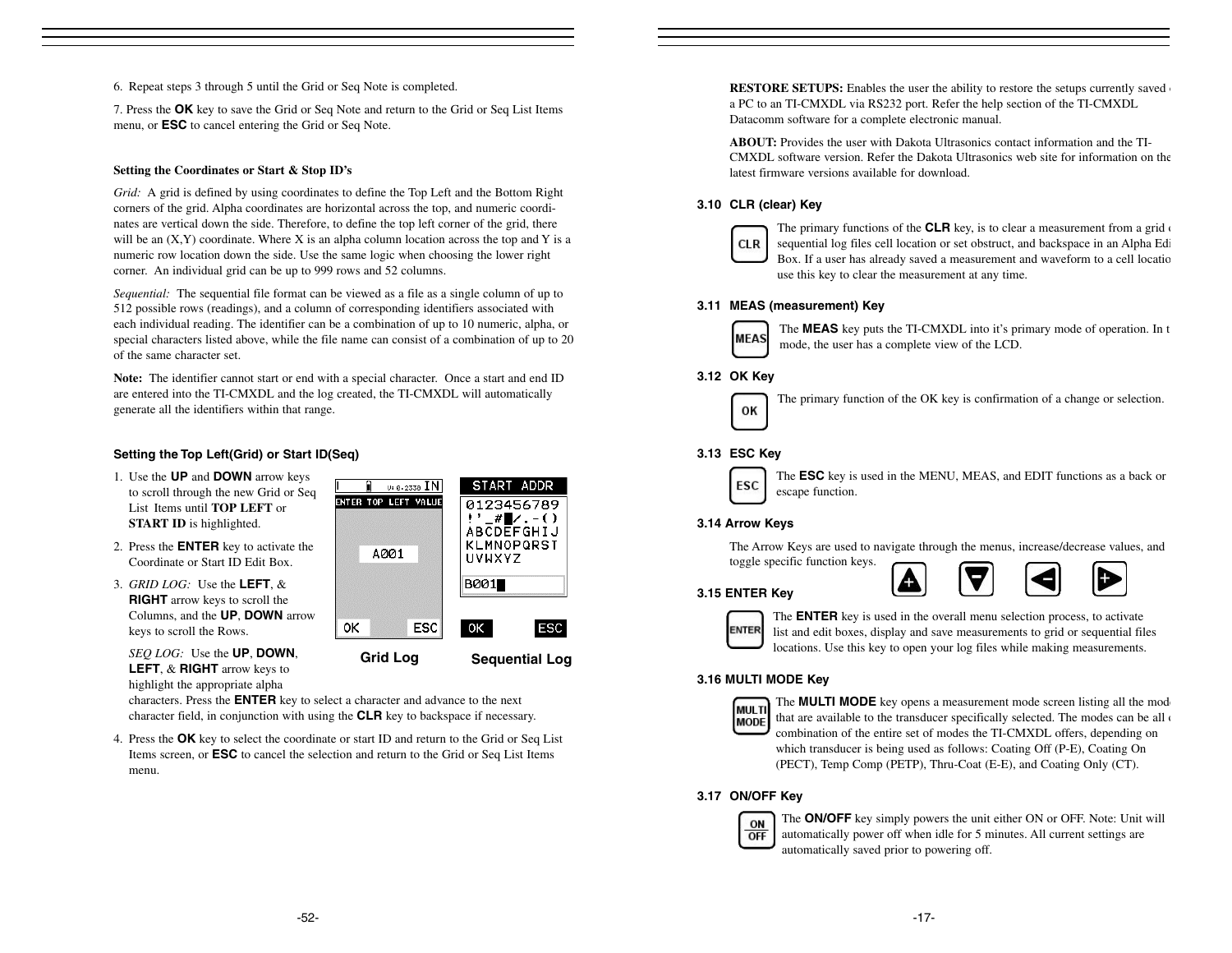6. Repeat steps 3 through 5 until the Grid or Seq Note is completed.

7. Press the **OK** key to save the Grid or Seq Note and return to the Grid or Seq List Items menu, or **ESC** to cancel entering the Grid or Seq Note.

# **Setting the Coordinates or Start & Stop ID's**

*Grid:* A grid is defined by using coordinates to define the Top Left and the Bottom Right corners of the grid. Alpha coordinates are horizontal across the top, and numeric coordinates are vertical down the side. Therefore, to define the top left corner of the grid, there will be an  $(X, Y)$  coordinate. Where X is an alpha column location across the top and Y is a numeric row location down the side. Use the same logic when choosing the lower right corner. An individual grid can be up to 999 rows and 52 columns.

*Sequential:* The sequential file format can be viewed as a file as a single column of up to 512 possible rows (readings), and a column of corresponding identifiers associated with each individual reading. The identifier can be a combination of up to 10 numeric, alpha, or special characters listed above, while the file name can consist of a combination of up to 20 of the same character set.

**Note:** The identifier cannot start or end with a special character. Once a start and end ID are entered into the TI-CMXDL and the log created, the TI-CMXDL will automatically generate all the identifiers within that range.

ENT

# **Setting the Top Left(Grid) or Start ID(Seq)**

- 1. Use the **UP** and **DOWN** arrow keys to scroll through the new Grid or Seq List Items until **TOP LEFT** or **START ID** is highlighted.
- 2. Press the **ENTER** key to activate the Coordinate or Start ID Edit Box.
- 3. *GRID LOG:* Use the **LEFT**, & **RIGHT** arrow keys to scroll the Columns, and the **UP**, **DOWN** arrow keys to scroll the Rows.

| Ē                          |      |            |                       |                                                     |
|----------------------------|------|------------|-----------------------|-----------------------------------------------------|
| <b>NTER TOP LEFT VALUE</b> | A001 |            | uvuxyz<br><b>B001</b> | 0123456789<br>#∎∠. – ()<br>ABCDEFGHIJ<br>KLMNOPQRST |
| oκ                         |      | <b>ESC</b> | 0K I                  | ESC                                                 |
| <b>Grid Log</b>            |      |            |                       | <b>Sequential Log</b>                               |

START ADDR

 $\overline{u}$ : A. 2338  $\overline{IN}$ 

*SEQ LOG:* Use the **UP**, **DOWN**, **LEFT**, & **RIGHT** arrow keys to highlight the appropriate alpha

characters. Press the **ENTER** key to select a character and advance to the next character field, in conjunction with using the **CLR** key to backspace if necessary.

4. Press the **OK** key to select the coordinate or start ID and return to the Grid or Seq List Items screen, or **ESC** to cancel the selection and return to the Grid or Seq List Items menu.

**RESTORE SETUPS:** Enables the user the ability to restore the setups currently saved a PC to an TI-CMXDL via RS232 port. Refer the help section of the TI-CMXDL Datacomm software for a complete electronic manual.

**ABOUT:** Provides the user with Dakota Ultrasonics contact information and the TI-CMXDL software version. Refer the Dakota Ultrasonics web site for information on thelatest firmware versions available for download.

# **3.10 CLR (clear) Key**



The primary functions of the **CLR** key, is to clear a measurement from a grid of sequential log files cell location or set obstruct, and backspace in an Alpha Edi Box. If a user has already saved a measurement and waveform to a cell locatio use this key to clear the measurement at any time.

# **3.11 MEAS (measurement) Key**



The **MEAS** key puts the TI-CMXDL into it's primary mode of operation. In t mode, the user has a complete view of the LCD.

# **3.12 OK Key**



The primary function of the OK key is confirmation of a change or selection.

# **3.13 ESC Key**



The **ESC** key is used in the MENU, MEAS, and EDIT functions as a back or escape function.

# **3.14 Arrow Keys**

The Arrow Keys are used to navigate through the menus, increase/decrease values, and toggle specific function keys.

# **3.15 ENTER Key**



The **ENTER** key is used in the overall menu selection process, to activate list and edit boxes, display and save measurements to grid or sequential files locations. Use this key to open your log files while making measurements.

# **3.16 MULTI MODE Key**



The **MULTI MODE** key opens a measurement mode screen listing all the mode that are available to the transducer specifically selected. The modes can be all  $\epsilon$ combination of the entire set of modes the TI-CMXDL offers, depending on which transducer is being used as follows: Coating Off (P-E), Coating On (PECT), Temp Comp (PETP), Thru-Coat (E-E), and Coating Only (CT).

# **3.17 ON/OFF Key**



The **ON/OFF** key simply powers the unit either ON or OFF. Note: Unit will automatically power off when idle for 5 minutes. All current settings are automatically saved prior to powering off.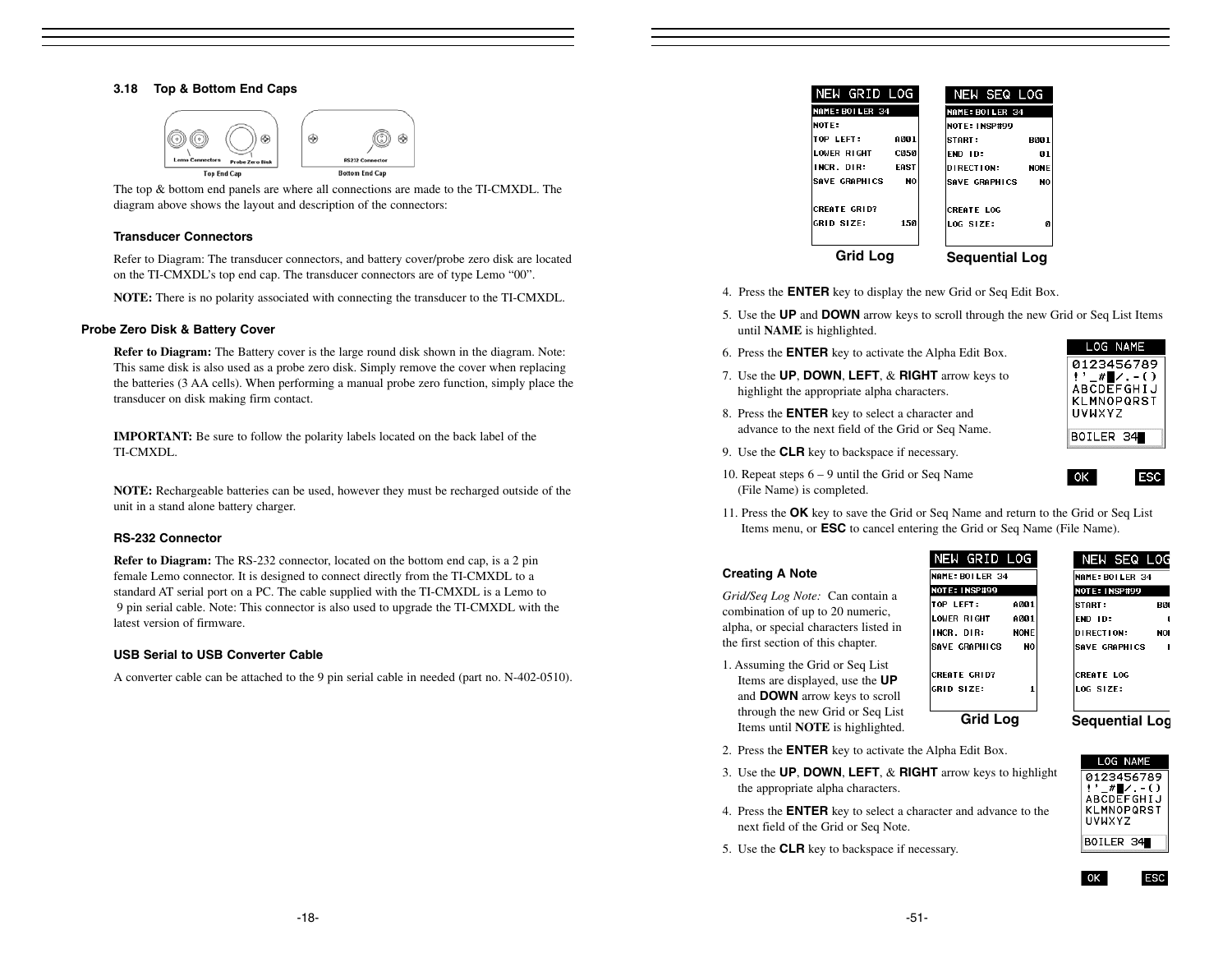#### **3.18 Top & Bottom End Caps**





#### **Transducer Connectors**

Refer to Diagram: The transducer connectors, and battery cover/probe zero disk are located on the TI-CMXDL's top end cap. The transducer connectors are of type Lemo "00".

**NOTE:** There is no polarity associated with connecting the transducer to the TI-CMXDL.

#### **Probe Zero Disk & Battery Cover**

**Refer to Diagram:** The Battery cover is the large round disk shown in the diagram. Note: This same disk is also used as a probe zero disk. Simply remove the cover when replacing the batteries (3 AA cells). When performing a manual probe zero function, simply place the transducer on disk making firm contact.

**IMPORTANT:** Be sure to follow the polarity labels located on the back label of the TI-CMXDL.

**NOTE:** Rechargeable batteries can be used, however they must be recharged outside of the unit in a stand alone battery charger.

#### **RS-232 Connector**

**Refer to Diagram:** The RS-232 connector, located on the bottom end cap, is a 2 pin female Lemo connector. It is designed to connect directly from the TI-CMXDL to a standard AT serial port on a PC. The cable supplied with the TI-CMXDL is a Lemo to 9 pin serial cable. Note: This connector is also used to upgrade the TI-CMXDL with the latest version of firmware.

#### **USB Serial to USB Converter Cable**

A converter cable can be attached to the 9 pin serial cable in needed (part no. N-402-0510).

| NEW GRID LOG        | NEW SEQ LOG           |
|---------------------|-----------------------|
| NAME: BOILER 34     | NAME: BOILER 34       |
| NOTE:               | NOTE: INSP#99         |
| A001                | B001                  |
| TOP LEFT:           | <b>START:</b>         |
| LOWER RIGHT         | END ID:               |
| <b>C050</b>         | 01                    |
| EAST                | DIRECTION:            |
| INCR. DIR:          | <b>NONE</b>           |
| SAVE GRAPHICS       | <b>SAVE GRAPHICS</b>  |
| NO                  | NO                    |
| <b>CREATE GRID?</b> | <b>CREATE LOG</b>     |
| <b>GRID SIZE:</b>   | LOG SIZE:             |
| 150                 | n                     |
| Grid Log            | <b>Sequential Log</b> |

- 4. Press the **ENTER** key to display the new Grid or Seq Edit Box.
- 5. Use the **UP** and **DOWN** arrow keys to scroll through the new Grid or Seq List Items until **NAME** is highlighted.
- 6. Press the **ENTER** key to activate the Alpha Edit Box.
- 7. Use the **UP**, **DOWN**, **LEFT**, & **RIGHT** arrow keys to highlight the appropriate alpha characters.
- 8. Press the **ENTER** key to select a character and advance to the next field of the Grid or Seq Name.
- 9. Use the **CLR** key to backspace if necessary.



LOG NAME

- 10. Repeat steps 6 9 until the Grid or Seq Name (File Name) is completed.
- 11. Press the **OK** key to save the Grid or Seq Name and return to the Grid or Seq List Items menu, or **ESC** to cancel entering the Grid or Seq Name (File Name).

#### **Creating A Note**

*Grid/Seq Log Note:* Can contain a combination of up to 20 numeric, alpha, or special characters listed in the first section of this chapter.

1. Assuming the Grid or Seq List Items are displayed, use the **UP** and **DOWN** arrow keys to scroll through the new Grid or Seq List Items until **NOTE** is highlighted.



| NEW SEQ LOG            |     |
|------------------------|-----|
| <b>MAME: BOILER 34</b> |     |
| <b>NOTE: INSP#99</b>   |     |
| START :                | RAC |
| END ID:                |     |
| <b>DIRECTION:</b>      | NO! |
| SAVE GRAPHICS          |     |
|                        |     |
| <b>CREATE LOG</b>      |     |
| LOG SIZE:              |     |
|                        |     |

**Grid Log Sequential Log**

l ok

LOG NAME 0123456789 ABCDEFGHIJ KLMNOPQRST **UVWXYZ** BOILER 34

**ESC** 

- 2. Press the **ENTER** key to activate the Alpha Edit Box.
- 3. Use the **UP**, **DOWN**, **LEFT**, & **RIGHT** arrow keys to highlight the appropriate alpha characters.
- 4. Press the **ENTER** key to select a character and advance to the next field of the Grid or Seq Note.
- 5. Use the **CLR** key to backspace if necessary.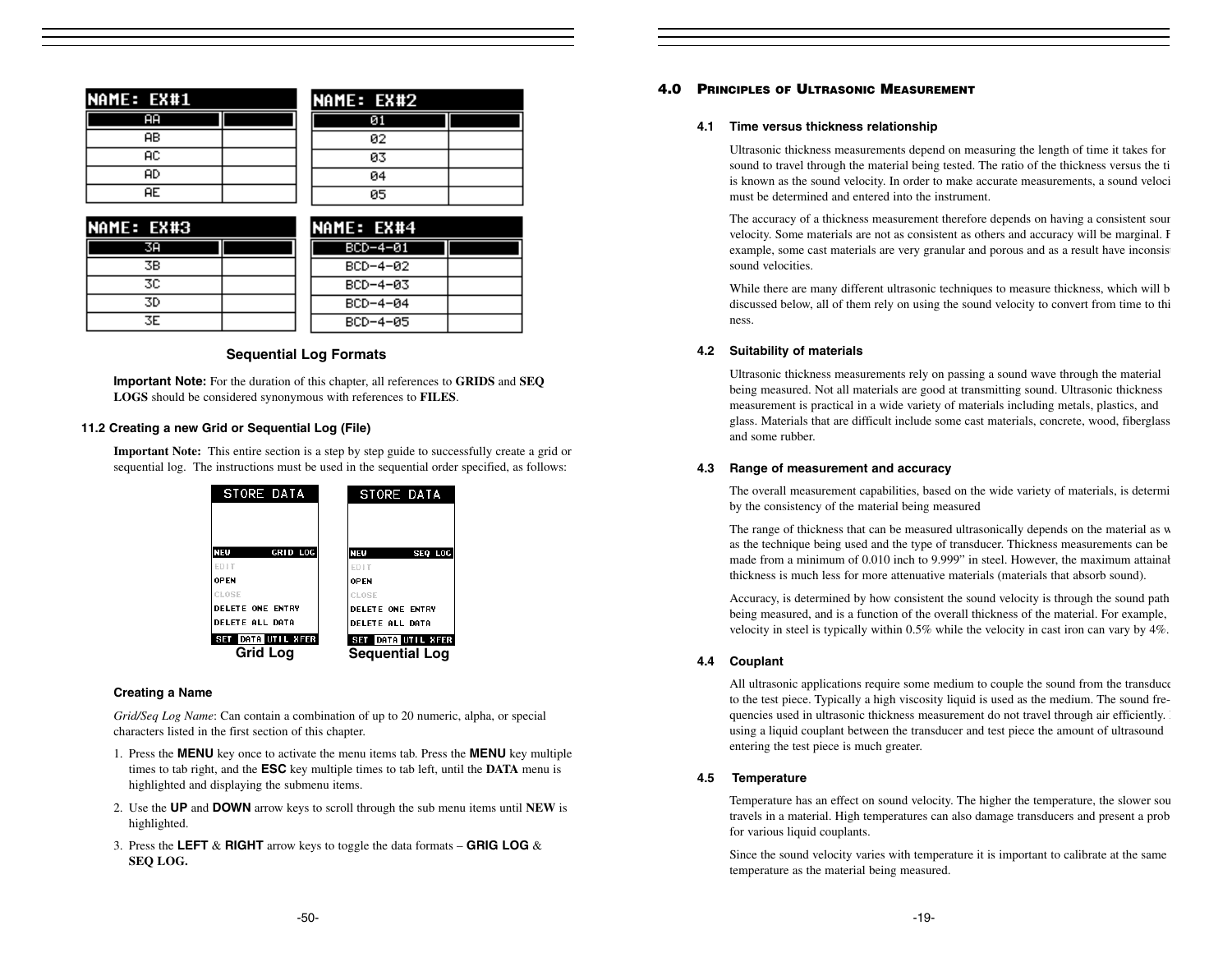| NAME: EX#1     | NAME: EX#2 |  |
|----------------|------------|--|
| $\overline{A}$ | 01         |  |
| AB.            | 02         |  |
| AС             | 03         |  |
| AD             | 04         |  |
| AE.            | 05         |  |

| <b>INAME: EX#3</b> |  | <b>INAME: EX#4</b> |  |
|--------------------|--|--------------------|--|
| 38                 |  | $BCD-4-01$         |  |
| 3В                 |  | $BCD-4-02$         |  |
| 3C.                |  | $BCD-4-03$         |  |
| 3D                 |  | $BCD-4-84$         |  |
| 3E.                |  | $BCD-4-05$         |  |

# **Sequential Log Formats**

**Important Note:** For the duration of this chapter, all references to **GRIDS** and **SEQ LOGS** should be considered synonymous with references to **FILES**.

#### **11.2 Creating a new Grid or Sequential Log (File)**

**Important Note:** This entire section is a step by step guide to successfully create a grid or sequential log. The instructions must be used in the sequential order specified, as follows:

| STORE DATA                     | STORE DATA                                  |
|--------------------------------|---------------------------------------------|
| NEW<br>GRID LOG<br><b>ED1T</b> | NEW<br>SEQ LOG<br><b>FDIT</b>               |
| <b>OPFN</b>                    | <b>OPFN</b>                                 |
| CLOSE                          | CLOSE                                       |
| <b>DELETE ONE ENTRY</b>        | <b>DELETE ONE ENTRY</b>                     |
| <b>DELETE ALL DATA</b>         | <b>DELETE ALL DATA</b>                      |
| SET DATA UTIL XFER<br>Grid Loa | SET DATA UTIL XFER<br><b>Sequential Log</b> |

# **Creating a Name**

*Grid/Seq Log Name*: Can contain a combination of up to 20 numeric, alpha, or special characters listed in the first section of this chapter.

- 1. Press the **MENU** key once to activate the menu items tab. Press the **MENU** key multiple times to tab right, and the **ESC** key multiple times to tab left, until the **DATA** menu is highlighted and displaying the submenu items.
- 2. Use the **UP** and **DOWN** arrow keys to scroll through the sub menu items until **NEW** is highlighted.
- 3. Press the **LEFT** & **RIGHT** arrow keys to toggle the data formats **GRIG LOG** & **SEQ LOG.**

# **4.0 PRINCIPLES OF ULTRASONIC MEASUREMENT**

#### **4.1 Time versus thickness relationship**

Ultrasonic thickness measurements depend on measuring the length of time it takes for sound to travel through the material being tested. The ratio of the thickness versus the ti is known as the sound velocity. In order to make accurate measurements, a sound veloci must be determined and entered into the instrument.

The accuracy of a thickness measurement therefore depends on having a consistent soun velocity. Some materials are not as consistent as others and accuracy will be marginal. F example, some cast materials are very granular and porous and as a result have inconsisted sound velocities.

While there are many different ultrasonic techniques to measure thickness, which will b discussed below, all of them rely on using the sound velocity to convert from time to thi ness.

#### **4.2 Suitability of materials**

Ultrasonic thickness measurements rely on passing a sound wave through the material being measured. Not all materials are good at transmitting sound. Ultrasonic thickness measurement is practical in a wide variety of materials including metals, plastics, and glass. Materials that are difficult include some cast materials, concrete, wood, fiberglass and some rubber.

#### **4.3 Range of measurement and accuracy**

The overall measurement capabilities, based on the wide variety of materials, is determi by the consistency of the material being measured

The range of thickness that can be measured ultrasonically depends on the material as w as the technique being used and the type of transducer. Thickness measurements can be made from a minimum of 0.010 inch to 9.999" in steel. However, the maximum attainab thickness is much less for more attenuative materials (materials that absorb sound).

Accuracy, is determined by how consistent the sound velocity is through the sound path being measured, and is a function of the overall thickness of the material. For example, velocity in steel is typically within 0.5% while the velocity in cast iron can vary by 4%.

# **4.4 Couplant**

All ultrasonic applications require some medium to couple the sound from the transduce to the test piece. Typically a high viscosity liquid is used as the medium. The sound frequencies used in ultrasonic thickness measurement do not travel through air efficiently. using a liquid couplant between the transducer and test piece the amount of ultrasound entering the test piece is much greater.

#### **4.5 Temperature**

Temperature has an effect on sound velocity. The higher the temperature, the slower sou travels in a material. High temperatures can also damage transducers and present a prob for various liquid couplants.

Since the sound velocity varies with temperature it is important to calibrate at the same temperature as the material being measured.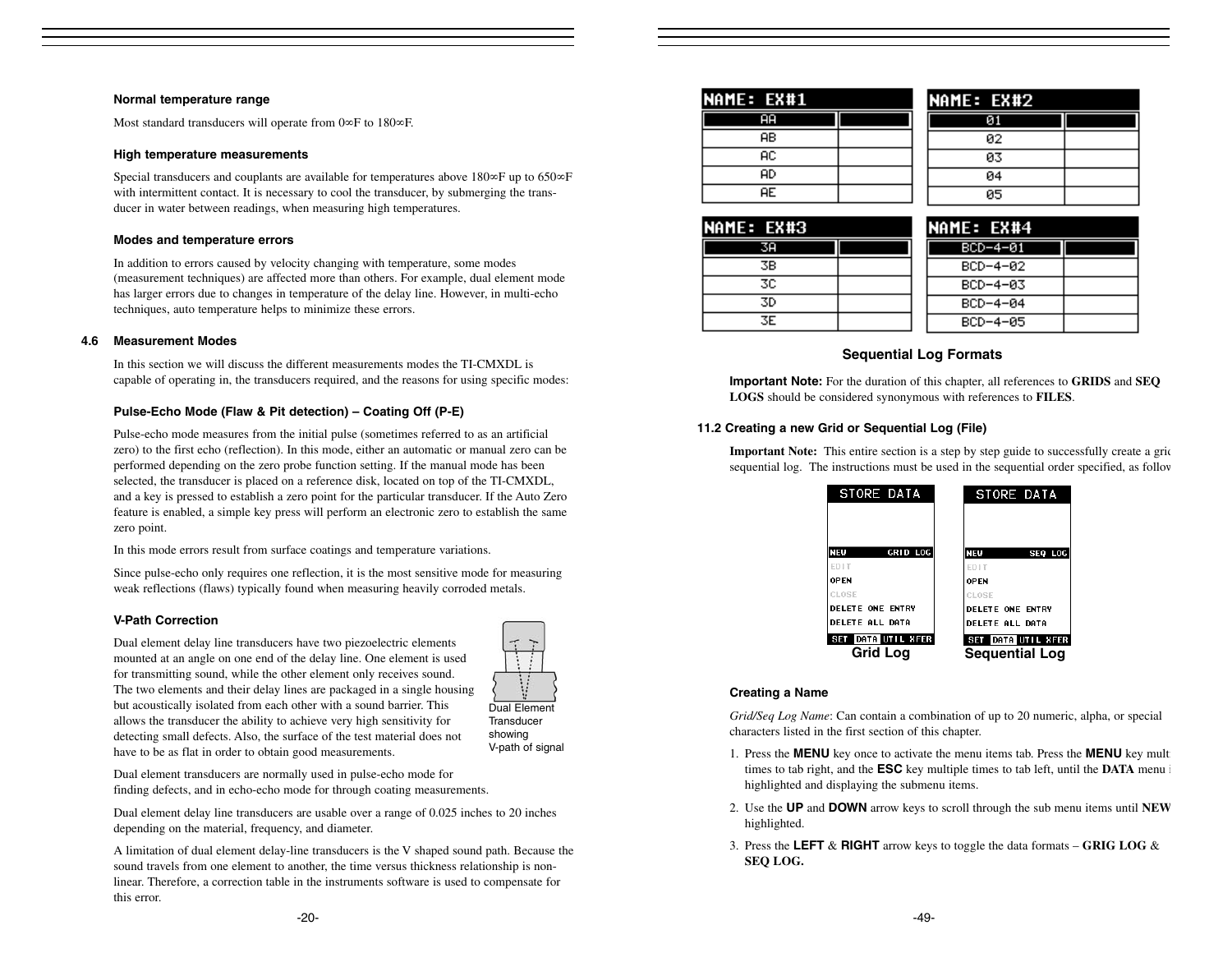#### **Normal temperature range**

Most standard transducers will operate from 0∞F to 180∞F.

#### **High temperature measurements**

Special transducers and couplants are available for temperatures above 180∞F up to 650∞F with intermittent contact. It is necessary to cool the transducer, by submerging the transducer in water between readings, when measuring high temperatures.

#### **Modes and temperature errors**

In addition to errors caused by velocity changing with temperature, some modes (measurement techniques) are affected more than others. For example, dual element mode has larger errors due to changes in temperature of the delay line. However, in multi-echo techniques, auto temperature helps to minimize these errors.

#### **4.6 Measurement Modes**

In this section we will discuss the different measurements modes the TI-CMXDL is capable of operating in, the transducers required, and the reasons for using specific modes:

#### **Pulse-Echo Mode (Flaw & Pit detection) – Coating Off (P-E)**

Pulse-echo mode measures from the initial pulse (sometimes referred to as an artificial zero) to the first echo (reflection). In this mode, either an automatic or manual zero can be performed depending on the zero probe function setting. If the manual mode has been selected, the transducer is placed on a reference disk, located on top of the TI-CMXDL, and a key is pressed to establish a zero point for the particular transducer. If the Auto Zero feature is enabled, a simple key press will perform an electronic zero to establish the same zero point.

In this mode errors result from surface coatings and temperature variations.

Since pulse-echo only requires one reflection, it is the most sensitive mode for measuring weak reflections (flaws) typically found when measuring heavily corroded metals.

#### **V-Path Correction**

Dual element delay line transducers have two piezoelectric elements mounted at an angle on one end of the delay line. One element is used for transmitting sound, while the other element only receives sound. The two elements and their delay lines are packaged in a single housing but acoustically isolated from each other with a sound barrier. This allows the transducer the ability to achieve very high sensitivity for detecting small defects. Also, the surface of the test material does not have to be as flat in order to obtain good measurements.



Dual Element**Transducer** showing V-path of signal

Dual element transducers are normally used in pulse-echo mode for finding defects, and in echo-echo mode for through coating measurements.

Dual element delay line transducers are usable over a range of 0.025 inches to 20 inches depending on the material, frequency, and diameter.

A limitation of dual element delay-line transducers is the V shaped sound path. Because the sound travels from one element to another, the time versus thickness relationship is nonlinear. Therefore, a correction table in the instruments software is used to compensate for this error.

| NAME: EX#1 |  |
|------------|--|
|            |  |
| AВ         |  |
| АC         |  |
| AD         |  |
| AE.        |  |

| NAME: EX#2 |  |
|------------|--|
|            |  |
| 02         |  |
| øз         |  |
| 04         |  |
| 05         |  |

| NAME: EX#3 |    |  |
|------------|----|--|
|            | 38 |  |
|            | ЗB |  |
|            | 30 |  |
|            | 3D |  |
|            | ЗE |  |

| NAME: EX#4 |  |
|------------|--|
| BCD-4-01   |  |
| BCD-4-02   |  |
| BCD-4-03   |  |
| BCD-4-04   |  |
| BCD-4-05   |  |

# **Sequential Log Formats**

**Important Note:** For the duration of this chapter, all references to **GRIDS** and **SEQ LOGS** should be considered synonymous with references to **FILES**.

#### **11.2 Creating a new Grid or Sequential Log (File)**

**Important Note:** This entire section is a step by step guide to successfully create a grid sequential log. The instructions must be used in the sequential order specified, as follow

| STORE DATA              | STORE DATA              |
|-------------------------|-------------------------|
|                         |                         |
| NEW<br>GRID LOG         | <b>NEW</b><br>SEQ LOG   |
| <b>ED1T</b>             | <b>FDIT</b>             |
| <b>OPFN</b>             | <b>OPEN</b>             |
| CLOSE                   | CLOSE                   |
| <b>DELETE ONE ENTRY</b> | <b>DELETE ONE ENTRY</b> |
| <b>DELETE ALL DATA</b>  | <b>DELETE ALL DATA</b>  |
| SET DATA UTIL XFER      | SET DATA UTIL XFER      |
| Grid Loa                | <b>Sequential Log</b>   |

#### **Creating a Name**

*Grid/Seq Log Name*: Can contain a combination of up to 20 numeric, alpha, or special characters listed in the first section of this chapter.

- 1. Press the **MENU** key once to activate the menu items tab. Press the **MENU** key multi times to tab right, and the **ESC** key multiple times to tab left, until the **DATA** menu i highlighted and displaying the submenu items.
- 2. Use the **UP** and **DOWN** arrow keys to scroll through the sub menu items until **NEW** highlighted.
- 3. Press the **LEFT** & **RIGHT** arrow keys to toggle the data formats **GRIG LOG** & **SEQ LOG.**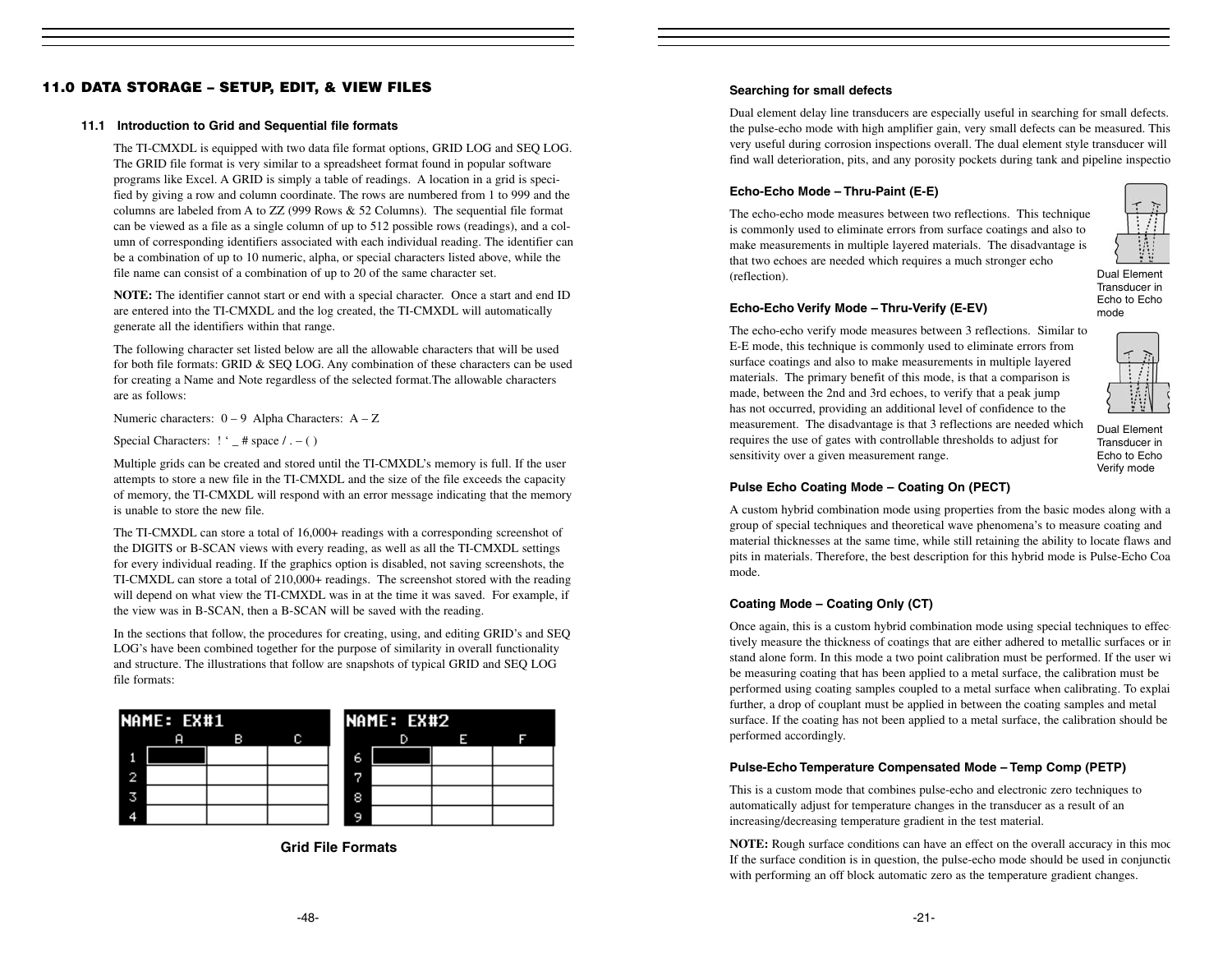# **11.0 DATA STORAGE – SETUP, EDIT, & VIEW FILES**

#### **11.1 Introduction to Grid and Sequential file formats**

The TI-CMXDL is equipped with two data file format options, GRID LOG and SEQ LOG. The GRID file format is very similar to a spreadsheet format found in popular software programs like Excel. A GRID is simply a table of readings. A location in a grid is specified by giving a row and column coordinate. The rows are numbered from 1 to 999 and the columns are labeled from A to ZZ (999 Rows & 52 Columns). The sequential file format can be viewed as a file as a single column of up to 512 possible rows (readings), and a column of corresponding identifiers associated with each individual reading. The identifier can be a combination of up to 10 numeric, alpha, or special characters listed above, while the file name can consist of a combination of up to 20 of the same character set.

**NOTE:** The identifier cannot start or end with a special character. Once a start and end ID are entered into the TI-CMXDL and the log created, the TI-CMXDL will automatically generate all the identifiers within that range.

The following character set listed below are all the allowable characters that will be used for both file formats: GRID & SEQ LOG. Any combination of these characters can be used for creating a Name and Note regardless of the selected format.The allowable characters are as follows:

Numeric characters:  $0 - 9$  Alpha Characters:  $A - Z$ 

Special Characters:  $! \cdot \underline{\phantom{a}}$  # space  $/ \underline{\phantom{a}}$  - ( )

Multiple grids can be created and stored until the TI-CMXDL's memory is full. If the user attempts to store a new file in the TI-CMXDL and the size of the file exceeds the capacity of memory, the TI-CMXDL will respond with an error message indicating that the memory is unable to store the new file.

The TI-CMXDL can store a total of 16,000+ readings with a corresponding screenshot of the DIGITS or B-SCAN views with every reading, as well as all the TI-CMXDL settings for every individual reading. If the graphics option is disabled, not saving screenshots, the TI-CMXDL can store a total of 210,000+ readings. The screenshot stored with the reading will depend on what view the TI-CMXDL was in at the time it was saved. For example, if the view was in B-SCAN, then a B-SCAN will be saved with the reading.

In the sections that follow, the procedures for creating, using, and editing GRID's and SEQ LOG's have been combined together for the purpose of similarity in overall functionality and structure. The illustrations that follow are snapshots of typical GRID and SEQ LOG file formats:



**Grid File Formats**

# **Searching for small defects**

Dual element delay line transducers are especially useful in searching for small defects. the pulse-echo mode with high amplifier gain, very small defects can be measured. This very useful during corrosion inspections overall. The dual element style transducer will find wall deterioration, pits, and any porosity pockets during tank and pipeline inspectio

# **Echo-Echo Mode – Thru-Paint (E-E)**

The echo-echo mode measures between two reflections. This technique is commonly used to eliminate errors from surface coatings and also to make measurements in multiple layered materials. The disadvantage is that two echoes are needed which requires a much stronger echo (reflection).



Dual ElementTransducer in Echo to Echomode

# **Echo-Echo Verify Mode – Thru-Verify (E-EV)**

The echo-echo verify mode measures between 3 reflections. Similar to E-E mode, this technique is commonly used to eliminate errors from surface coatings and also to make measurements in multiple layered materials. The primary benefit of this mode, is that a comparison is made, between the 2nd and 3rd echoes, to verify that a peak jump has not occurred, providing an additional level of confidence to the measurement. The disadvantage is that 3 reflections are needed which requires the use of gates with controllable thresholds to adjust for sensitivity over a given measurement range.



Dual ElementTransducer inEcho to Echo Verify mode

# **Pulse Echo Coating Mode – Coating On (PECT)**

A custom hybrid combination mode using properties from the basic modes along with a group of special techniques and theoretical wave phenomena's to measure coating and material thicknesses at the same time, while still retaining the ability to locate flaws and pits in materials. Therefore, the best description for this hybrid mode is Pulse-Echo Coa mode.

# **Coating Mode – Coating Only (CT)**

Once again, this is a custom hybrid combination mode using special techniques to effectively measure the thickness of coatings that are either adhered to metallic surfaces or in stand alone form. In this mode a two point calibration must be performed. If the user wi be measuring coating that has been applied to a metal surface, the calibration must be performed using coating samples coupled to a metal surface when calibrating. To explai further, a drop of couplant must be applied in between the coating samples and metal surface. If the coating has not been applied to a metal surface, the calibration should be performed accordingly.

# **Pulse-Echo Temperature Compensated Mode – Temp Comp (PETP)**

This is a custom mode that combines pulse-echo and electronic zero techniques to automatically adjust for temperature changes in the transducer as a result of an increasing/decreasing temperature gradient in the test material.

**NOTE:** Rough surface conditions can have an effect on the overall accuracy in this mod If the surface condition is in question, the pulse-echo mode should be used in conjunctio with performing an off block automatic zero as the temperature gradient changes.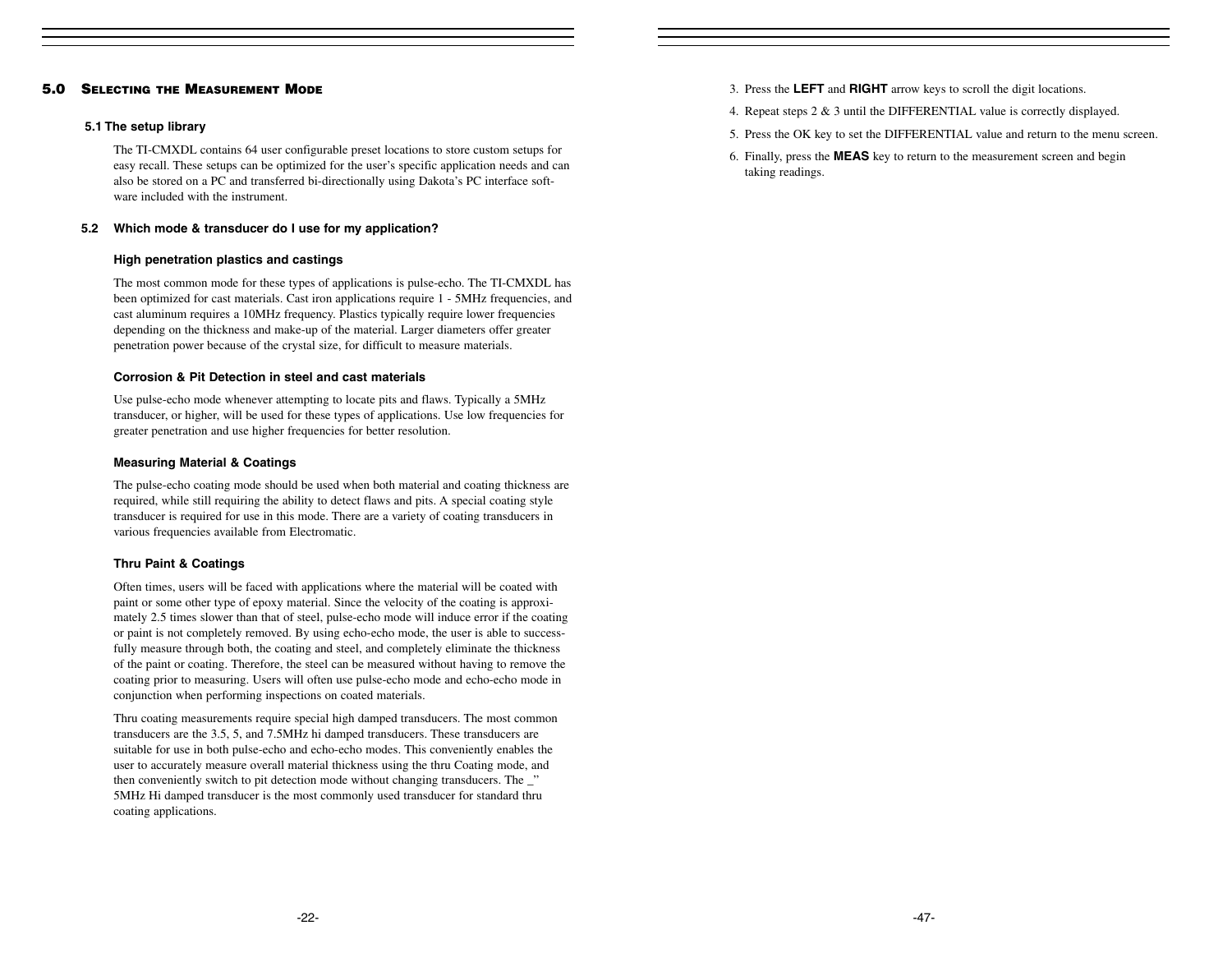# **5.0 SELECTING THE MEASUREMENT MODE**

#### **5.1 The setup library**

The TI-CMXDL contains 64 user configurable preset locations to store custom setups for easy recall. These setups can be optimized for the user's specific application needs and can also be stored on a PC and transferred bi-directionally using Dakota's PC interface software included with the instrument.

#### **5.2 Which mode & transducer do I use for my application?**

#### **High penetration plastics and castings**

The most common mode for these types of applications is pulse-echo. The TI-CMXDL has been optimized for cast materials. Cast iron applications require 1 - 5MHz frequencies, and cast aluminum requires a 10MHz frequency. Plastics typically require lower frequencies depending on the thickness and make-up of the material. Larger diameters offer greater penetration power because of the crystal size, for difficult to measure materials.

#### **Corrosion & Pit Detection in steel and cast materials**

Use pulse-echo mode whenever attempting to locate pits and flaws. Typically a 5MHz transducer, or higher, will be used for these types of applications. Use low frequencies for greater penetration and use higher frequencies for better resolution.

#### **Measuring Material & Coatings**

The pulse-echo coating mode should be used when both material and coating thickness are required, while still requiring the ability to detect flaws and pits. A special coating style transducer is required for use in this mode. There are a variety of coating transducers in various frequencies available from Electromatic.

# **Thru Paint & Coatings**

Often times, users will be faced with applications where the material will be coated with paint or some other type of epoxy material. Since the velocity of the coating is approximately 2.5 times slower than that of steel, pulse-echo mode will induce error if the coating or paint is not completely removed. By using echo-echo mode, the user is able to successfully measure through both, the coating and steel, and completely eliminate the thickness of the paint or coating. Therefore, the steel can be measured without having to remove the coating prior to measuring. Users will often use pulse-echo mode and echo-echo mode in conjunction when performing inspections on coated materials.

Thru coating measurements require special high damped transducers. The most common transducers are the 3.5, 5, and 7.5MHz hi damped transducers. These transducers are suitable for use in both pulse-echo and echo-echo modes. This conveniently enables the user to accurately measure overall material thickness using the thru Coating mode, and then conveniently switch to pit detection mode without changing transducers. The \_" 5MHz Hi damped transducer is the most commonly used transducer for standard thru coating applications.

- 3. Press the **LEFT** and **RIGHT** arrow keys to scroll the digit locations.
- 4. Repeat steps 2 & 3 until the DIFFERENTIAL value is correctly displayed.
- 5. Press the OK key to set the DIFFERENTIAL value and return to the menu screen.
- 6. Finally, press the **MEAS** key to return to the measurement screen and begin taking readings.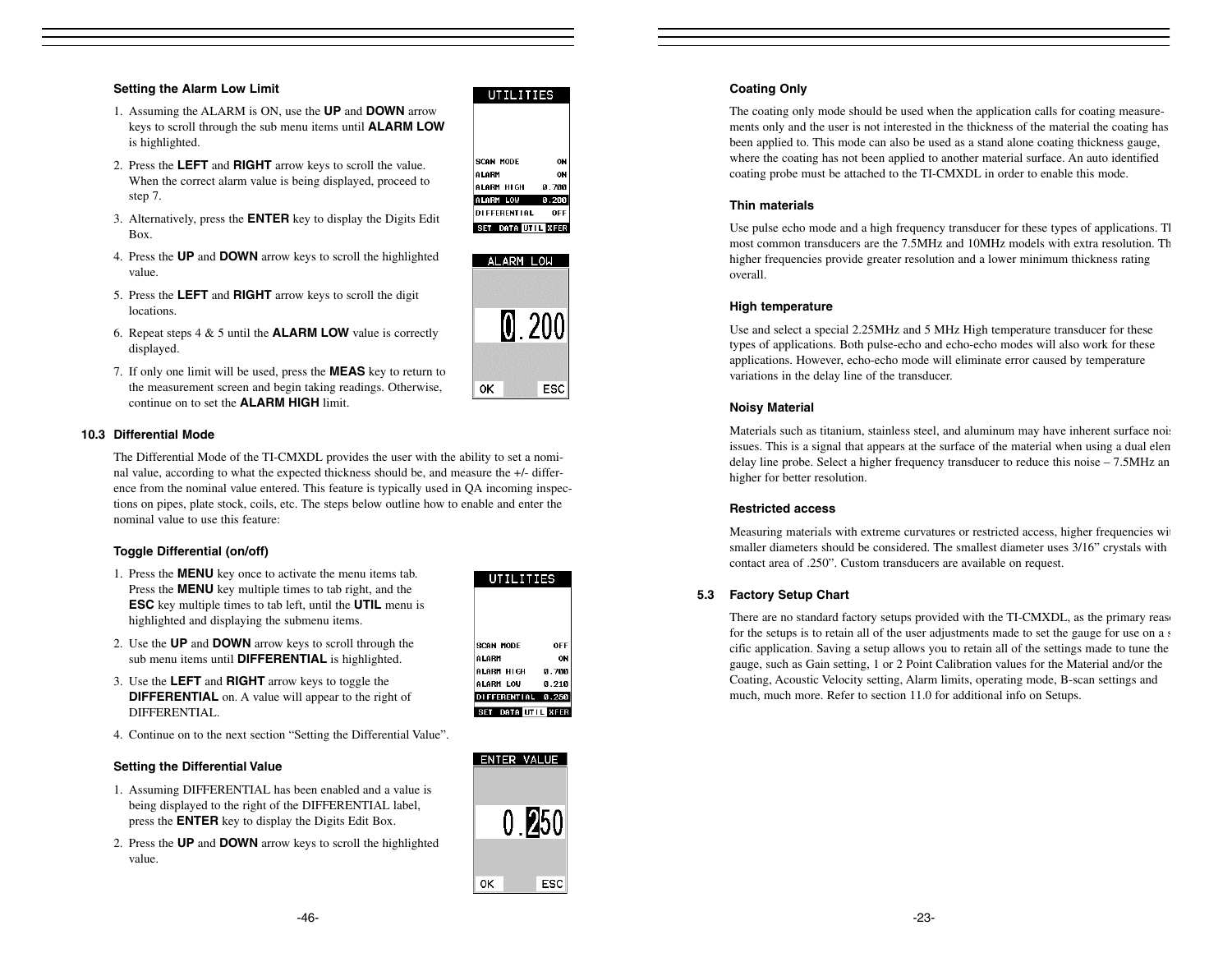#### **Setting the Alarm Low Limit**

- 1. Assuming the ALARM is ON, use the **UP** and **DOWN** arrow keys to scroll through the sub menu items until **ALARM LOW** is highlighted.
- 2. Press the **LEFT** and **RIGHT** arrow keys to scroll the value. When the correct alarm value is being displayed, proceed to step 7.
- 3. Alternatively, press the **ENTER** key to display the Digits Edit Box.
- 4. Press the **UP** and **DOWN** arrow keys to scroll the highlighted value.
- 5. Press the **LEFT** and **RIGHT** arrow keys to scroll the digit locations.
- 6. Repeat steps 4 & 5 until the **ALARM LOW** value is correctly displayed.
- 7. If only one limit will be used, press the **MEAS** key to return to the measurement screen and begin taking readings. Otherwise, continue on to set the **ALARM HIGH** limit.

# **10.3 Differential Mode**

The Differential Mode of the TI-CMXDL provides the user with the ability to set a nominal value, according to what the expected thickness should be, and measure the +/- difference from the nominal value entered. This feature is typically used in QA incoming inspections on pipes, plate stock, coils, etc. The steps below outline how to enable and enter the nominal value to use this feature:

# **Toggle Differential (on/off)**

- 1. Press the **MENU** key once to activate the menu items tab. Press the **MENU** key multiple times to tab right, and the **ESC** key multiple times to tab left, until the **UTIL** menu is highlighted and displaying the submenu items.
- 2. Use the **UP** and **DOWN** arrow keys to scroll through the sub menu items until **DIFFERENTIAL** is highlighted.
- 3. Use the **LEFT** and **RIGHT** arrow keys to toggle the **DIFFERENTIAL** on. A value will appear to the right of DIFFERENTIAL.
- 4. Continue on to the next section "Setting the Differential Value".

# **Setting the Differential Value**

- 1. Assuming DIFFERENTIAL has been enabled and a value is being displayed to the right of the DIFFERENTIAL label, press the **ENTER** key to display the Digits Edit Box.
- 2. Press the **UP** and **DOWN** arrow keys to scroll the highlighted value.

| SCAN MODE         | ۵F   |
|-------------------|------|
| ALARM             | Ω    |
| ALARM HIGH        | 0.70 |
| ALARM LOW         | 0.21 |
| DIFFERENTIAL 0.25 |      |
| SET DATA UTIL XFE |      |
|                   |      |
|                   |      |
|                   |      |
| ENTER VALUE       |      |
|                   |      |

0.250

ESC

0K

UTILITIES



**UTILITIES** 

ON

ON

0.700

 $0.200$ 

OFF

SCAN MODE

ALARM HIGH

**DI FFERENT I AL** 

SET DATA UTIL XFER

ALARM LOW

**ALARM LOW** 

ALARM

# **Coating Only**

The coating only mode should be used when the application calls for coating measurements only and the user is not interested in the thickness of the material the coating has been applied to. This mode can also be used as a stand alone coating thickness gauge, where the coating has not been applied to another material surface. An auto identified coating probe must be attached to the TI-CMXDL in order to enable this mode.

#### **Thin materials**

Use pulse echo mode and a high frequency transducer for these types of applications. The most common transducers are the 7.5MHz and 10MHz models with extra resolution. Thhigher frequencies provide greater resolution and a lower minimum thickness rating overall.

# **High temperature**

Use and select a special 2.25MHz and 5 MHz High temperature transducer for these types of applications. Both pulse-echo and echo-echo modes will also work for these applications. However, echo-echo mode will eliminate error caused by temperature variations in the delay line of the transducer.

#### **Noisy Material**

Materials such as titanium, stainless steel, and aluminum may have inherent surface nois issues. This is a signal that appears at the surface of the material when using a dual elem delay line probe. Select a higher frequency transducer to reduce this noise – 7.5MHz an higher for better resolution.

#### **Restricted access**

Measuring materials with extreme curvatures or restricted access, higher frequencies wit smaller diameters should be considered. The smallest diameter uses 3/16" crystals with contact area of .250". Custom transducers are available on request.

# **5.3 Factory Setup Chart**

There are no standard factory setups provided with the TI-CMXDL, as the primary reason for the setups is to retain all of the user adjustments made to set the gauge for use on a s cific application. Saving a setup allows you to retain all of the settings made to tune the gauge, such as Gain setting, 1 or 2 Point Calibration values for the Material and/or the Coating, Acoustic Velocity setting, Alarm limits, operating mode, B-scan settings and much, much more. Refer to section 11.0 for additional info on Setups.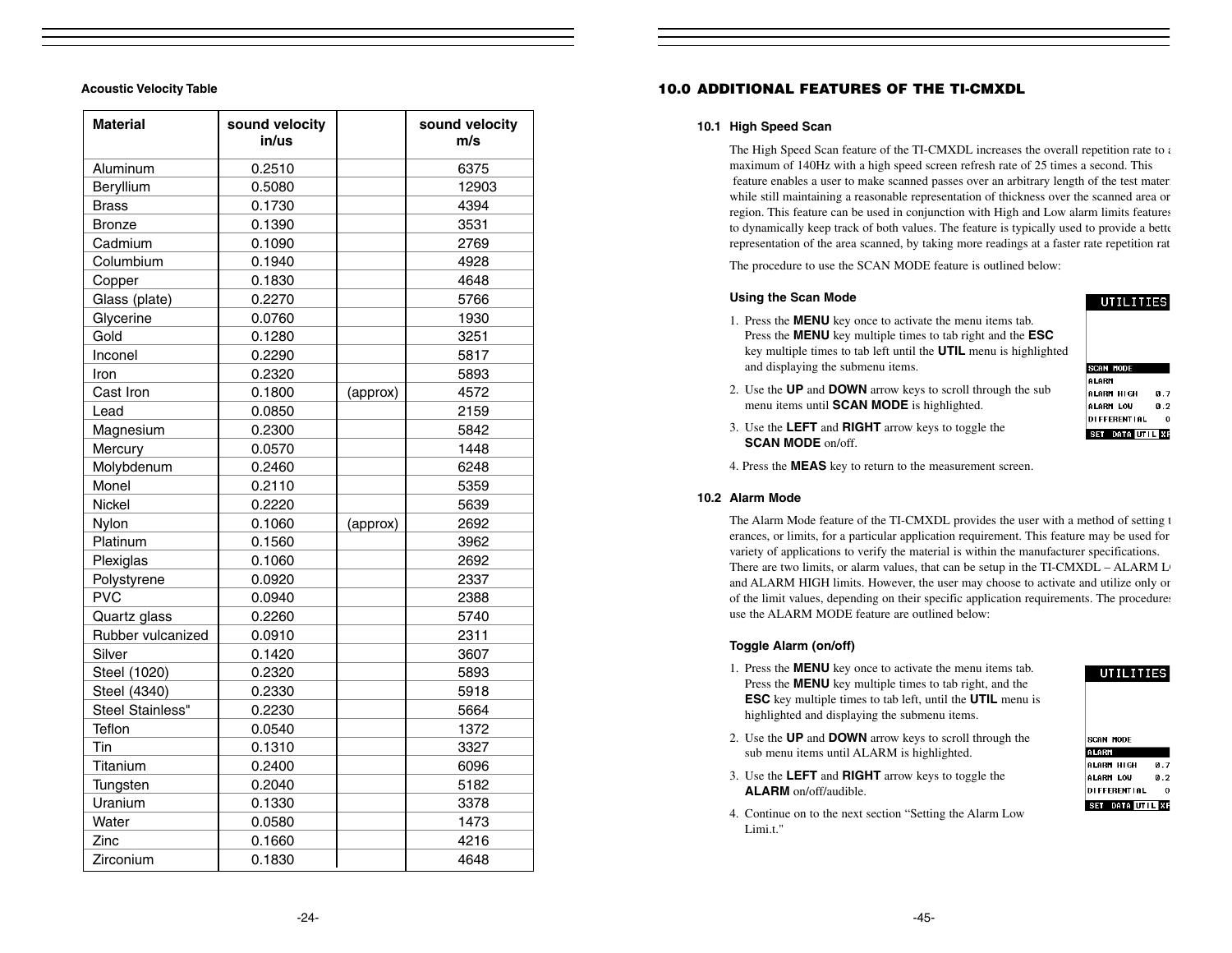| 6375<br>Aluminum<br>0.2510<br>Beryllium<br>12903<br>0.5080<br>4394<br><b>Brass</b><br>0.1730<br>0.1390<br>3531<br><b>Bronze</b><br>Cadmium<br>0.1090<br>2769<br>Columbium<br>0.1940<br>4928<br>0.1830<br>4648<br>Copper<br>Glass (plate)<br>0.2270<br>5766<br>Glycerine<br>0.0760<br>1930<br>Gold<br>0.1280<br>3251<br>Inconel<br>0.2290<br>5817<br>0.2320<br>5893<br>Iron<br>Cast Iron<br>4572<br>0.1800<br>(approx)<br>2159<br>Lead<br>0.0850<br>0.2300<br>5842<br>Magnesium<br>1448<br>Mercury<br>0.0570<br>Molybdenum<br>0.2460<br>6248<br>Monel<br>0.2110<br>5359<br>Nickel<br>0.2220<br>5639<br>Nylon<br>0.1060<br>2692<br>(approx)<br>Platinum<br>0.1560<br>3962<br>Plexiglas<br>0.1060<br>2692<br>Polystyrene<br>0.0920<br>2337<br><b>PVC</b><br>0.0940<br>2388 |
|-------------------------------------------------------------------------------------------------------------------------------------------------------------------------------------------------------------------------------------------------------------------------------------------------------------------------------------------------------------------------------------------------------------------------------------------------------------------------------------------------------------------------------------------------------------------------------------------------------------------------------------------------------------------------------------------------------------------------------------------------------------------------|
|                                                                                                                                                                                                                                                                                                                                                                                                                                                                                                                                                                                                                                                                                                                                                                         |
|                                                                                                                                                                                                                                                                                                                                                                                                                                                                                                                                                                                                                                                                                                                                                                         |
|                                                                                                                                                                                                                                                                                                                                                                                                                                                                                                                                                                                                                                                                                                                                                                         |
|                                                                                                                                                                                                                                                                                                                                                                                                                                                                                                                                                                                                                                                                                                                                                                         |
|                                                                                                                                                                                                                                                                                                                                                                                                                                                                                                                                                                                                                                                                                                                                                                         |
|                                                                                                                                                                                                                                                                                                                                                                                                                                                                                                                                                                                                                                                                                                                                                                         |
|                                                                                                                                                                                                                                                                                                                                                                                                                                                                                                                                                                                                                                                                                                                                                                         |
|                                                                                                                                                                                                                                                                                                                                                                                                                                                                                                                                                                                                                                                                                                                                                                         |
|                                                                                                                                                                                                                                                                                                                                                                                                                                                                                                                                                                                                                                                                                                                                                                         |
|                                                                                                                                                                                                                                                                                                                                                                                                                                                                                                                                                                                                                                                                                                                                                                         |
|                                                                                                                                                                                                                                                                                                                                                                                                                                                                                                                                                                                                                                                                                                                                                                         |
|                                                                                                                                                                                                                                                                                                                                                                                                                                                                                                                                                                                                                                                                                                                                                                         |
|                                                                                                                                                                                                                                                                                                                                                                                                                                                                                                                                                                                                                                                                                                                                                                         |
|                                                                                                                                                                                                                                                                                                                                                                                                                                                                                                                                                                                                                                                                                                                                                                         |
|                                                                                                                                                                                                                                                                                                                                                                                                                                                                                                                                                                                                                                                                                                                                                                         |
|                                                                                                                                                                                                                                                                                                                                                                                                                                                                                                                                                                                                                                                                                                                                                                         |
|                                                                                                                                                                                                                                                                                                                                                                                                                                                                                                                                                                                                                                                                                                                                                                         |
|                                                                                                                                                                                                                                                                                                                                                                                                                                                                                                                                                                                                                                                                                                                                                                         |
|                                                                                                                                                                                                                                                                                                                                                                                                                                                                                                                                                                                                                                                                                                                                                                         |
|                                                                                                                                                                                                                                                                                                                                                                                                                                                                                                                                                                                                                                                                                                                                                                         |
|                                                                                                                                                                                                                                                                                                                                                                                                                                                                                                                                                                                                                                                                                                                                                                         |
|                                                                                                                                                                                                                                                                                                                                                                                                                                                                                                                                                                                                                                                                                                                                                                         |
|                                                                                                                                                                                                                                                                                                                                                                                                                                                                                                                                                                                                                                                                                                                                                                         |
|                                                                                                                                                                                                                                                                                                                                                                                                                                                                                                                                                                                                                                                                                                                                                                         |
| Quartz glass<br>0.2260<br>5740                                                                                                                                                                                                                                                                                                                                                                                                                                                                                                                                                                                                                                                                                                                                          |
| Rubber vulcanized<br>0.0910<br>2311                                                                                                                                                                                                                                                                                                                                                                                                                                                                                                                                                                                                                                                                                                                                     |
| Silver<br>3607<br>0.1420                                                                                                                                                                                                                                                                                                                                                                                                                                                                                                                                                                                                                                                                                                                                                |
| Steel (1020)<br>0.2320<br>5893                                                                                                                                                                                                                                                                                                                                                                                                                                                                                                                                                                                                                                                                                                                                          |
| Steel (4340)<br>0.2330<br>5918                                                                                                                                                                                                                                                                                                                                                                                                                                                                                                                                                                                                                                                                                                                                          |
| Steel Stainless"<br>0.2230<br>5664                                                                                                                                                                                                                                                                                                                                                                                                                                                                                                                                                                                                                                                                                                                                      |
| Teflon<br>0.0540<br>1372                                                                                                                                                                                                                                                                                                                                                                                                                                                                                                                                                                                                                                                                                                                                                |
| Tin<br>3327<br>0.1310                                                                                                                                                                                                                                                                                                                                                                                                                                                                                                                                                                                                                                                                                                                                                   |
| Titanium<br>0.2400<br>6096                                                                                                                                                                                                                                                                                                                                                                                                                                                                                                                                                                                                                                                                                                                                              |
| Tungsten<br>0.2040<br>5182                                                                                                                                                                                                                                                                                                                                                                                                                                                                                                                                                                                                                                                                                                                                              |
| Uranium<br>0.1330<br>3378                                                                                                                                                                                                                                                                                                                                                                                                                                                                                                                                                                                                                                                                                                                                               |
| Water<br>0.0580<br>1473                                                                                                                                                                                                                                                                                                                                                                                                                                                                                                                                                                                                                                                                                                                                                 |
| Zinc<br>0.1660<br>4216                                                                                                                                                                                                                                                                                                                                                                                                                                                                                                                                                                                                                                                                                                                                                  |
| Zirconium<br>0.1830<br>4648                                                                                                                                                                                                                                                                                                                                                                                                                                                                                                                                                                                                                                                                                                                                             |

# **Acoustic Velocity Table 10.0 ADDITIONAL FEATURES OF THE TI-CMXDL**

#### **10.1 High Speed Scan**

The High Speed Scan feature of the TI-CMXDL increases the overall repetition rate to a maximum of 140Hz with a high speed screen refresh rate of 25 times a second. This feature enables a user to make scanned passes over an arbitrary length of the test materi while still maintaining a reasonable representation of thickness over the scanned area or region. This feature can be used in conjunction with High and Low alarm limits features to dynamically keep track of both values. The feature is typically used to provide a bette representation of the area scanned, by taking more readings at a faster rate repetition rat

The procedure to use the SCAN MODE feature is outlined below:

#### **Using the Scan Mode**

1. Press the **MENU** key once to activate the menu items tab. Press the **MENU** key multiple times to tab right and the **ESC** key multiple times to tab left until the **UTIL** menu is highlighted and displaying the submenu items.

2. Use the **UP** and **DOWN** arrow keys to scroll through the sub

**SCAN MODE** ALARM ALARM HIGH  $0.7$ ALARM LOW  $0.2$ DIFFERENTIAL  $\overline{0}$ SET DATA UTIL XF

**UTILITIES** 

3. Use the **LEFT** and **RIGHT** arrow keys to toggle the **SCAN MODE** on/off.

menu items until **SCAN MODE** is highlighted.

4. Press the **MEAS** key to return to the measurement screen.

#### **10.2 Alarm Mode**

The Alarm Mode feature of the TI-CMXDL provides the user with a method of setting t erances, or limits, for a particular application requirement. This feature may be used for variety of applications to verify the material is within the manufacturer specifications. There are two limits, or alarm values, that can be setup in the  $TI-CMXDL - ALARM L$ and ALARM HIGH limits. However, the user may choose to activate and utilize only on of the limit values, depending on their specific application requirements. The procedures use the ALARM MODE feature are outlined below:

# **Toggle Alarm (on/off)**

- 1. Press the **MENU** key once to activate the menu items tab. Press the **MENU** key multiple times to tab right, and the **ESC** key multiple times to tab left, until the **UTIL** menu is highlighted and displaying the submenu items.
- 2. Use the **UP** and **DOWN** arrow keys to scroll through the sub menu items until ALARM is highlighted.
- 3. Use the **LEFT** and **RIGHT** arrow keys to toggle the **ALARM** on/off/audible.
- 4. Continue on to the next section "Setting the Alarm Low Limi.t."

#### **UTILITIES**

| <b>SCAN MODE</b>       |      |
|------------------------|------|
| ALARM                  |      |
| ALARM HIGH             | 0. Z |
| ALARM LOW              | 0.2  |
| <b>DI FFERENT I AL</b> | Ω    |
| T DATA UTIL XF         |      |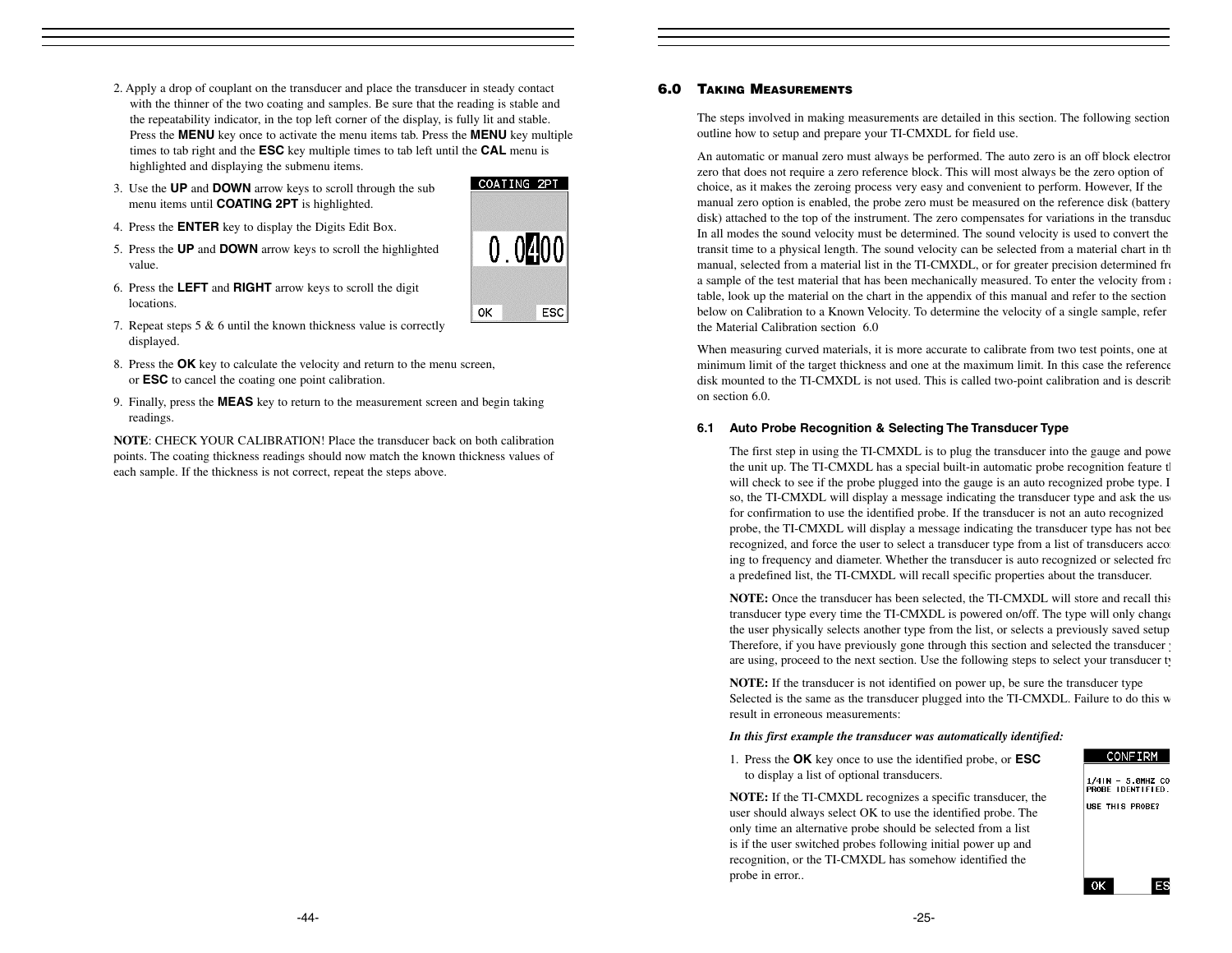- 2. Apply a drop of couplant on the transducer and place the transducer in steady contact with the thinner of the two coating and samples. Be sure that the reading is stable and the repeatability indicator, in the top left corner of the display, is fully lit and stable. Press the **MENU** key once to activate the menu items tab. Press the **MENU** key multiple times to tab right and the **ESC** key multiple times to tab left until the **CAL** menu is highlighted and displaying the submenu items.
- 3. Use the **UP** and **DOWN** arrow keys to scroll through the sub menu items until **COATING 2PT** is highlighted.
- 4. Press the **ENTER** key to display the Digits Edit Box.
- 5. Press the **UP** and **DOWN** arrow keys to scroll the highlighted value.
- 6. Press the **LEFT** and **RIGHT** arrow keys to scroll the digit locations.
- 7. Repeat steps 5 & 6 until the known thickness value is correctly displayed.
- 8. Press the **OK** key to calculate the velocity and return to the menu screen, or **ESC** to cancel the coating one point calibration.
- 9. Finally, press the **MEAS** key to return to the measurement screen and begin taking readings.

**NOTE**: CHECK YOUR CALIBRATION! Place the transducer back on both calibration points. The coating thickness readings should now match the known thickness values of each sample. If the thickness is not correct, repeat the steps above.

# **6.0 TAKING MEASUREMENTS**

The steps involved in making measurements are detailed in this section. The following section outline how to setup and prepare your TI-CMXDL for field use.

An automatic or manual zero must always be performed. The auto zero is an off block electron zero that does not require a zero reference block. This will most always be the zero option of choice, as it makes the zeroing process very easy and convenient to perform. However, If the manual zero option is enabled, the probe zero must be measured on the reference disk (battery disk) attached to the top of the instrument. The zero compensates for variations in the transduc In all modes the sound velocity must be determined. The sound velocity is used to convert the transit time to a physical length. The sound velocity can be selected from a material chart in th manual, selected from a material list in the TI-CMXDL, or for greater precision determined from a sample of the test material that has been mechanically measured. To enter the velocity from a table, look up the material on the chart in the appendix of this manual and refer to the section below on Calibration to a Known Velocity. To determine the velocity of a single sample, refer the Material Calibration section 6.0

When measuring curved materials, it is more accurate to calibrate from two test points, one at minimum limit of the target thickness and one at the maximum limit. In this case the reference disk mounted to the TI-CMXDL is not used. This is called two-point calibration and is describ on section 6.0.

#### **6.1 Auto Probe Recognition & Selecting The Transducer Type**

The first step in using the TI-CMXDL is to plug the transducer into the gauge and powe the unit up. The TI-CMXDL has a special built-in automatic probe recognition feature th will check to see if the probe plugged into the gauge is an auto recognized probe type. I so, the TI-CMXDL will display a message indicating the transducer type and ask the use for confirmation to use the identified probe. If the transducer is not an auto recognized probe, the TI-CMXDL will display a message indicating the transducer type has not bee recognized, and force the user to select a transducer type from a list of transducers according ing to frequency and diameter. Whether the transducer is auto recognized or selected fro a predefined list, the TI-CMXDL will recall specific properties about the transducer.

**NOTE:** Once the transducer has been selected, the TI-CMXDL will store and recall this transducer type every time the TI-CMXDL is powered on/off. The type will only change the user physically selects another type from the list, or selects a previously saved setup Therefore, if you have previously gone through this section and selected the transducer y are using, proceed to the next section. Use the following steps to select your transducer ty

**NOTE:** If the transducer is not identified on power up, be sure the transducer type Selected is the same as the transducer plugged into the TI-CMXDL. Failure to do this w result in erroneous measurements:

#### *In this first example the transducer was automatically identified:*

1. Press the **OK** key once to use the identified probe, or **ESC** to display a list of optional transducers.

**NOTE:** If the TI-CMXDL recognizes a specific transducer, the user should always select OK to use the identified probe. The only time an alternative probe should be selected from a list is if the user switched probes following initial power up and recognition, or the TI-CMXDL has somehow identified the probe in error..

#### CONFIRM

1/4IN - 5.0MHZ CO<br>PROBE IDENTIFIED. USE THIS PROBE?

**ES** 

**OK** 



COATING 2PT  $0.0400$ ОK ESC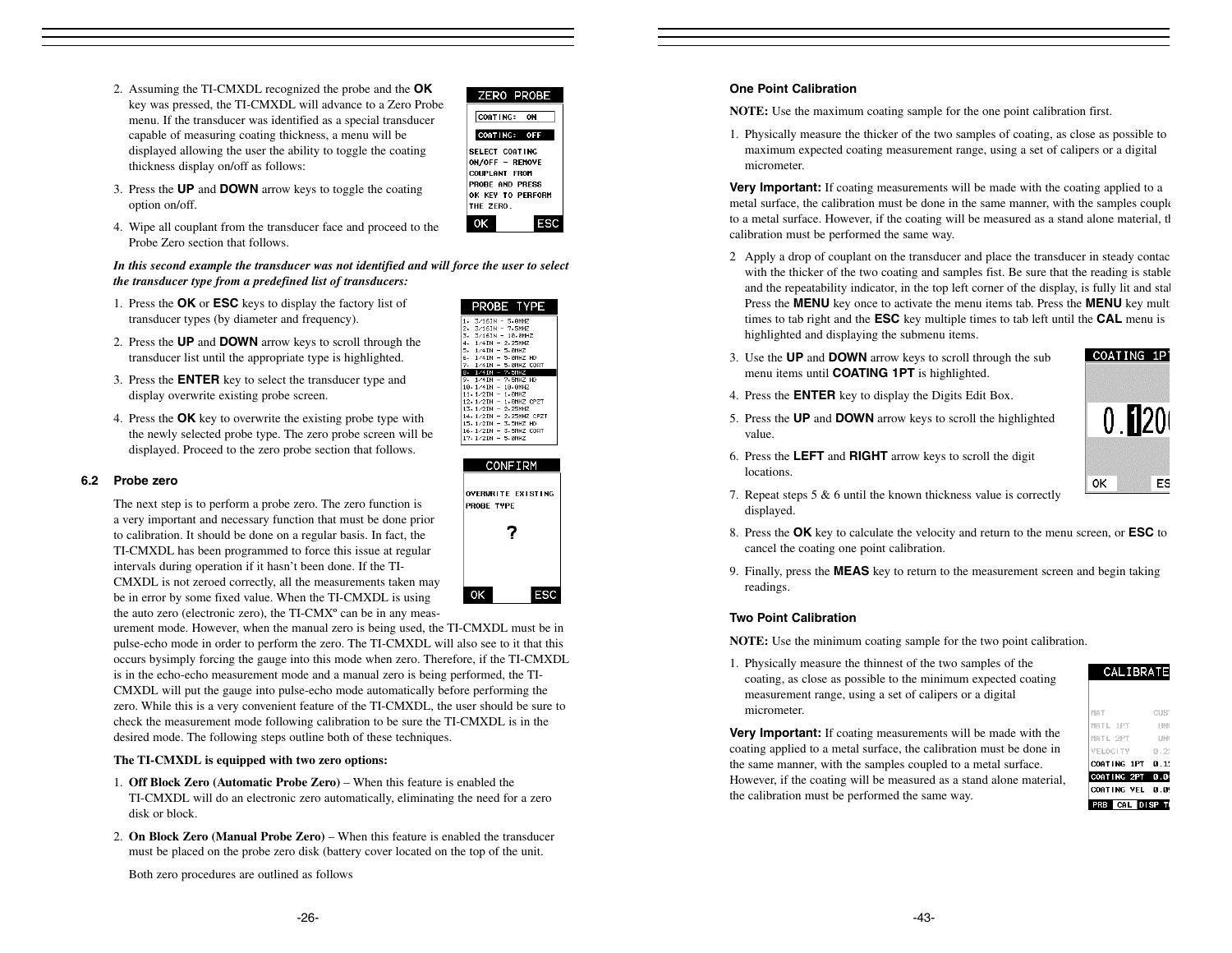2. Assuming the TI-CMXDL recognized the probe and the **OK**  key was pressed, the TI-CMXDL will advance to a Zero Probe menu. If the transducer was identified as a special transducer capable of measuring coating thickness, a menu will be displayed allowing the user the ability to toggle the coating thickness display on/off as follows:



- 3. Press the **UP** and **DOWN** arrow keys to toggle the coating option on/off.
- 4. Wipe all couplant from the transducer face and proceed to the Probe Zero section that follows.

*In this second example the transducer was not identified and will force the user to select the transducer type from a predefined list of transducers:*

- 1. Press the **OK** or **ESC** keys to display the factory list of transducer types (by diameter and frequency).
- 2. Press the **UP** and **DOWN** arrow keys to scroll through the transducer list until the appropriate type is highlighted.
- 3. Press the **ENTER** key to select the transducer type and display overwrite existing probe screen.
- 4. Press the **OK** key to overwrite the existing probe type with the newly selected probe type. The zero probe screen will be displayed. Proceed to the zero probe section that follows.

#### **6.2 Probe zero**

The next step is to perform a probe zero. The zero function is a very important and necessary function that must be done prior to calibration. It should be done on a regular basis. In fact, the TI-CMXDL has been programmed to force this issue at regular intervals during operation if it hasn't been done. If the TI-CMXDL is not zeroed correctly, all the measurements taken may be in error by some fixed value. When the TI-CMXDL is using the auto zero (electronic zero), the TI-CMX° can be in any meas-

urement mode. However, when the manual zero is being used, the TI-CMXDL must be in pulse-echo mode in order to perform the zero. The TI-CMXDL will also see to it that this occurs bysimply forcing the gauge into this mode when zero. Therefore, if the TI-CMXDL is in the echo-echo measurement mode and a manual zero is being performed, the TI-CMXDL will put the gauge into pulse-echo mode automatically before performing the zero. While this is a very convenient feature of the TI-CMXDL, the user should be sure to check the measurement mode following calibration to be sure the TI-CMXDL is in the desired mode. The following steps outline both of these techniques.

#### **The TI-CMXDL is equipped with two zero options:**

- 1. **Off Block Zero (Automatic Probe Zero)**  When this feature is enabled the TI-CMXDL will do an electronic zero automatically, eliminating the need for a zero disk or block.
- 2. **On Block Zero (Manual Probe Zero)** When this feature is enabled the transducer must be placed on the probe zero disk (battery cover located on the top of the unit.

Both zero procedures are outlined as follows

| PROBE TYPE                                  |
|---------------------------------------------|
| $\mathbf{1}$ .<br>$3/16$ IN - 5.0MHZ        |
| 2. 3/16IN - 7.5MHZ                          |
| 3. 3/16IN - 10.0MHZ                         |
| 4. 1/4IN - 2.25MHZ                          |
| 5. 1/4IN - 5.0MHZ                           |
| 6. 1/4IN - 5.0MHZ HD                        |
| 7. 1/4IN - 5.0MHZ CORT                      |
| $8.1/4IN - 7.5MHz$                          |
| 9. 1/4IN - 7.5MHZ HD                        |
| 10 1/4IN - 10 0MHZ                          |
| $11.1/2IN - 1.0MHz$                         |
| 12.1/2IN - 1.0MHZ CPZT                      |
| $13.1/21N - 2.25MHZ$                        |
| 14.1/2IN - 2.25MHZ CPZT                     |
| 15.1/2IN - 3.5MHZ HD                        |
| 16 1/2IN - 3 5MHZ COAT<br>17.1/2IN - 5.0MHZ |
|                                             |



#### **One Point Calibration**

**NOTE:** Use the maximum coating sample for the one point calibration first.

1. Physically measure the thicker of the two samples of coating, as close as possible to maximum expected coating measurement range, using a set of calipers or a digital micrometer.

**Very Important:** If coating measurements will be made with the coating applied to a metal surface, the calibration must be done in the same manner, with the samples couple to a metal surface. However, if the coating will be measured as a stand alone material, the calibration must be performed the same way.

- 2 Apply a drop of couplant on the transducer and place the transducer in steady contac with the thicker of the two coating and samples fist. Be sure that the reading is stable and the repeatability indicator, in the top left corner of the display, is fully lit and stal Press the **MENU** key once to activate the menu items tab. Press the **MENU** key mult times to tab right and the **ESC** key multiple times to tab left until the **CAL** menu is highlighted and displaying the submenu items.
- 3. Use the **UP** and **DOWN** arrow keys to scroll through the sub menu items until **COATING 1PT** is highlighted.
- 4. Press the **ENTER** key to display the Digits Edit Box.
- 5. Press the **UP** and **DOWN** arrow keys to scroll the highlighted value.



- 6. Press the **LEFT** and **RIGHT** arrow keys to scroll the digit locations.
- 7. Repeat steps 5 & 6 until the known thickness value is correctly displayed.
- 8. Press the **OK** key to calculate the velocity and return to the menu screen, or **ESC** to cancel the coating one point calibration.
- 9. Finally, press the **MEAS** key to return to the measurement screen and begin taking readings.

#### **Two Point Calibration**

**NOTE:** Use the minimum coating sample for the two point calibration.

1. Physically measure the thinnest of the two samples of the coating, as close as possible to the minimum expected coating measurement range, using a set of calipers or a digital micrometer.

**Very Important:** If coating measurements will be made with the coating applied to a metal surface, the calibration must be done in the same manner, with the samples coupled to a metal surface. However, if the coating will be measured as a stand alone material, the calibration must be performed the same way.

| CALIBRATE |  |  |  |
|-----------|--|--|--|
|           |  |  |  |

| VELOCITY | MATL 2PT | <b>HNC</b><br>B.25 |
|----------|----------|--------------------|
|          |          | COATING 1PT 0.12   |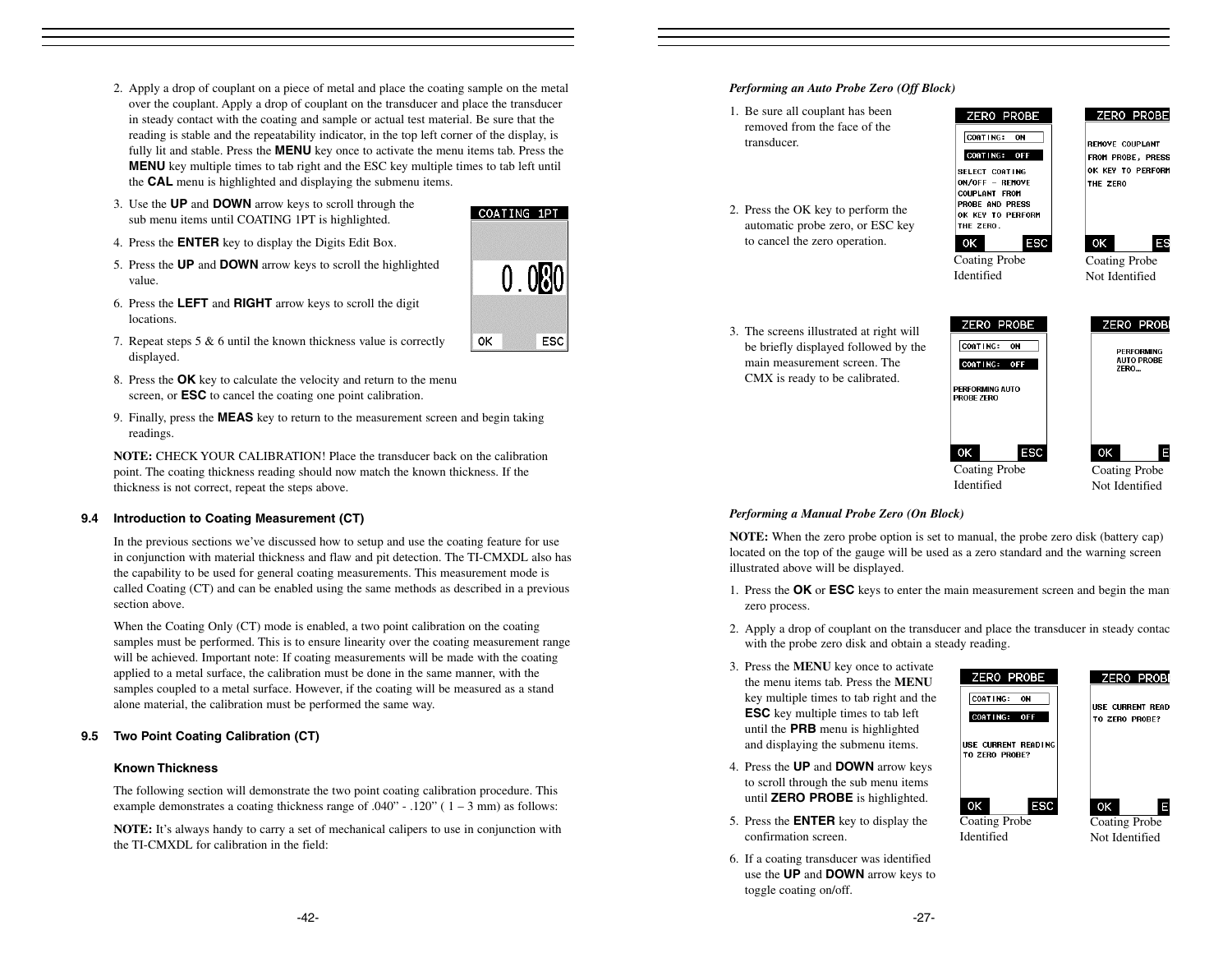- 2. Apply a drop of couplant on a piece of metal and place the coating sample on the metal over the couplant. Apply a drop of couplant on the transducer and place the transducer in steady contact with the coating and sample or actual test material. Be sure that the reading is stable and the repeatability indicator, in the top left corner of the display, is fully lit and stable. Press the **MENU** key once to activate the menu items tab. Press the **MENU** key multiple times to tab right and the ESC key multiple times to tab left until the **CAL** menu is highlighted and displaying the submenu items.
- 3. Use the **UP** and **DOWN** arrow keys to scroll through the sub menu items until COATING 1PT is highlighted.
- 4. Press the **ENTER** key to display the Digits Edit Box.
- 5. Press the **UP** and **DOWN** arrow keys to scroll the highlighted value.
- 6. Press the **LEFT** and **RIGHT** arrow keys to scroll the digit locations.
- 7. Repeat steps 5 & 6 until the known thickness value is correctly displayed.
- 8. Press the **OK** key to calculate the velocity and return to the menu screen, or **ESC** to cancel the coating one point calibration.
- 9. Finally, press the **MEAS** key to return to the measurement screen and begin taking readings.

**NOTE:** CHECK YOUR CALIBRATION! Place the transducer back on the calibrationpoint. The coating thickness reading should now match the known thickness. If the thickness is not correct, repeat the steps above.

# **9.4 Introduction to Coating Measurement (CT)**

In the previous sections we've discussed how to setup and use the coating feature for use in conjunction with material thickness and flaw and pit detection. The TI-CMXDL also has the capability to be used for general coating measurements. This measurement mode is called Coating (CT) and can be enabled using the same methods as described in a previous section above.

When the Coating Only (CT) mode is enabled, a two point calibration on the coating samples must be performed. This is to ensure linearity over the coating measurement range will be achieved. Important note: If coating measurements will be made with the coating applied to a metal surface, the calibration must be done in the same manner, with the samples coupled to a metal surface. However, if the coating will be measured as a stand alone material, the calibration must be performed the same way.

# **9.5 Two Point Coating Calibration (CT)**

# **Known Thickness**

The following section will demonstrate the two point coating calibration procedure. This example demonstrates a coating thickness range of  $.040"$  -  $.120"$  (  $1 - 3$  mm) as follows:

**NOTE:** It's always handy to carry a set of mechanical calipers to use in conjunction with the TI-CMXDL for calibration in the field:

## *Performing an Auto Probe Zero (Off Block)*

- 1. Be sure all couplant has been removed from the face of the transducer.
- 2. Press the OK key to perform the automatic probe zero, or ESC key to cancel the zero operation.
- CORTING: ON COATING: OFF SELECT CONTING ON/OFF - REMOVE COUPLANT FROM PROBE AND PRESS OK KEY TO PERFORM THE ZERO.

ZERO PROBE



Coating Probe Identified

 $\circ$ 

Coating Probe Not Identified

**IES** 

**ZERO PROBE** 

FROM PROBE, PRESS OK KEY TO PERFORM

**REMOVE COUPLANT** 

THE ZERO

3. The screens illustrated at right will be briefly displayed followed by the main measurement screen. The CMX is ready to be calibrated.



Coating Probe Identified

E Coating Probe Not Identified

# *Performing a Manual Probe Zero (On Block)*

**NOTE:** When the zero probe option is set to manual, the probe zero disk (battery cap) located on the top of the gauge will be used as a zero standard and the warning screen illustrated above will be displayed.

- 1. Press the **OK** or **ESC** keys to enter the main measurement screen and begin the manu zero process.
- 2. Apply a drop of couplant on the transducer and place the transducer in steady contac with the probe zero disk and obtain a steady reading.

0K

- 3. Press the **MENU** key once to activate the menu items tab. Press the **MENU**key multiple times to tab right and the **ESC** key multiple times to tab left until the **PRB** menu is highlighted and displaying the submenu items.
- 4. Press the **UP** and **DOWN** arrow keys to scroll through the sub menu items until **ZERO PROBE** is highlighted.
- 5. Press the **ENTER** key to display the confirmation screen.
- 6. If a coating transducer was identified use the **UP** and **DOWN** arrow keys to toggle coating on/off.



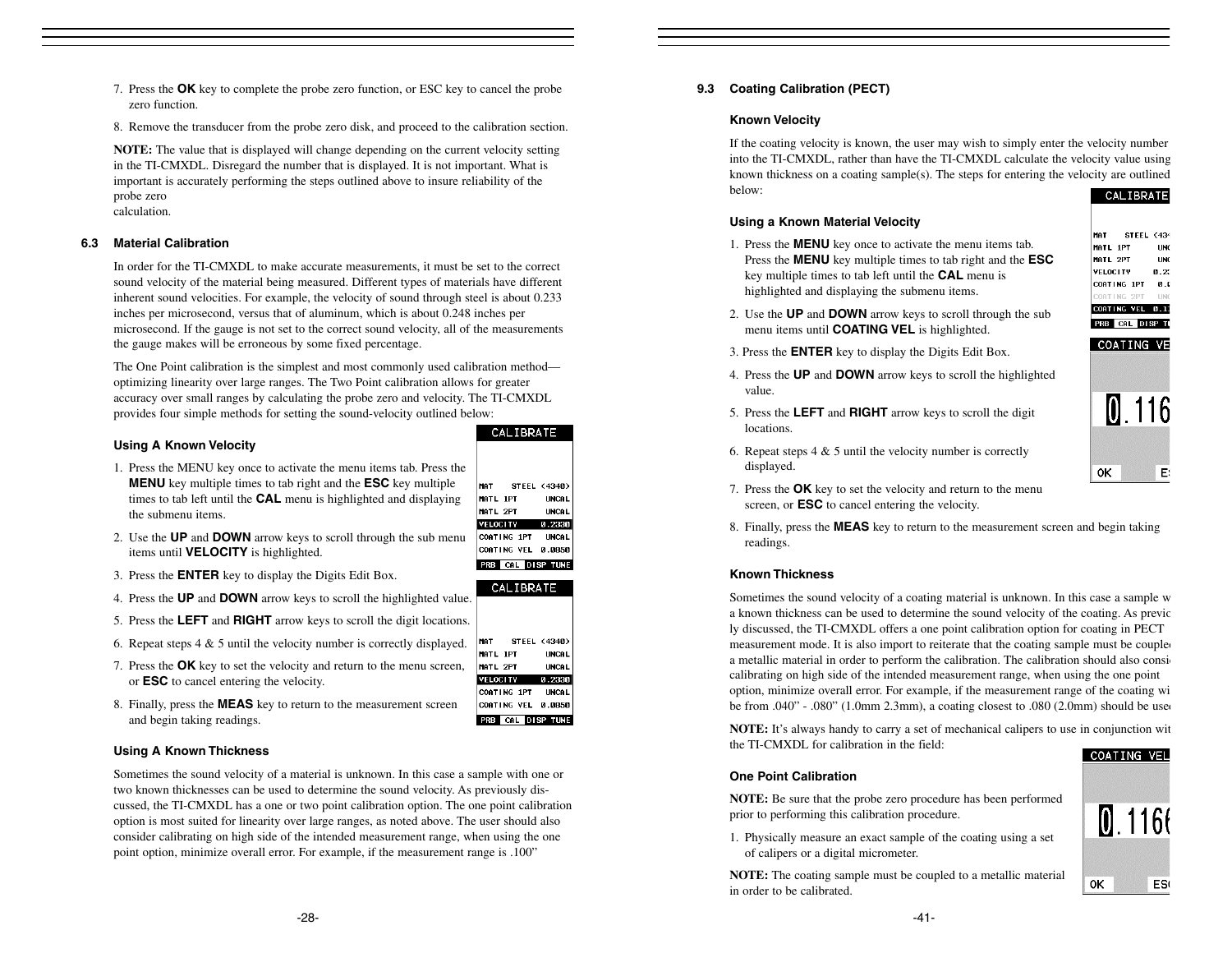- 7. Press the **OK** key to complete the probe zero function, or ESC key to cancel the probe zero function.
- 8. Remove the transducer from the probe zero disk, and proceed to the calibration section.

**NOTE:** The value that is displayed will change depending on the current velocity setting in the TI-CMXDL. Disregard the number that is displayed. It is not important. What is important is accurately performing the steps outlined above to insure reliability of the probe zero calculation.

# **6.3 Material Calibration**

In order for the TI-CMXDL to make accurate measurements, it must be set to the correct sound velocity of the material being measured. Different types of materials have different inherent sound velocities. For example, the velocity of sound through steel is about 0.233 inches per microsecond, versus that of aluminum, which is about 0.248 inches per microsecond. If the gauge is not set to the correct sound velocity, all of the measurements the gauge makes will be erroneous by some fixed percentage.

The One Point calibration is the simplest and most commonly used calibration method optimizing linearity over large ranges. The Two Point calibration allows for greater accuracy over small ranges by calculating the probe zero and velocity. The TI-CMXDL provides four simple methods for setting the sound-velocity outlined below:

# **Using A Known Velocity**

- 1. Press the MENU key once to activate the menu items tab. Press the **MENU** key multiple times to tab right and the **ESC** key multiple times to tab left until the **CAL** menu is highlighted and displaying the submenu items.
- 2. Use the **UP** and **DOWN** arrow keys to scroll through the sub menu items until **VELOCITY** is highlighted.
- 3. Press the **ENTER** key to display the Digits Edit Box.
- 4. Press the **UP** and **DOWN** arrow keys to scroll the highlighted value.
- 5. Press the **LEFT** and **RIGHT** arrow keys to scroll the digit locations.
- 6. Repeat steps 4 & 5 until the velocity number is correctly displayed.
- 7. Press the **OK** key to set the velocity and return to the menu screen, or **ESC** to cancel entering the velocity.
- 8. Finally, press the **MEAS** key to return to the measurement screen and begin taking readings.

# **Using A Known Thickness**

Sometimes the sound velocity of a material is unknown. In this case a sample with one or two known thicknesses can be used to determine the sound velocity. As previously discussed, the TI-CMXDL has a one or two point calibration option. The one point calibration option is most suited for linearity over large ranges, as noted above. The user should also consider calibrating on high side of the intended measurement range, when using the one point option, minimize overall error. For example, if the measurement range is .100"

# **9.3 Coating Calibration (PECT)**

#### **Known Velocity**

If the coating velocity is known, the user may wish to simply enter the velocity number into the TI-CMXDL, rather than have the TI-CMXDL calculate the velocity value using known thickness on a coating sample(s). The steps for entering the velocity are outlined below:CALIBRATE

#### **Using a Known Material Velocity**

1. Press the **MENU** key once to activate the menu items tab. Press the **MENU** key multiple times to tab right and the **ESC** key multiple times to tab left until the **CAL** menu is highlighted and displaying the submenu items.



COATING VE

- 2. Use the **UP** and **DOWN** arrow keys to scroll through the sub menu items until **COATING VEL** is highlighted.
- 3. Press the **ENTER** key to display the Digits Edit Box.
- 4. Press the **UP** and **DOWN** arrow keys to scroll the highlighted value.
- 5. Press the **LEFT** and **RIGHT** arrow keys to scroll the digit locations.



- 6. Repeat steps  $4 \& 5$  until the velocity number is correctly displayed.
- 7. Press the **OK** key to set the velocity and return to the menu screen, or **ESC** to cancel entering the velocity.
- 8. Finally, press the **MEAS** key to return to the measurement screen and begin taking readings.

# **Known Thickness**

Sometimes the sound velocity of a coating material is unknown. In this case a sample w a known thickness can be used to determine the sound velocity of the coating. As previous ly discussed, the TI-CMXDL offers a one point calibration option for coating in PECT measurement mode. It is also import to reiterate that the coating sample must be coupled a metallic material in order to perform the calibration. The calibration should also consi calibrating on high side of the intended measurement range, when using the one point option, minimize overall error. For example, if the measurement range of the coating wi be from  $.040$ " -  $.080$ " (1.0mm 2.3mm), a coating closest to  $.080$  (2.0mm) should be used

**NOTE:** It's always handy to carry a set of mechanical calipers to use in conjunction wit the TI-CMXDL for calibration in the field:COATING VEL

# **One Point Calibration**

**NOTE:** Be sure that the probe zero procedure has been performed prior to performing this calibration procedure.

1. Physically measure an exact sample of the coating using a set of calipers or a digital micrometer.

**NOTE:** The coating sample must be coupled to a metallic material in order to be calibrated.



CALIBRATE





PRB CAL DISP TUNE

 $[0.1166]$ 0K ES<sub>(</sub>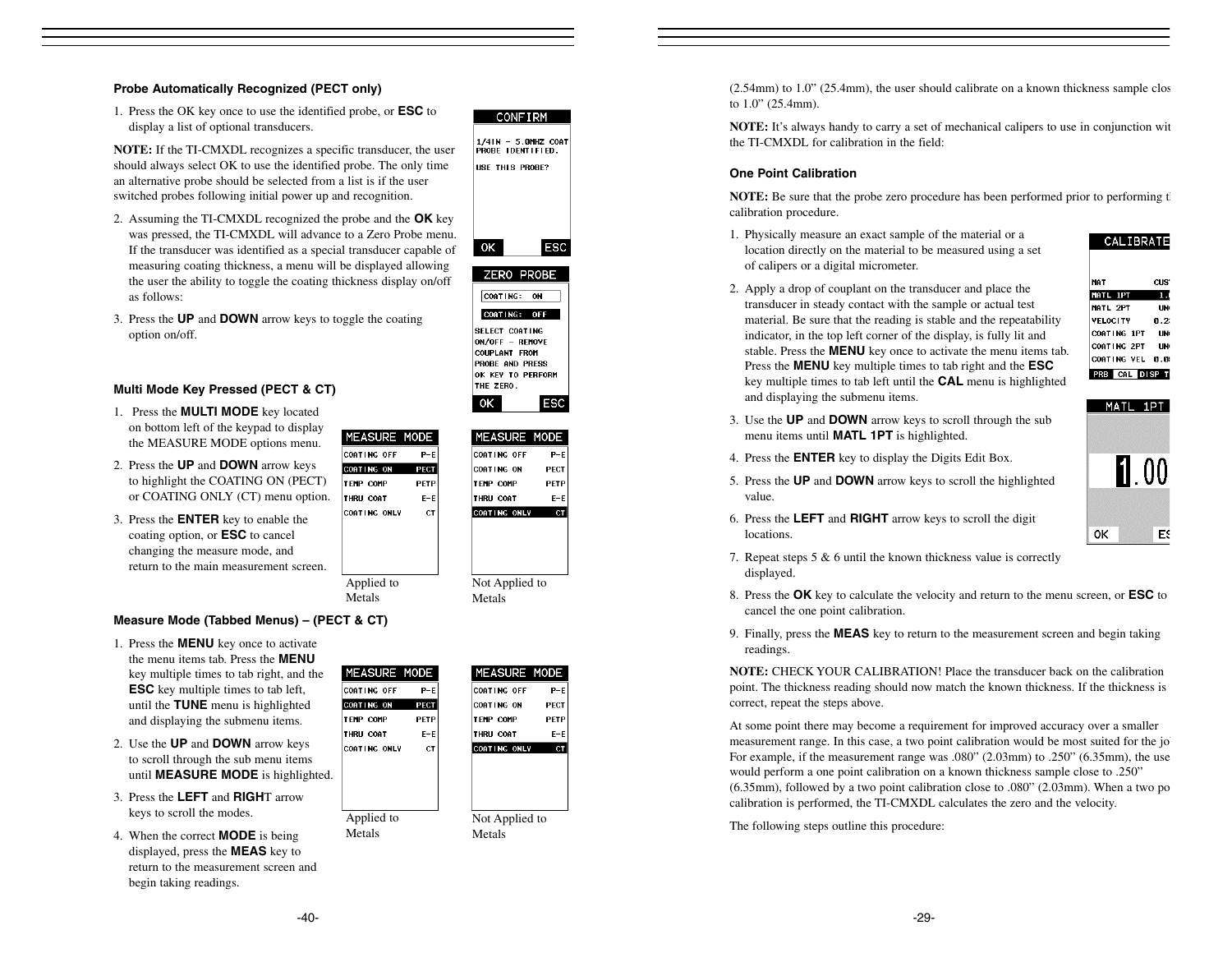#### **Probe Automatically Recognized (PECT only)**

1. Press the OK key once to use the identified probe, or **ESC** to display a list of optional transducers.

**NOTE:** If the TI-CMXDL recognizes a specific transducer, the user should always select OK to use the identified probe. The only time an alternative probe should be selected from a list is if the user switched probes following initial power up and recognition.

- 2. Assuming the TI-CMXDL recognized the probe and the **OK** key was pressed, the TI-CMXDL will advance to a Zero Probe menu. If the transducer was identified as a special transducer capable of measuring coating thickness, a menu will be displayed allowing the user the ability to toggle the coating thickness display on/off as follows:
- ESC 0K ZERO PROBE CONTING: ON

COATING: OFF

SELECT COATING

ON/OFF - REMOVE

PROBE AND PRESS

OK KEY TO PERFORM THE ZERO.

**ESC** 

COUPLANT FROM

**CONFIRM** 1/4IN - 5.0MHZ COAT<br>PROBE IDENTIFIED. USE THIS PROBE?

3. Press the **UP** and **DOWN** arrow keys to toggle the coating option on/off.

## **Multi Mode Key Pressed (PECT & CT)**

- 1. Press the **MULTI MODE** key located on bottom left of the keypad to display the MEASURE MODE options menu.
- 2. Press the **UP** and **DOWN** arrow keys to highlight the COATING ON (PECT) or COATING ONLY (CT) menu option.
- 3. Press the **ENTER** key to enable the coating option, or **ESC** to cancel changing the measure mode, and return to the main measurement screen.

| DЕ         |                   |  | <b>MEASURE MODE</b> |
|------------|-------------------|--|---------------------|
| $P-F$      | COATING OFF       |  | $P-E$               |
| ECT        | <b>COATING ON</b> |  | PECT                |
| <b>ETP</b> | <b>TEMP COMP</b>  |  | PETP                |
| $E-E$      | THRU COAT         |  | E-E                 |
| <b>CT</b>  | CONTING ONLY      |  |                     |
|            |                   |  |                     |
|            |                   |  |                     |
|            |                   |  |                     |
|            |                   |  |                     |
|            | Not Applied to    |  |                     |

ΟK

Metals

#### **Measure Mode (Tabbed Menus) – (PECT & CT)**

- 1. Press the **MENU** key once to activate the menu items tab. Press the **MENU**key multiple times to tab right, and the **ESC** key multiple times to tab left, until the **TUNE** menu is highlighted and displaying the submenu items.
- 2. Use the **UP** and **DOWN** arrow keys to scroll through the sub menu items until **MEASURE MODE** is highlighted.
- 3. Press the **LEFT** and **RIGH**T arrow keys to scroll the modes.
- 4. When the correct **MODE** is being displayed, press the **MEAS** key to return to the measurement screen and begin taking readings.

| Έ         | <b>MEASURE MODE</b> |     |
|-----------|---------------------|-----|
| $- E$     | COATING OFF         |     |
| ECT       | COATING ON          | PEC |
| :TP       | <b>TEMP COMP</b>    | PET |
| I-E       | THRU COAT           | Е-  |
| <b>CT</b> | COATING ONLY        | c   |
|           |                     |     |
|           |                     |     |
|           |                     |     |
|           |                     |     |
|           | Not Applied to      |     |

Metals

(2.54mm) to 1.0" (25.4mm), the user should calibrate on a known thickness sample clos to 1.0" (25.4mm).

**NOTE:** It's always handy to carry a set of mechanical calipers to use in conjunction wit the TI-CMXDL for calibration in the field:

#### **One Point Calibration**

**NOTE:** Be sure that the probe zero procedure has been performed prior to performing the calibration procedure.

- 1. Physically measure an exact sample of the material or a location directly on the material to be measured using a set of calipers or a digital micrometer.
- 2. Apply a drop of couplant on the transducer and place the MATL 1PT transducer in steady contact with the sample or actual test MATL 2PT material. Be sure that the reading is stable and the repeatability **VELOCITY** indicator, in the top left corner of the display, is fully lit and stable. Press the **MENU** key once to activate the menu items tab. Press the **MENU** key multiple times to tab right and the **ESC** key multiple times to tab left until the **CAL** menu is highlighted and displaying the submenu items.



ОK

**COATING 1PT** 

COATING 2PT

CALIBRATE

CUS1

п

UN<sub>0</sub>

 $0.25$ 

**UN** 

**UN** 

ES

5. Press the **UP** and **DOWN** arrow keys to scroll the highlighted value.

3. Use the **UP** and **DOWN** arrow keys to scroll through the sub

menu items until **MATL 1PT** is highlighted. 4. Press the **ENTER** key to display the Digits Edit Box.

- 6. Press the **LEFT** and **RIGHT** arrow keys to scroll the digit locations.
- 7. Repeat steps 5 & 6 until the known thickness value is correctly displayed.
- 8. Press the **OK** key to calculate the velocity and return to the menu screen, or **ESC** to cancel the one point calibration.
- 9. Finally, press the **MEAS** key to return to the measurement screen and begin taking readings.

**NOTE:** CHECK YOUR CALIBRATION! Place the transducer back on the calibrationpoint. The thickness reading should now match the known thickness. If the thickness is correct, repeat the steps above.

At some point there may become a requirement for improved accuracy over a smaller measurement range. In this case, a two point calibration would be most suited for the job For example, if the measurement range was .080" (2.03mm) to .250" (6.35mm), the use would perform a one point calibration on a known thickness sample close to .250" (6.35mm), followed by a two point calibration close to .080" (2.03mm). When a two po calibration is performed, the TI-CMXDL calculates the zero and the velocity.

The following steps outline this procedure:

**MEASURE MOD** COATING OFF COATING ON **TEMP COMP** 

P

**MEASURE MO** 

Applied to Metals

THRU COAT CONTING ONLY

Applied to Metals

COATING OFF COATING ON **TEMP COMP** THRU COAT CONTING ONLY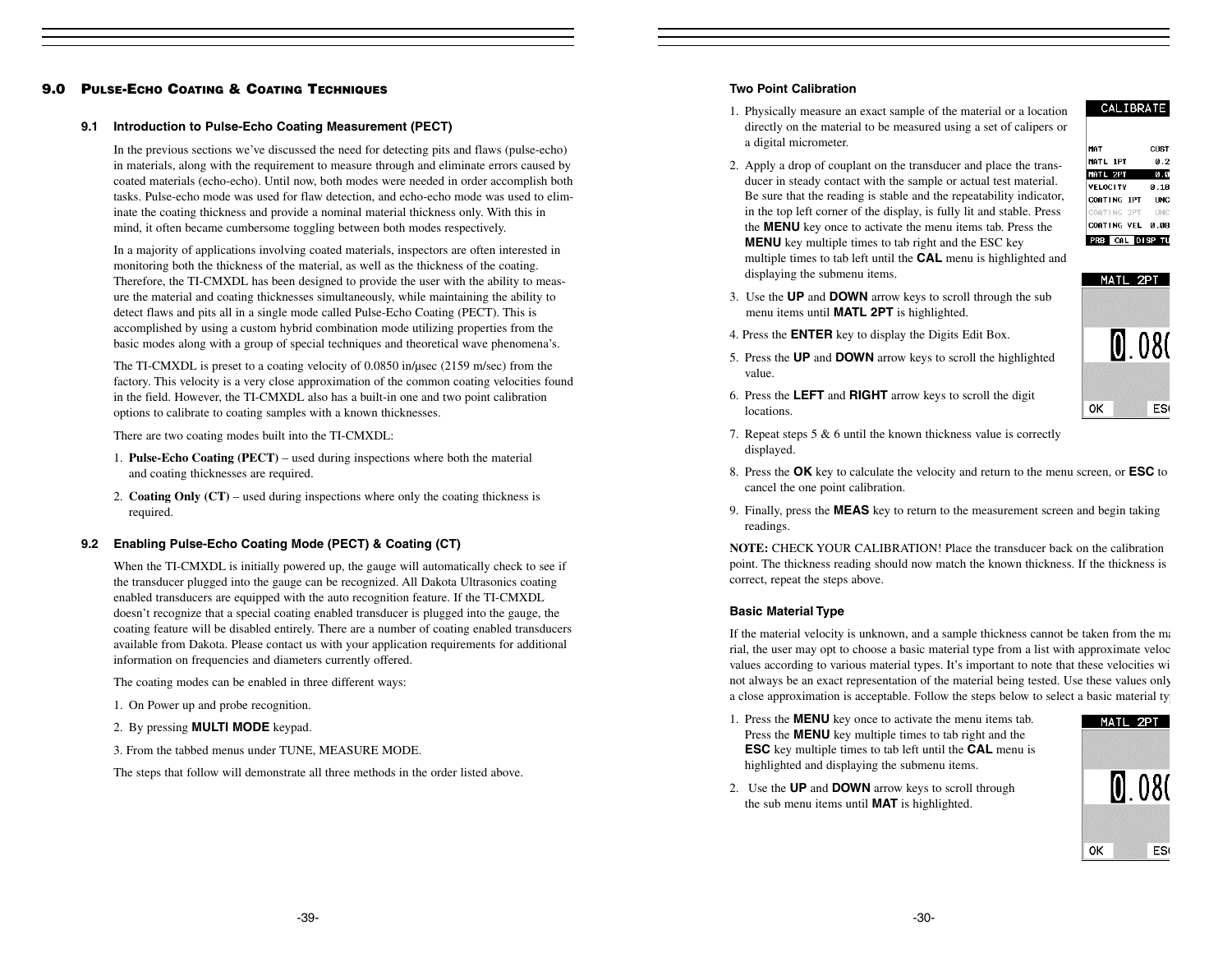# **9.0 PULSE-ECHO COATING & COATING TECHNIQUES**

#### **9.1 Introduction to Pulse-Echo Coating Measurement (PECT)**

In the previous sections we've discussed the need for detecting pits and flaws (pulse-echo) in materials, along with the requirement to measure through and eliminate errors caused by coated materials (echo-echo). Until now, both modes were needed in order accomplish both tasks. Pulse-echo mode was used for flaw detection, and echo-echo mode was used to eliminate the coating thickness and provide a nominal material thickness only. With this in mind, it often became cumbersome toggling between both modes respectively.

In a majority of applications involving coated materials, inspectors are often interested in monitoring both the thickness of the material, as well as the thickness of the coating. Therefore, the TI-CMXDL has been designed to provide the user with the ability to measure the material and coating thicknesses simultaneously, while maintaining the ability to detect flaws and pits all in a single mode called Pulse-Echo Coating (PECT). This is accomplished by using a custom hybrid combination mode utilizing properties from the basic modes along with a group of special techniques and theoretical wave phenomena's.

The TI-CMXDL is preset to a coating velocity of 0.0850 in/µsec (2159 m/sec) from the factory. This velocity is a very close approximation of the common coating velocities found in the field. However, the TI-CMXDL also has a built-in one and two point calibration options to calibrate to coating samples with a known thicknesses.

There are two coating modes built into the TI-CMXDL:

- 1. **Pulse-Echo Coating (PECT)**  used during inspections where both the material and coating thicknesses are required.
- 2. **Coating Only (CT)** used during inspections where only the coating thickness is required.

#### **9.2 Enabling Pulse-Echo Coating Mode (PECT) & Coating (CT)**

When the TI-CMXDL is initially powered up, the gauge will automatically check to see if the transducer plugged into the gauge can be recognized. All Dakota Ultrasonics coating enabled transducers are equipped with the auto recognition feature. If the TI-CMXDL doesn't recognize that a special coating enabled transducer is plugged into the gauge, the coating feature will be disabled entirely. There are a number of coating enabled transducers available from Dakota. Please contact us with your application requirements for additional information on frequencies and diameters currently offered.

The coating modes can be enabled in three different ways:

- 1. On Power up and probe recognition.
- 2. By pressing **MULTI MODE** keypad.
- 3. From the tabbed menus under TUNE, MEASURE MODE.

The steps that follow will demonstrate all three methods in the order listed above.

#### **Two Point Calibration**

- 1. Physically measure an exact sample of the material or a location directly on the material to be measured using a set of calipers or a digital micrometer.
- 2. Apply a drop of couplant on the transducer and place the transducer in steady contact with the sample or actual test material. Be sure that the reading is stable and the repeatability indicator, in the top left corner of the display, is fully lit and stable. Press the **MENU** key once to activate the menu items tab. Press the **MENU** key multiple times to tab right and the ESC key multiple times to tab left until the **CAL** menu is highlighted and

| <b>MAT</b>            | CHST |
|-----------------------|------|
| MATL 1PT              | 0.2  |
| MATL 2PT              | 0.0  |
| <b>VELOCITY</b>       | 0.18 |
| COATING 1PT           | INC  |
| COATING 2PT UNC       |      |
| COATING VEL 0.08      |      |
| <b>PRB</b> CAL DISP T |      |

MATL 2PT

0K

080

ES<sub>(</sub>

CALIBRATE

- 3. Use the **UP** and **DOWN** arrow keys to scroll through the sub menu items until **MATL 2PT** is highlighted.
- 4. Press the **ENTER** key to display the Digits Edit Box.

displaying the submenu items.

- 5. Press the **UP** and **DOWN** arrow keys to scroll the highlighted value.
- 6. Press the **LEFT** and **RIGHT** arrow keys to scroll the digit locations.
- 7. Repeat steps 5 & 6 until the known thickness value is correctly displayed.
- 8. Press the **OK** key to calculate the velocity and return to the menu screen, or **ESC** to cancel the one point calibration.
- 9. Finally, press the **MEAS** key to return to the measurement screen and begin taking readings.

**NOTE:** CHECK YOUR CALIBRATION! Place the transducer back on the calibrationpoint. The thickness reading should now match the known thickness. If the thickness is correct, repeat the steps above.

#### **Basic Material Type**

If the material velocity is unknown, and a sample thickness cannot be taken from the ma rial, the user may opt to choose a basic material type from a list with approximate veloc values according to various material types. It's important to note that these velocities wi not always be an exact representation of the material being tested. Use these values only a close approximation is acceptable. Follow the steps below to select a basic material typ

1. Press the **MENU** key once to activate the menu items tab. Press the **MENU** key multiple times to tab right and the **ESC** key multiple times to tab left until the **CAL** menu is highlighted and displaying the submenu items.



2. Use the **UP** and **DOWN** arrow keys to scroll through the sub menu items until **MAT** is highlighted.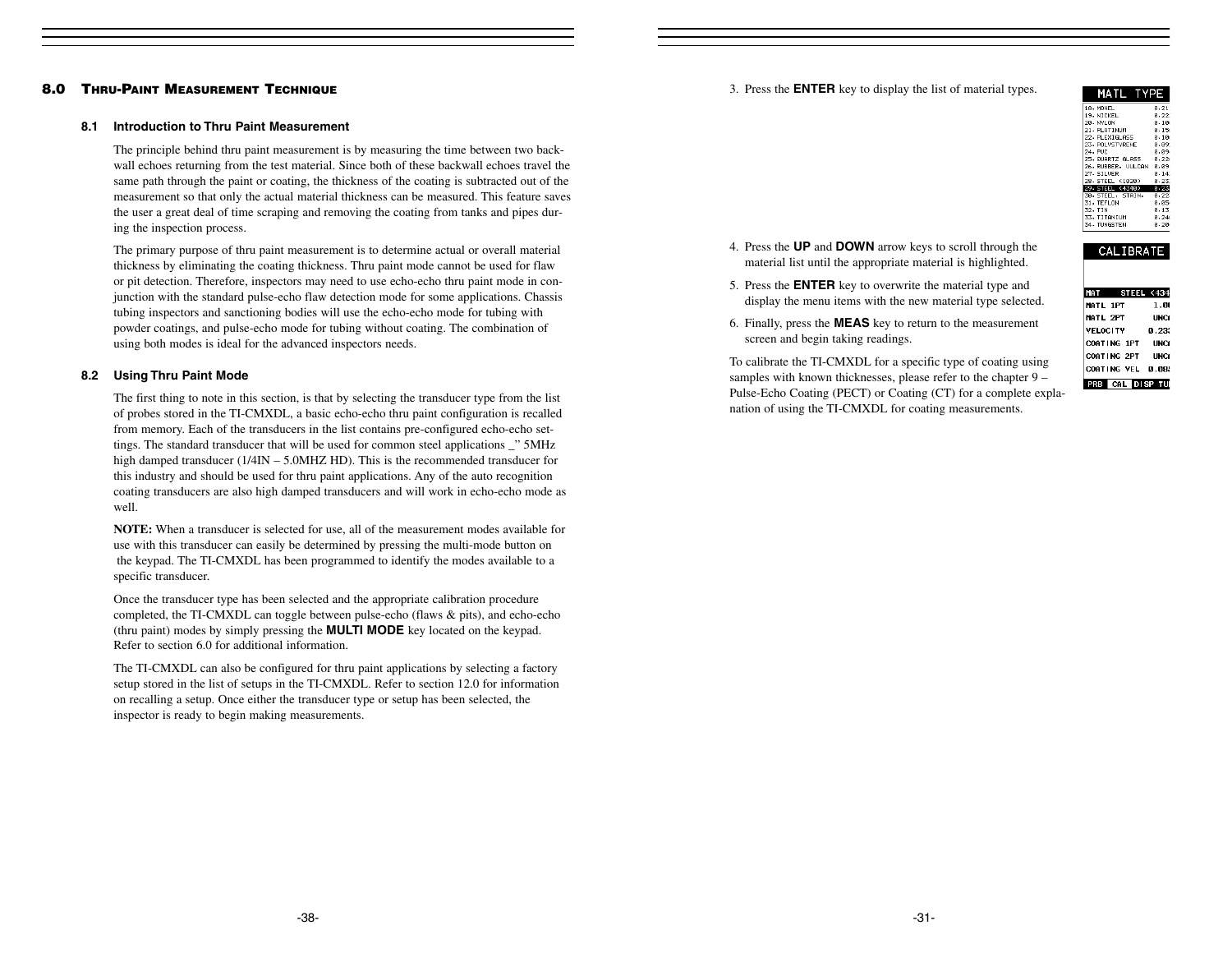#### 3. Press the **ENTER** key to display the list of material types.

| MATL<br>TYPE      |          |
|-------------------|----------|
| 18. MONEL         | 0.211    |
| 19. NTCKEL        | A. 220   |
| 20. NYLON         | 0.10e    |
| 21. PLATTNIM      | ค. 156   |
| 22. PLEXIGLASS    | 0.10e    |
| 23. PNI VSTVRENE  | - а. аэ: |
| 24. PUC           | 0.094    |
| 25. GUARTZ GLASS  | A. 226   |
| 26.RUBBER, UULCAN | 8.891    |
| 27. STI UFR       | ค. 141   |
| 28. STEEL (1020)  | 0.232    |
| 29 STEEL (4340)   | 0.23     |
| 30. STEEL, STAIN. | 0.223    |
| 31. TEEL ON       | ค.ศระ    |
| 32. TIN           | 0.131    |
| 33. TITANTIM      | A. 246   |
| 34. TUNGSTEN      | 0.20     |

- 4. Press the **UP** and **DOWN** arrow keys to scroll through the material list until the appropriate material is highlighted.
- 5. Press the **ENTER** key to overwrite the material type and display the menu items with the new material type selected.
- 6. Finally, press the **MEAS** key to return to the measurement screen and begin taking readings.

To calibrate the TI-CMXDL for a specific type of coating using samples with known thicknesses, please refer to the chapter 9 – Pulse-Echo Coating (PECT) or Coating (CT) for a complete explanation of using the TI-CMXDL for coating measurements.

| - JDRA E                 |              |
|--------------------------|--------------|
|                          |              |
| <b>STEEL (434</b><br>MAT |              |
| <b>MATL 1PT</b>          | 1.00         |
| MATL 2PT                 | LINCE        |
| <b>VELOCITY</b>          | <b>P.233</b> |
| COATING 1PT              | LINCE        |
| COATING 2PT UNCF         |              |
| COATING VEL 0.085        |              |

**PRB** CAL DISP TU

 $CMTODATE$ 

# The primary purpose of thru paint measurement is to determine actual or overall material

thickness by eliminating the coating thickness. Thru paint mode cannot be used for flaw or pit detection. Therefore, inspectors may need to use echo-echo thru paint mode in conjunction with the standard pulse-echo flaw detection mode for some applications. Chassis tubing inspectors and sanctioning bodies will use the echo-echo mode for tubing with powder coatings, and pulse-echo mode for tubing without coating. The combination of using both modes is ideal for the advanced inspectors needs.

The principle behind thru paint measurement is by measuring the time between two backwall echoes returning from the test material. Since both of these backwall echoes travel the same path through the paint or coating, the thickness of the coating is subtracted out of the measurement so that only the actual material thickness can be measured. This feature saves the user a great deal of time scraping and removing the coating from tanks and pipes dur-

# **8.2 Using Thru Paint Mode**

**8.0 THRU-PAINT MEASUREMENT TECHNIQUE**

ing the inspection process.

**8.1 Introduction to Thru Paint Measurement**

The first thing to note in this section, is that by selecting the transducer type from the list of probes stored in the TI-CMXDL, a basic echo-echo thru paint configuration is recalled from memory. Each of the transducers in the list contains pre-configured echo-echo settings. The standard transducer that will be used for common steel applications \_" 5MHz high damped transducer (1/4IN – 5.0MHZ HD). This is the recommended transducer for this industry and should be used for thru paint applications. Any of the auto recognition coating transducers are also high damped transducers and will work in echo-echo mode as well.

**NOTE:** When a transducer is selected for use, all of the measurement modes available for use with this transducer can easily be determined by pressing the multi-mode button on the keypad. The TI-CMXDL has been programmed to identify the modes available to a specific transducer.

Once the transducer type has been selected and the appropriate calibration procedure completed, the TI-CMXDL can toggle between pulse-echo (flaws & pits), and echo-echo (thru paint) modes by simply pressing the **MULTI MODE** key located on the keypad. Refer to section 6.0 for additional information.

The TI-CMXDL can also be configured for thru paint applications by selecting a factory setup stored in the list of setups in the TI-CMXDL. Refer to section 12.0 for information on recalling a setup. Once either the transducer type or setup has been selected, the inspector is ready to begin making measurements.

-38-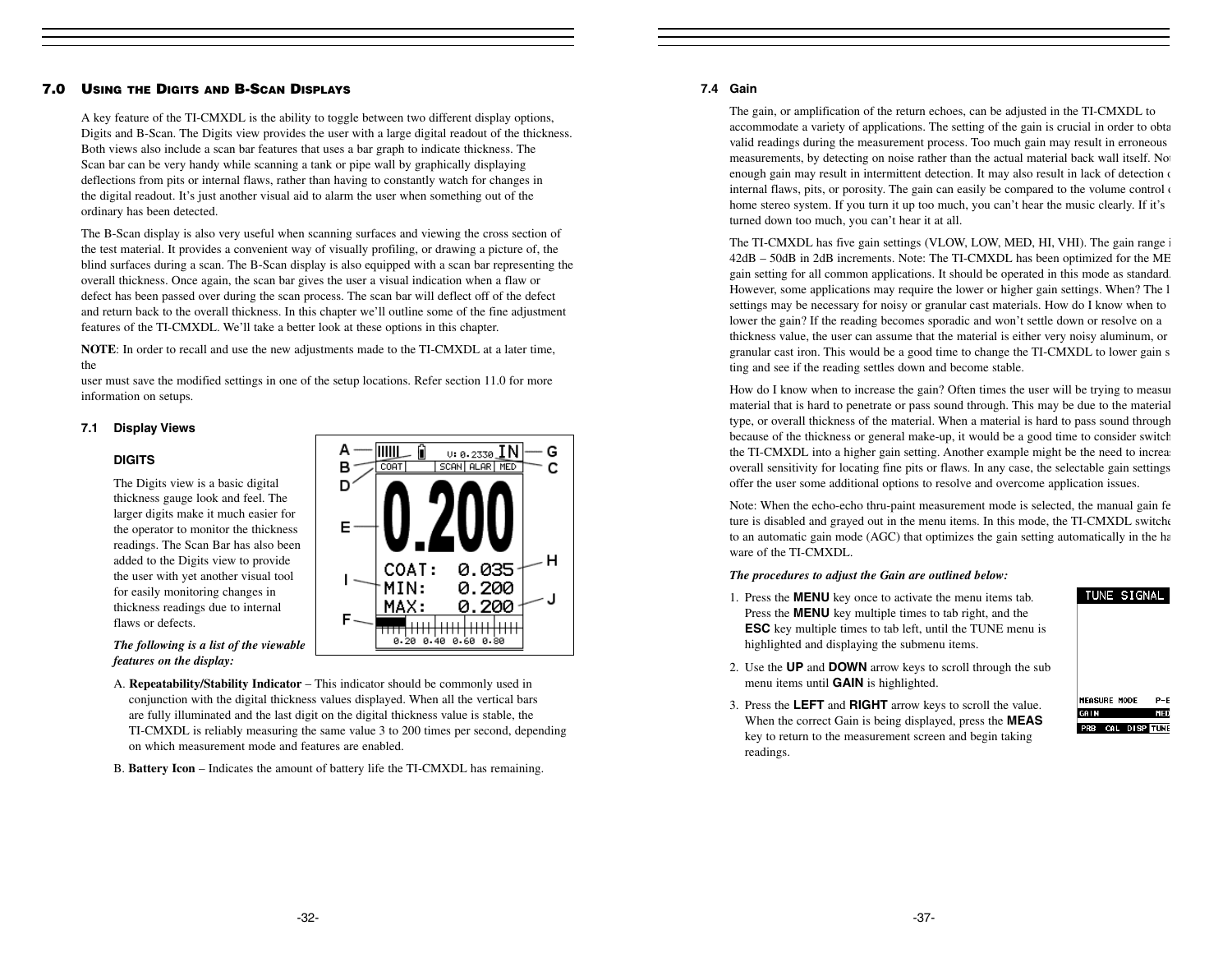# **7.0 USING THE DIGITS AND B-SCAN DISPLAYS**

A key feature of the TI-CMXDL is the ability to toggle between two different display options, Digits and B-Scan. The Digits view provides the user with a large digital readout of the thickness. Both views also include a scan bar features that uses a bar graph to indicate thickness. The Scan bar can be very handy while scanning a tank or pipe wall by graphically displaying deflections from pits or internal flaws, rather than having to constantly watch for changes in the digital readout. It's just another visual aid to alarm the user when something out of the ordinary has been detected.

The B-Scan display is also very useful when scanning surfaces and viewing the cross section of the test material. It provides a convenient way of visually profiling, or drawing a picture of, the blind surfaces during a scan. The B-Scan display is also equipped with a scan bar representing the overall thickness. Once again, the scan bar gives the user a visual indication when a flaw or defect has been passed over during the scan process. The scan bar will deflect off of the defect and return back to the overall thickness. In this chapter we'll outline some of the fine adjustment features of the TI-CMXDL. We'll take a better look at these options in this chapter.

**NOTE**: In order to recall and use the new adjustments made to the TI-CMXDL at a later time, the

user must save the modified settings in one of the setup locations. Refer section 11.0 for more information on setups.

# **7.1 Display Views**

#### **DIGITS**

The Digits view is a basic digital thickness gauge look and feel. The larger digits make it much easier for the operator to monitor the thickness readings. The Scan Bar has also been added to the Digits view to provide the user with yet another visual tool for easily monitoring changes in thickness readings due to internal flaws or defects.



*The following is a list of the viewable features on the display:*

- A. **Repeatability/Stability Indicator** This indicator should be commonly used in conjunction with the digital thickness values displayed. When all the vertical bars are fully illuminated and the last digit on the digital thickness value is stable, the TI-CMXDL is reliably measuring the same value 3 to 200 times per second, depending on which measurement mode and features are enabled.
- B. **Battery Icon** Indicates the amount of battery life the TI-CMXDL has remaining.

# **7.4 Gain**

The gain, or amplification of the return echoes, can be adjusted in the TI-CMXDL to accommodate a variety of applications. The setting of the gain is crucial in order to obta valid readings during the measurement process. Too much gain may result in erroneous measurements, by detecting on noise rather than the actual material back wall itself. No enough gain may result in intermittent detection. It may also result in lack of detection  $\alpha$ internal flaws, pits, or porosity. The gain can easily be compared to the volume control of home stereo system. If you turn it up too much, you can't hear the music clearly. If it's turned down too much, you can't hear it at all.

The TI-CMXDL has five gain settings (VLOW, LOW, MED, HI, VHI). The gain range i 42dB – 50dB in 2dB increments. Note: The TI-CMXDL has been optimized for the ME gain setting for all common applications. It should be operated in this mode as standard. However, some applications may require the lower or higher gain settings. When? The l settings may be necessary for noisy or granular cast materials. How do I know when to lower the gain? If the reading becomes sporadic and won't settle down or resolve on a thickness value, the user can assume that the material is either very noisy aluminum, or granular cast iron. This would be a good time to change the TI-CMXDL to lower gain s ting and see if the reading settles down and become stable.

How do I know when to increase the gain? Often times the user will be trying to measur material that is hard to penetrate or pass sound through. This may be due to the material type, or overall thickness of the material. When a material is hard to pass sound through because of the thickness or general make-up, it would be a good time to consider switch the TI-CMXDL into a higher gain setting. Another example might be the need to increase overall sensitivity for locating fine pits or flaws. In any case, the selectable gain settings offer the user some additional options to resolve and overcome application issues.

Note: When the echo-echo thru-paint measurement mode is selected, the manual gain fe ture is disabled and grayed out in the menu items. In this mode, the TI-CMXDL switche to an automatic gain mode (AGC) that optimizes the gain setting automatically in the ha ware of the TI-CMXDL.

#### *The procedures to adjust the Gain are outlined below:*

- 1. Press the **MENU** key once to activate the menu items tab. Press the **MENU** key multiple times to tab right, and the **ESC** key multiple times to tab left, until the TUNE menu is highlighted and displaying the submenu items.
- 2. Use the **UP** and **DOWN** arrow keys to scroll through the sub menu items until **GAIN** is highlighted.
- 3. Press the **LEFT** and **RIGHT** arrow keys to scroll the value. When the correct Gain is being displayed, press the **MEAS** key to return to the measurement screen and begin taking readings.

| <b>MEASURE MODE</b> |                   | $P-F$ |
|---------------------|-------------------|-------|
| GAIN                |                   | MED   |
|                     | PRB CAL DISP TUNE |       |

TUNE SIGNAL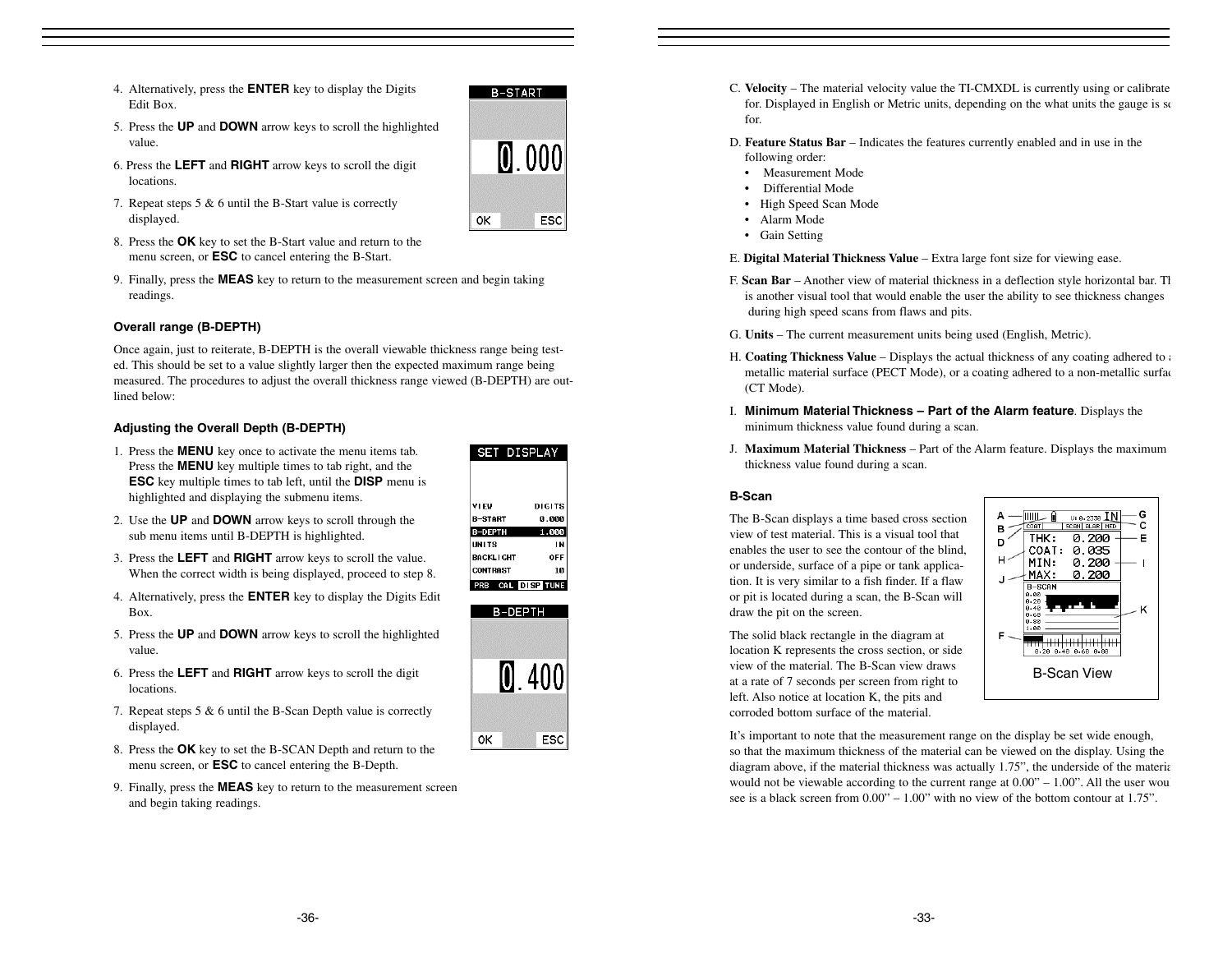- 4. Alternatively, press the **ENTER** key to display the Digits Edit Box.
- 5. Press the **UP** and **DOWN** arrow keys to scroll the highlighted value.
- 6. Press the **LEFT** and **RIGHT** arrow keys to scroll the digit locations.
- 7. Repeat steps 5 & 6 until the B-Start value is correctly displayed.
- 8. Press the **OK** key to set the B-Start value and return to the menu screen, or **ESC** to cancel entering the B-Start.
- 9. Finally, press the **MEAS** key to return to the measurement screen and begin taking readings.

# **Overall range (B-DEPTH)**

Once again, just to reiterate, B-DEPTH is the overall viewable thickness range being tested. This should be set to a value slightly larger then the expected maximum range being measured. The procedures to adjust the overall thickness range viewed (B-DEPTH) are outlined below:

# **Adjusting the Overall Depth (B-DEPTH)**

- 1. Press the **MENU** key once to activate the menu items tab. Press the **MENU** key multiple times to tab right, and the **ESC** key multiple times to tab left, until the **DISP** menu is highlighted and displaying the submenu items.
- 2. Use the **UP** and **DOWN** arrow keys to scroll through the sub menu items until B-DEPTH is highlighted.
- 3. Press the **LEFT** and **RIGHT** arrow keys to scroll the value. When the correct width is being displayed, proceed to step 8.
- 4. Alternatively, press the **ENTER** key to display the Digits Edit Box.
- 5. Press the **UP** and **DOWN** arrow keys to scroll the highlighted value.
- 6. Press the **LEFT** and **RIGHT** arrow keys to scroll the digit locations.
- 7. Repeat steps 5 & 6 until the B-Scan Depth value is correctly displayed.
- 8. Press the **OK** key to set the B-SCAN Depth and return to the menu screen, or **ESC** to cancel entering the B-Depth.
- 9. Finally, press the **MEAS** key to return to the measurement screen and begin taking readings.



**B-START** 

 $0.000$ 

ESC

0K



- C. **Velocity** The material velocity value the TI-CMXDL is currently using or calibrate for. Displayed in English or Metric units, depending on the what units the gauge is se for.
- D. **Feature Status Bar** Indicates the features currently enabled and in use in the following order:
	- Measurement Mode
	- •Differential Mode
- High Speed Scan Mode
- Alarm Mode
- Gain Setting
- E. **Digital Material Thickness Value** Extra large font size for viewing ease.
- F. **Scan Bar**  Another view of material thickness in a deflection style horizontal bar. Th is another visual tool that would enable the user the ability to see thickness changes during high speed scans from flaws and pits.
- G. **Units** The current measurement units being used (English, Metric).
- H. **Coating Thickness Value** Displays the actual thickness of any coating adhered to a metallic material surface (PECT Mode), or a coating adhered to a non-metallic surfac (CT Mode).
- I. **Minimum Material Thickness Part of the Alarm feature**. Displays the minimum thickness value found during a scan.
- J. **Maximum Material Thickness**  Part of the Alarm feature. Displays the maximum thickness value found during a scan.

#### **B-Scan**

The B-Scan displays a time based cross section view of test material. This is a visual tool thatenables the user to see the contour of the blind, or underside, surface of a pipe or tank application. It is very similar to a fish finder. If a flaw or pit is located during a scan, the B-Scan will draw the pit on the screen.

The solid black rectangle in the diagram at location K represents the cross section, or side view of the material. The B-Scan view drawsat a rate of 7 seconds per screen from right to left. Also notice at location K, the pits and corroded bottom surface of the material.



It's important to note that the measurement range on the display be set wide enough, so that the maximum thickness of the material can be viewed on the display. Using the diagram above, if the material thickness was actually 1.75", the underside of the materia would not be viewable according to the current range at  $0.00" - 1.00"$ . All the user would see is a black screen from  $0.00'' - 1.00''$  with no view of the bottom contour at 1.75".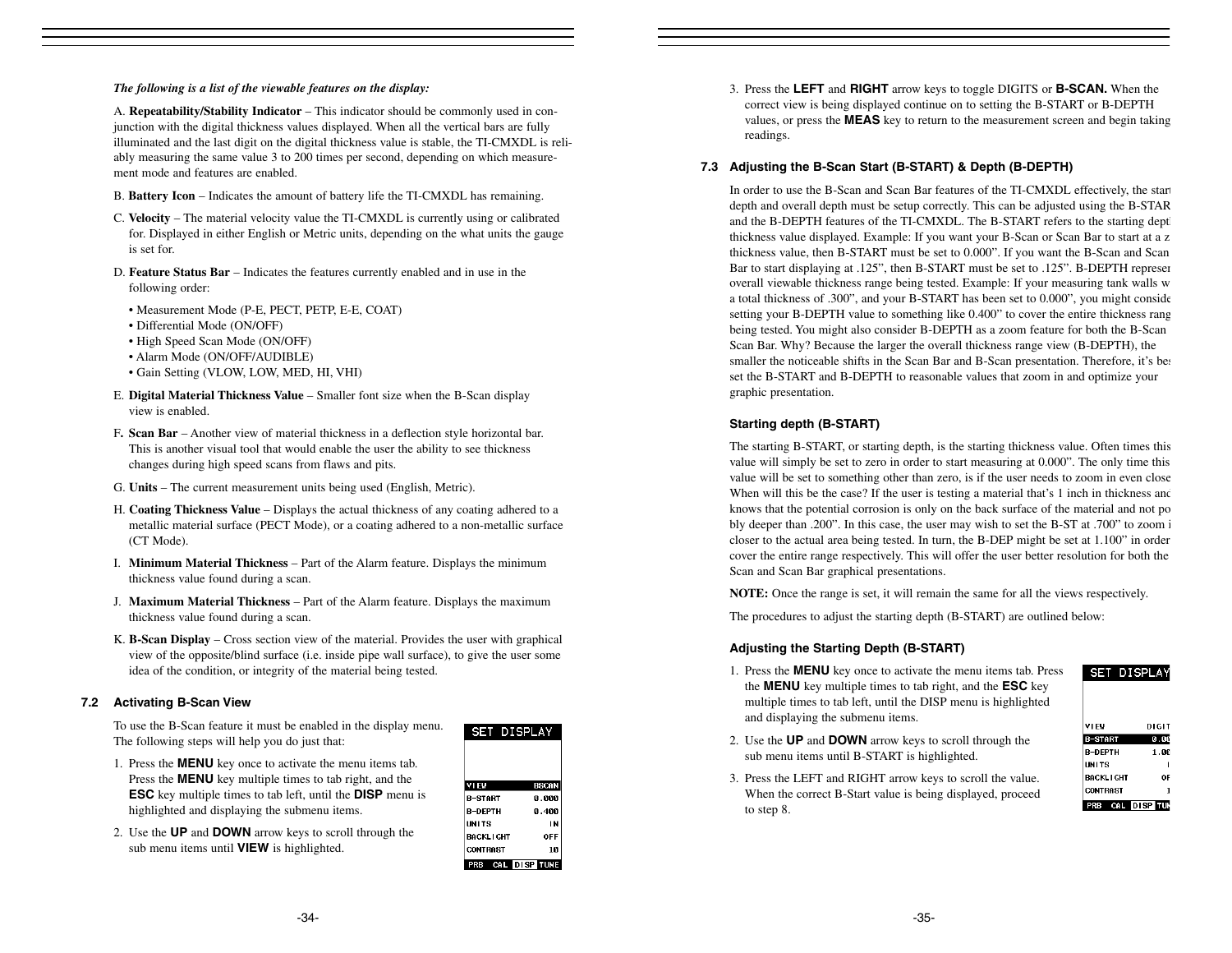#### *The following is a list of the viewable features on the display:*

A. **Repeatability/Stability Indicator** – This indicator should be commonly used in conjunction with the digital thickness values displayed. When all the vertical bars are fully illuminated and the last digit on the digital thickness value is stable, the TI-CMXDL is reliably measuring the same value 3 to 200 times per second, depending on which measurement mode and features are enabled.

- B. **Battery Icon** Indicates the amount of battery life the TI-CMXDL has remaining.
- C. **Velocity** The material velocity value the TI-CMXDL is currently using or calibrated for. Displayed in either English or Metric units, depending on the what units the gauge is set for.
- D. **Feature Status Bar**  Indicates the features currently enabled and in use in the following order:
	- Measurement Mode (P-E, PECT, PETP, E-E, COAT)
	- Differential Mode (ON/OFF)
	- High Speed Scan Mode (ON/OFF)
	- Alarm Mode (ON/OFF/AUDIBLE)
	- Gain Setting (VLOW, LOW, MED, HI, VHI)
- E. **Digital Material Thickness Value** Smaller font size when the B-Scan display view is enabled.
- F**. Scan Bar** Another view of material thickness in a deflection style horizontal bar. This is another visual tool that would enable the user the ability to see thickness changes during high speed scans from flaws and pits.
- G. **Units** The current measurement units being used (English, Metric).
- H. **Coating Thickness Value** Displays the actual thickness of any coating adhered to a metallic material surface (PECT Mode), or a coating adhered to a non-metallic surface (CT Mode).
- I. **Minimum Material Thickness** Part of the Alarm feature. Displays the minimum thickness value found during a scan.
- J. **Maximum Material Thickness**  Part of the Alarm feature. Displays the maximum thickness value found during a scan.
- K. **B-Scan Display** Cross section view of the material. Provides the user with graphical view of the opposite/blind surface (i.e. inside pipe wall surface), to give the user some idea of the condition, or integrity of the material being tested.

# **7.2 Activating B-Scan View**

To use the B-Scan feature it must be enabled in the display menu. The following steps will help you do just that:

- 1. Press the **MENU** key once to activate the menu items tab. Press the **MENU** key multiple times to tab right, and the **ESC** key multiple times to tab left, until the **DISP** menu is highlighted and displaying the submenu items.
- 2. Use the **UP** and **DOWN** arrow keys to scroll through the sub menu items until **VIEW** is highlighted.

| <b>SET DISPLAY</b> |              |
|--------------------|--------------|
|                    |              |
|                    |              |
| VIEW               | <b>BSCAN</b> |
| R-START            | 0.000        |
| <b>R-DFPTH</b>     | ค.4คค        |
| <b>IINITS</b>      | ΙN           |
| <b>BACKLIGHT</b>   | OFF          |
| <b>CONTRAST</b>    | 10           |
| - CA<br>П<br>PRB   | . DISP TUNE  |

3. Press the **LEFT** and **RIGHT** arrow keys to toggle DIGITS or **B-SCAN.** When the correct view is being displayed continue on to setting the B-START or B-DEPTH values, or press the **MEAS** key to return to the measurement screen and begin taking readings.

# **7.3 Adjusting the B-Scan Start (B-START) & Depth (B-DEPTH)**

In order to use the B-Scan and Scan Bar features of the TI-CMXDL effectively, the start depth and overall depth must be setup correctly. This can be adjusted using the B-STAR and the B-DEPTH features of the TI-CMXDL. The B-START refers to the starting dept thickness value displayed. Example: If you want your B-Scan or Scan Bar to start at a z thickness value, then B-START must be set to 0.000". If you want the B-Scan and Scan Bar to start displaying at .125", then B-START must be set to .125". B-DEPTH represen overall viewable thickness range being tested. Example: If your measuring tank walls w a total thickness of .300", and your B-START has been set to 0.000", you might conside setting your B-DEPTH value to something like 0.400" to cover the entire thickness rang being tested. You might also consider B-DEPTH as a zoom feature for both the B-Scan Scan Bar. Why? Because the larger the overall thickness range view (B-DEPTH), the smaller the noticeable shifts in the Scan Bar and B-Scan presentation. Therefore, it's bea set the B-START and B-DEPTH to reasonable values that zoom in and optimize your graphic presentation.

# **Starting depth (B-START)**

The starting B-START, or starting depth, is the starting thickness value. Often times this value will simply be set to zero in order to start measuring at 0.000". The only time this value will be set to something other than zero, is if the user needs to zoom in even close When will this be the case? If the user is testing a material that's 1 inch in thickness and knows that the potential corrosion is only on the back surface of the material and not po bly deeper than .200". In this case, the user may wish to set the B-ST at .700" to zoom i closer to the actual area being tested. In turn, the B-DEP might be set at 1.100" in order cover the entire range respectively. This will offer the user better resolution for both the Scan and Scan Bar graphical presentations.

**NOTE:** Once the range is set, it will remain the same for all the views respectively.

The procedures to adjust the starting depth (B-START) are outlined below:

# **Adjusting the Starting Depth (B-START)**

1. Press the **MENU** key once to activate the menu items tab. Press the **MENU** key multiple times to tab right, and the **ESC** key multiple times to tab left, until the DISP menu is highlighted and displaying the submenu items.

| VI EV            |  | DIGIT |
|------------------|--|-------|
| -START           |  | 0.00  |
| <b>R-DFPTH</b>   |  | 1.00  |
| UNITS            |  |       |
| <b>BACKLIGHT</b> |  | 0F    |
| <b>CONTRAST</b>  |  | 1     |
|                  |  |       |

SET DISPLAY

- 2. Use the **UP** and **DOWN** arrow keys to scroll through the sub menu items until B-START is highlighted.
- 3. Press the LEFT and RIGHT arrow keys to scroll the value. When the correct B-Start value is being displayed, proceed to step 8.